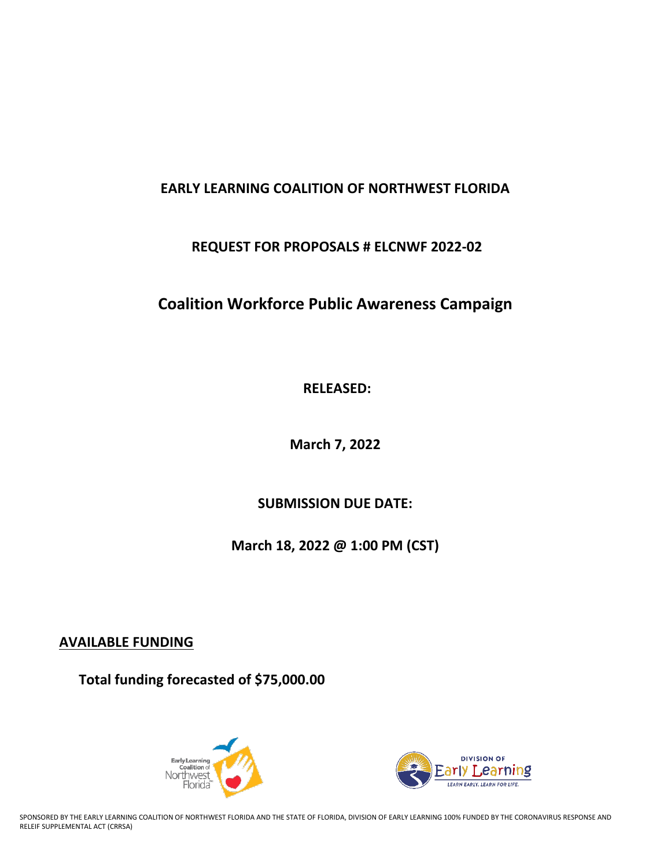## **EARLY LEARNING COALITION OF NORTHWEST FLORIDA**

## **REQUEST FOR PROPOSALS # ELCNWF 2022-02**

# **Coalition Workforce Public Awareness Campaign**

**RELEASED:** 

**March 7, 2022**

**SUBMISSION DUE DATE:**

**March 18, 2022 @ 1:00 PM (CST)**

**AVAILABLE FUNDING**

**Total funding forecasted of \$75,000.00**





SPONSORED BY THE EARLY LEARNING COALITION OF NORTHWEST FLORIDA AND THE STATE OF FLORIDA, DIVISION OF EARLY LEARNING 100% FUNDED BY THE CORONAVIRUS RESPONSE AND RELEIF SUPPLEMENTAL ACT (CRRSA)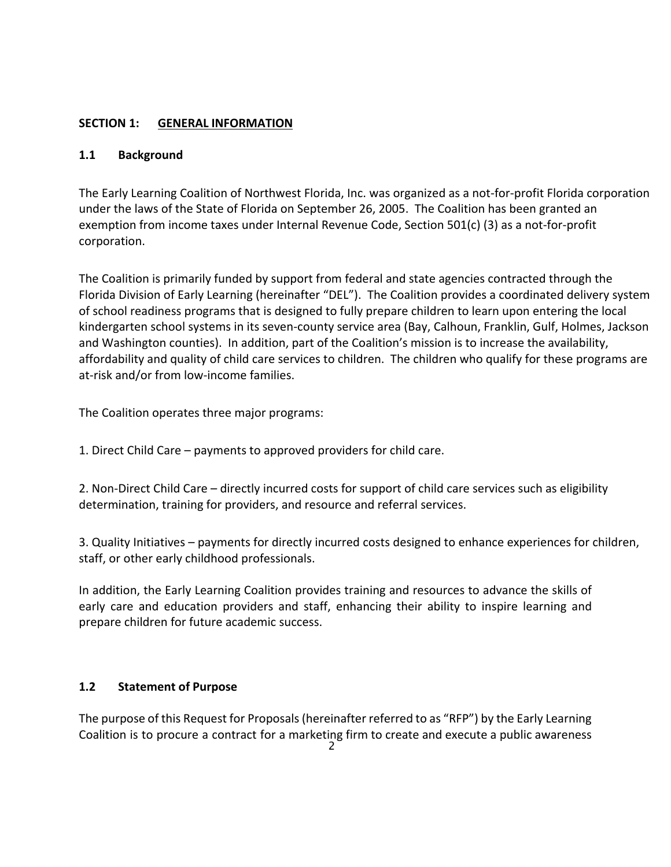## **SECTION 1: GENERAL INFORMATION**

## **1.1 Background**

The Early Learning Coalition of Northwest Florida, Inc. was organized as a not-for-profit Florida corporation under the laws of the State of Florida on September 26, 2005. The Coalition has been granted an exemption from income taxes under Internal Revenue Code, Section 501(c) (3) as a not-for-profit corporation.

The Coalition is primarily funded by support from federal and state agencies contracted through the Florida Division of Early Learning (hereinafter "DEL"). The Coalition provides a coordinated delivery system of school readiness programs that is designed to fully prepare children to learn upon entering the local kindergarten school systems in its seven-county service area (Bay, Calhoun, Franklin, Gulf, Holmes, Jackson and Washington counties). In addition, part of the Coalition's mission is to increase the availability, affordability and quality of child care services to children. The children who qualify for these programs are at-risk and/or from low-income families.

The Coalition operates three major programs:

1. Direct Child Care – payments to approved providers for child care.

2. Non-Direct Child Care – directly incurred costs for support of child care services such as eligibility determination, training for providers, and resource and referral services.

3. Quality Initiatives – payments for directly incurred costs designed to enhance experiences for children, staff, or other early childhood professionals.

In addition, the Early Learning Coalition provides training and resources to advance the skills of early care and education providers and staff, enhancing their ability to inspire learning and prepare children for future academic success.

## **1.2 Statement of Purpose**

The purpose of this Request for Proposals(hereinafter referred to as "RFP") by the Early Learning Coalition is to procure a contract for a marketing firm to create and execute a public awareness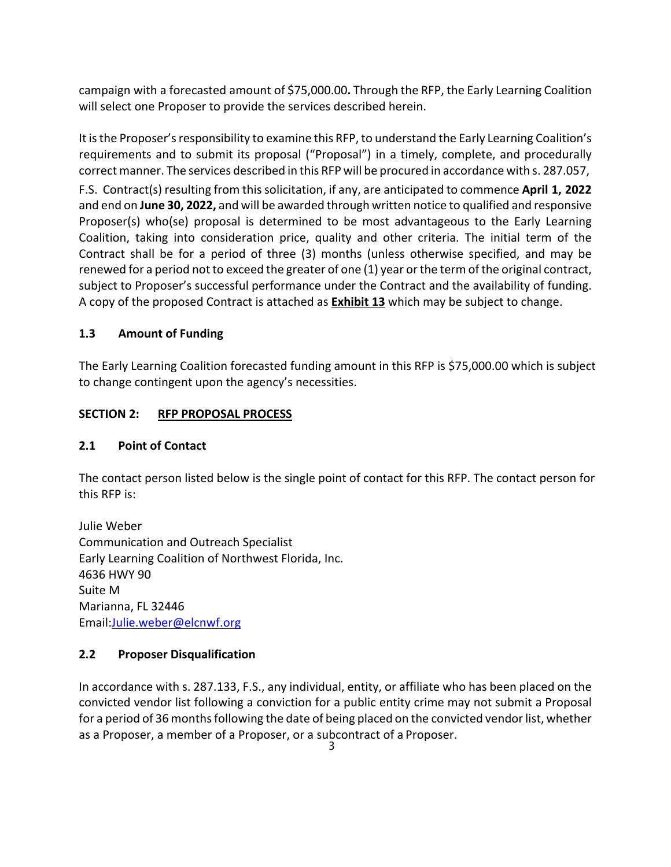campaign with a forecasted amount of \$75,000.00**.** Through the RFP, the Early Learning Coalition will select one Proposer to provide the services described herein.

It is the Proposer's responsibility to examine this RFP, to understand the Early Learning Coalition's requirements and to submit its proposal ("Proposal") in a timely, complete, and procedurally correct manner. The services described in this RFP will be procured in accordance with s. 287.057,

F.S. Contract(s) resulting from thissolicitation, if any, are anticipated to commence **April 1, 2022** and end on **June 30, 2022,** and will be awarded through written notice to qualified and responsive Proposer(s) who(se) proposal is determined to be most advantageous to the Early Learning Coalition, taking into consideration price, quality and other criteria. The initial term of the Contract shall be for a period of three (3) months (unless otherwise specified, and may be renewed for a period not to exceed the greater of one (1) year or the term of the original contract, subject to Proposer's successful performance under the Contract and the availability of funding. A copy of the proposed Contract is attached as **Exhibit 13** which may be subject to change.

## **1.3 Amount of Funding**

The Early Learning Coalition forecasted funding amount in this RFP is \$75,000.00 which is subject to change contingent upon the agency's necessities.

## **SECTION 2: RFP PROPOSAL PROCESS**

## **2.1 Point of Contact**

The contact person listed below is the single point of contact for this RFP. The contact person for this RFP is:

Julie Weber Communication and Outreach Specialist Early Learning Coalition of Northwest Florida, Inc. 4636 HWY 90 Suite M Marianna, FL 32446 Email:Julie.weber@elcnwf.org

## **2.2 Proposer Disqualification**

In accordance with s. 287.133, F.S., any individual, entity, or affiliate who has been placed on the convicted vendor list following a conviction for a public entity crime may not submit a Proposal for a period of 36 months following the date of being placed on the convicted vendor list, whether as a Proposer, a member of a Proposer, or a subcontract of a Proposer.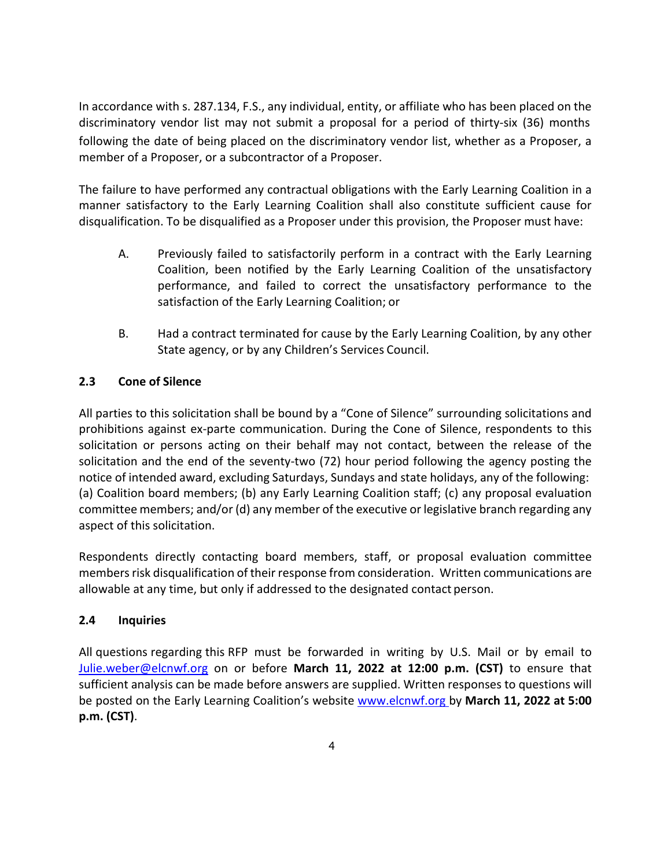In accordance with s. 287.134, F.S., any individual, entity, or affiliate who has been placed on the discriminatory vendor list may not submit a proposal for a period of thirty-six (36) months following the date of being placed on the discriminatory vendor list, whether as a Proposer, a member of a Proposer, or a subcontractor of a Proposer.

The failure to have performed any contractual obligations with the Early Learning Coalition in a manner satisfactory to the Early Learning Coalition shall also constitute sufficient cause for disqualification. To be disqualified as a Proposer under this provision, the Proposer must have:

- A. Previously failed to satisfactorily perform in a contract with the Early Learning Coalition, been notified by the Early Learning Coalition of the unsatisfactory performance, and failed to correct the unsatisfactory performance to the satisfaction of the Early Learning Coalition; or
- B. Had a contract terminated for cause by the Early Learning Coalition, by any other State agency, or by any Children's Services Council.

## **2.3 Cone of Silence**

All parties to this solicitation shall be bound by a "Cone of Silence" surrounding solicitations and prohibitions against ex-parte communication. During the Cone of Silence, respondents to this solicitation or persons acting on their behalf may not contact, between the release of the solicitation and the end of the seventy-two (72) hour period following the agency posting the notice of intended award, excluding Saturdays, Sundays and state holidays, any of the following: (a) Coalition board members; (b) any Early Learning Coalition staff; (c) any proposal evaluation committee members; and/or (d) any member of the executive or legislative branch regarding any aspect of this solicitation.

Respondents directly contacting board members, staff, or proposal evaluation committee members risk disqualification of their response from consideration. Written communications are allowable at any time, but only if addressed to the designated contact person.

## **2.4 Inquiries**

All questions regarding this RFP must be forwarded in writing by U.S. Mail or by email to Julie.weber@elcnwf.org on or before **March 11, 2022 at 12:00 p.m. (CST)** to ensure that sufficient analysis can be made before answers are supplied. Written responses to questions will be posted on the Early Learning Coalition's website www.elcnwf.org by **March 11, 2022 at 5:00 p.m. (CST)**.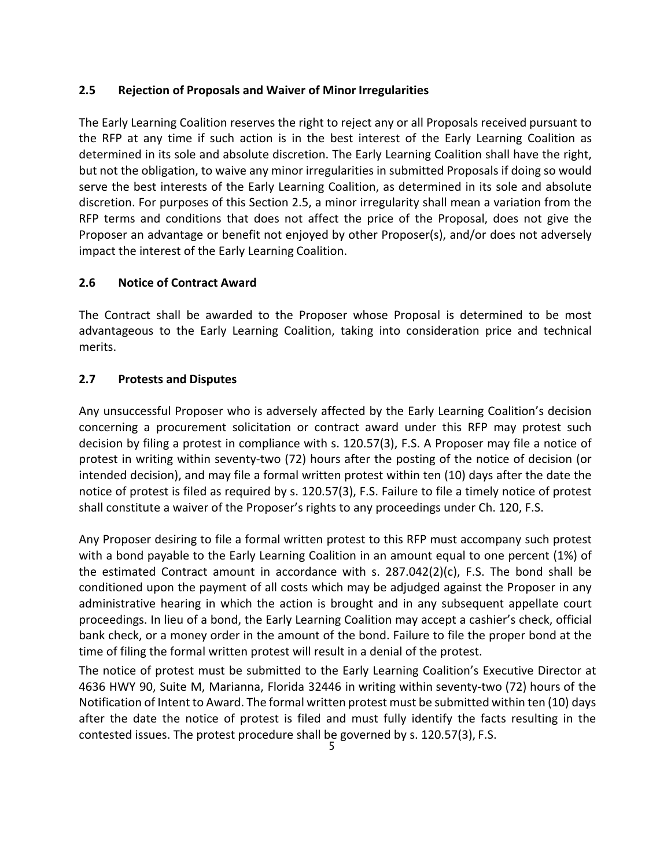## **2.5 Rejection of Proposals and Waiver of Minor Irregularities**

The Early Learning Coalition reserves the right to reject any or all Proposals received pursuant to the RFP at any time if such action is in the best interest of the Early Learning Coalition as determined in its sole and absolute discretion. The Early Learning Coalition shall have the right, but not the obligation, to waive any minor irregularities in submitted Proposals if doing so would serve the best interests of the Early Learning Coalition, as determined in its sole and absolute discretion. For purposes of this Section 2.5, a minor irregularity shall mean a variation from the RFP terms and conditions that does not affect the price of the Proposal, does not give the Proposer an advantage or benefit not enjoyed by other Proposer(s), and/or does not adversely impact the interest of the Early Learning Coalition.

## **2.6 Notice of Contract Award**

The Contract shall be awarded to the Proposer whose Proposal is determined to be most advantageous to the Early Learning Coalition, taking into consideration price and technical merits.

## **2.7 Protests and Disputes**

Any unsuccessful Proposer who is adversely affected by the Early Learning Coalition's decision concerning a procurement solicitation or contract award under this RFP may protest such decision by filing a protest in compliance with s. 120.57(3), F.S. A Proposer may file a notice of protest in writing within seventy-two (72) hours after the posting of the notice of decision (or intended decision), and may file a formal written protest within ten (10) days after the date the notice of protest is filed as required by s. 120.57(3), F.S. Failure to file a timely notice of protest shall constitute a waiver of the Proposer's rights to any proceedings under Ch. 120, F.S.

Any Proposer desiring to file a formal written protest to this RFP must accompany such protest with a bond payable to the Early Learning Coalition in an amount equal to one percent (1%) of the estimated Contract amount in accordance with s. 287.042(2)(c), F.S. The bond shall be conditioned upon the payment of all costs which may be adjudged against the Proposer in any administrative hearing in which the action is brought and in any subsequent appellate court proceedings. In lieu of a bond, the Early Learning Coalition may accept a cashier's check, official bank check, or a money order in the amount of the bond. Failure to file the proper bond at the time of filing the formal written protest will result in a denial of the protest.

The notice of protest must be submitted to the Early Learning Coalition's Executive Director at 4636 HWY 90, Suite M, Marianna, Florida 32446 in writing within seventy-two (72) hours of the Notification of Intent to Award. The formal written protest must be submitted within ten (10) days after the date the notice of protest is filed and must fully identify the facts resulting in the contested issues. The protest procedure shall be governed by s. 120.57(3), F.S.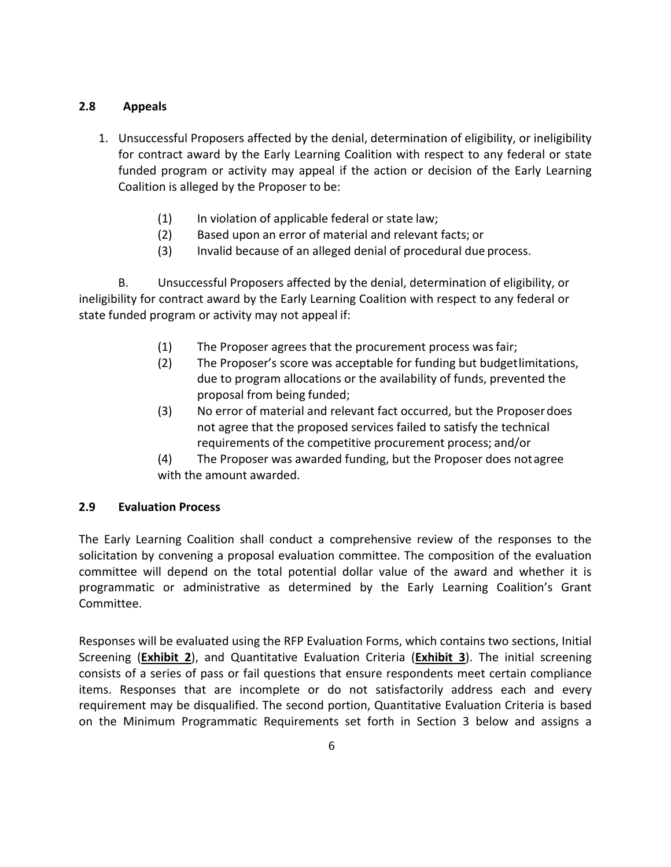## **2.8 Appeals**

- 1. Unsuccessful Proposers affected by the denial, determination of eligibility, or ineligibility for contract award by the Early Learning Coalition with respect to any federal or state funded program or activity may appeal if the action or decision of the Early Learning Coalition is alleged by the Proposer to be:
	- (1) In violation of applicable federal or state law;
	- (2) Based upon an error of material and relevant facts; or
	- (3) Invalid because of an alleged denial of procedural due process.

B. Unsuccessful Proposers affected by the denial, determination of eligibility, or ineligibility for contract award by the Early Learning Coalition with respect to any federal or state funded program or activity may not appeal if:

- (1) The Proposer agrees that the procurement process wasfair;
- (2) The Proposer's score was acceptable for funding but budgetlimitations, due to program allocations or the availability of funds, prevented the proposal from being funded;
- (3) No error of material and relevant fact occurred, but the Proposer does not agree that the proposed services failed to satisfy the technical requirements of the competitive procurement process; and/or
- (4) The Proposer was awarded funding, but the Proposer does notagree with the amount awarded.

## **2.9 Evaluation Process**

The Early Learning Coalition shall conduct a comprehensive review of the responses to the solicitation by convening a proposal evaluation committee. The composition of the evaluation committee will depend on the total potential dollar value of the award and whether it is programmatic or administrative as determined by the Early Learning Coalition's Grant Committee.

Responses will be evaluated using the RFP Evaluation Forms, which contains two sections, Initial Screening (**Exhibit 2**), and Quantitative Evaluation Criteria (**Exhibit 3**). The initial screening consists of a series of pass or fail questions that ensure respondents meet certain compliance items. Responses that are incomplete or do not satisfactorily address each and every requirement may be disqualified. The second portion, Quantitative Evaluation Criteria is based on the Minimum Programmatic Requirements set forth in Section 3 below and assigns a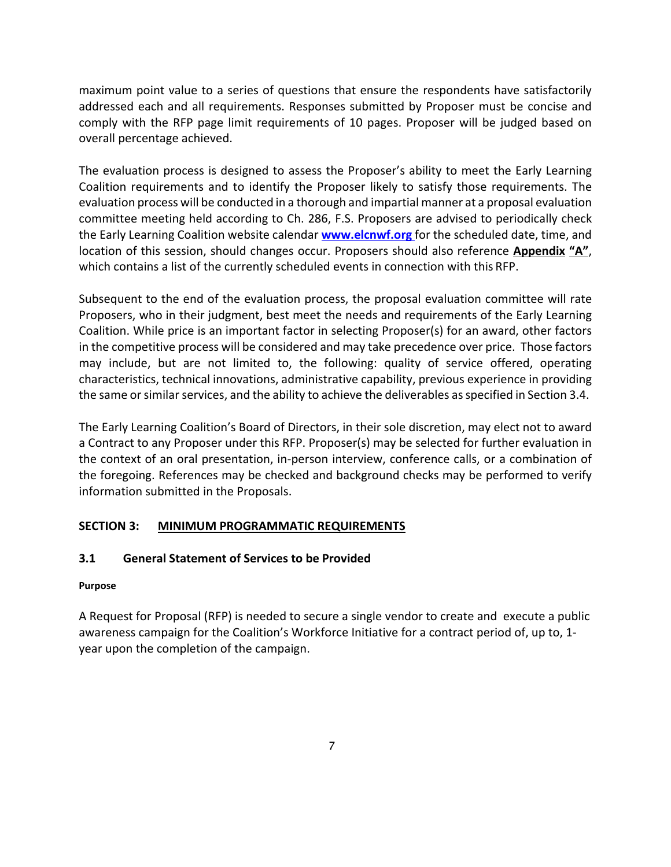maximum point value to a series of questions that ensure the respondents have satisfactorily addressed each and all requirements. Responses submitted by Proposer must be concise and comply with the RFP page limit requirements of 10 pages. Proposer will be judged based on overall percentage achieved.

The evaluation process is designed to assess the Proposer's ability to meet the Early Learning Coalition requirements and to identify the Proposer likely to satisfy those requirements. The evaluation process will be conducted in a thorough and impartial manner at a proposal evaluation committee meeting held according to Ch. 286, F.S. Proposers are advised to periodically check the Early Learning Coalition website calendar **www.elcnwf.org** for the scheduled date, time, and location of this session, should changes occur. Proposers should also reference **Appendix "A"**, which contains a list of the currently scheduled events in connection with this RFP.

Subsequent to the end of the evaluation process, the proposal evaluation committee will rate Proposers, who in their judgment, best meet the needs and requirements of the Early Learning Coalition. While price is an important factor in selecting Proposer(s) for an award, other factors in the competitive process will be considered and may take precedence over price. Those factors may include, but are not limited to, the following: quality of service offered, operating characteristics, technical innovations, administrative capability, previous experience in providing the same or similar services, and the ability to achieve the deliverables as specified in Section 3.4.

The Early Learning Coalition's Board of Directors, in their sole discretion, may elect not to award a Contract to any Proposer under this RFP. Proposer(s) may be selected for further evaluation in the context of an oral presentation, in-person interview, conference calls, or a combination of the foregoing. References may be checked and background checks may be performed to verify information submitted in the Proposals.

## **SECTION 3: MINIMUM PROGRAMMATIC REQUIREMENTS**

## **3.1 General Statement of Services to be Provided**

#### **Purpose**

A Request for Proposal (RFP) is needed to secure a single vendor to create and execute a public awareness campaign for the Coalition's Workforce Initiative for a contract period of, up to, 1 year upon the completion of the campaign.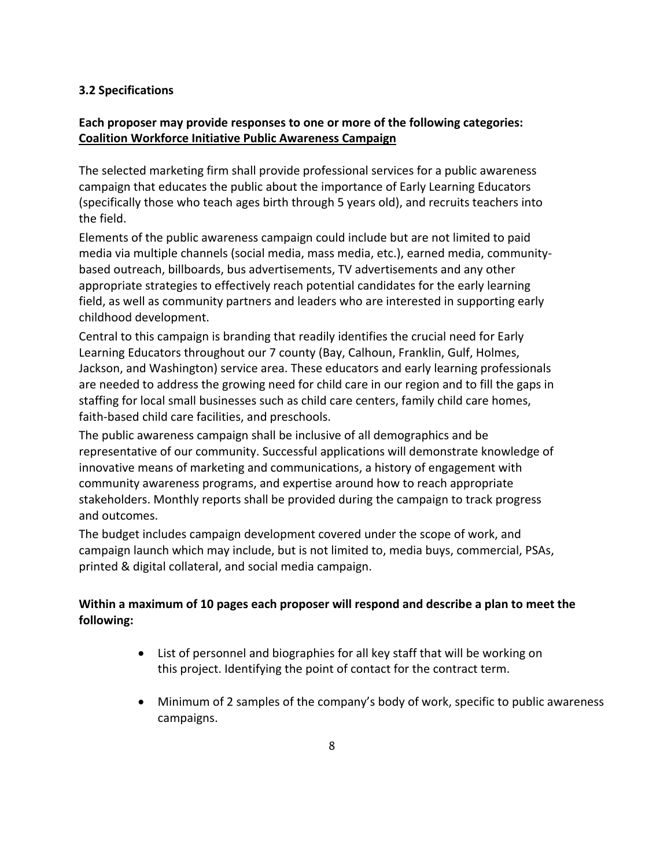## **3.2 Specifications**

## **Each proposer may provide responses to one or more of the following categories: Coalition Workforce Initiative Public Awareness Campaign**

The selected marketing firm shall provide professional services for a public awareness campaign that educates the public about the importance of Early Learning Educators (specifically those who teach ages birth through 5 years old), and recruits teachers into the field.

Elements of the public awareness campaign could include but are not limited to paid media via multiple channels (social media, mass media, etc.), earned media, communitybased outreach, billboards, bus advertisements, TV advertisements and any other appropriate strategies to effectively reach potential candidates for the early learning field, as well as community partners and leaders who are interested in supporting early childhood development.

Central to this campaign is branding that readily identifies the crucial need for Early Learning Educators throughout our 7 county (Bay, Calhoun, Franklin, Gulf, Holmes, Jackson, and Washington) service area. These educators and early learning professionals are needed to address the growing need for child care in our region and to fill the gaps in staffing for local small businesses such as child care centers, family child care homes, faith-based child care facilities, and preschools.

The public awareness campaign shall be inclusive of all demographics and be representative of our community. Successful applications will demonstrate knowledge of innovative means of marketing and communications, a history of engagement with community awareness programs, and expertise around how to reach appropriate stakeholders. Monthly reports shall be provided during the campaign to track progress and outcomes.

The budget includes campaign development covered under the scope of work, and campaign launch which may include, but is not limited to, media buys, commercial, PSAs, printed & digital collateral, and social media campaign.

## **Within a maximum of 10 pages each proposer will respond and describe a plan to meet the following:**

- List of personnel and biographies for all key staff that will be working on this project. Identifying the point of contact for the contract term.
- Minimum of 2 samples of the company's body of work, specific to public awareness campaigns.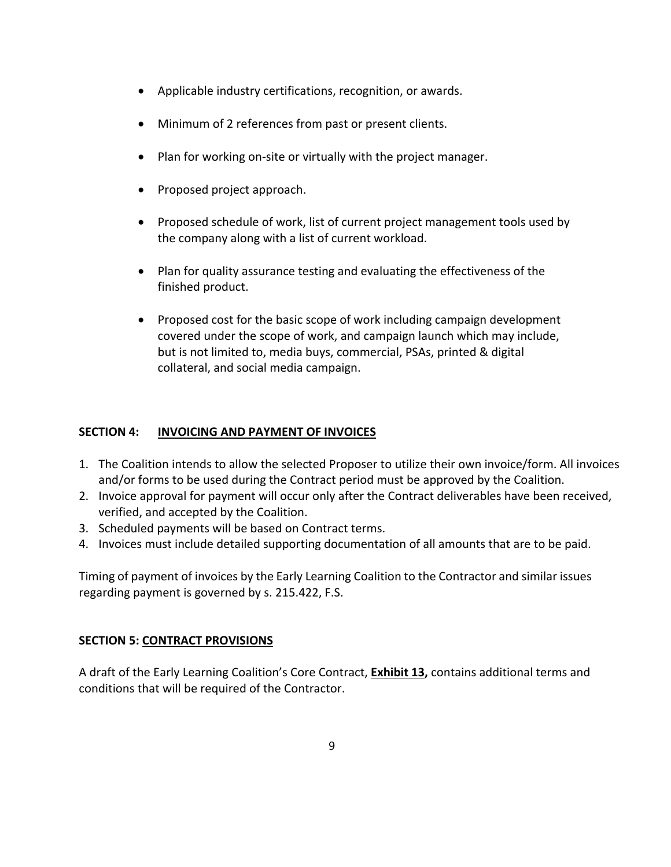- Applicable industry certifications, recognition, or awards.
- Minimum of 2 references from past or present clients.
- Plan for working on-site or virtually with the project manager.
- Proposed project approach.
- Proposed schedule of work, list of current project management tools used by the company along with a list of current workload.
- Plan for quality assurance testing and evaluating the effectiveness of the finished product.
- Proposed cost for the basic scope of work including campaign development covered under the scope of work, and campaign launch which may include, but is not limited to, media buys, commercial, PSAs, printed & digital collateral, and social media campaign.

## **SECTION 4: INVOICING AND PAYMENT OF INVOICES**

- 1. The Coalition intends to allow the selected Proposer to utilize their own invoice/form. All invoices and/or forms to be used during the Contract period must be approved by the Coalition.
- 2. Invoice approval for payment will occur only after the Contract deliverables have been received, verified, and accepted by the Coalition.
- 3. Scheduled payments will be based on Contract terms.
- 4. Invoices must include detailed supporting documentation of all amounts that are to be paid.

Timing of payment of invoices by the Early Learning Coalition to the Contractor and similar issues regarding payment is governed by s. 215.422, F.S.

## **SECTION 5: CONTRACT PROVISIONS**

A draft of the Early Learning Coalition's Core Contract, **Exhibit 13,** contains additional terms and conditions that will be required of the Contractor.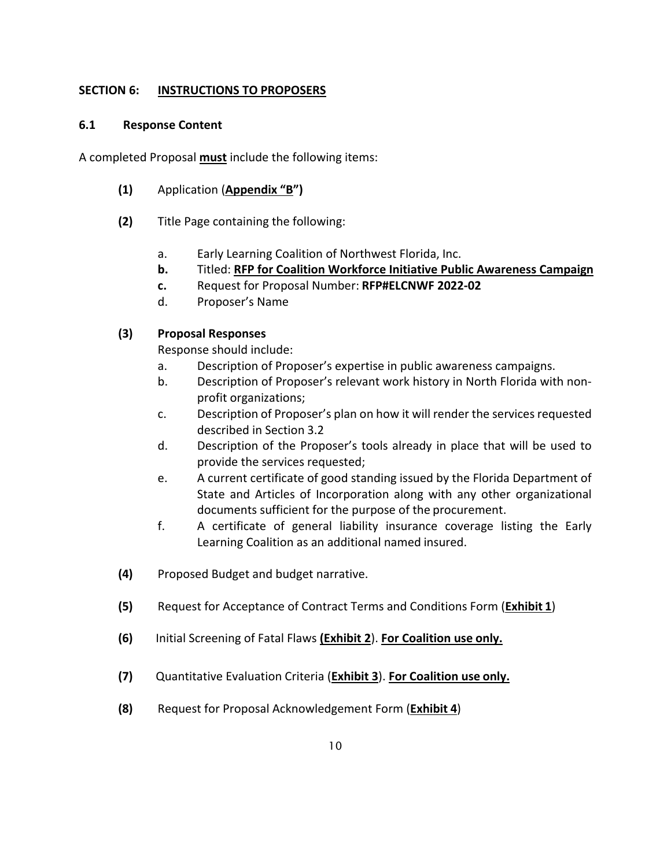## **SECTION 6: INSTRUCTIONS TO PROPOSERS**

#### **6.1 Response Content**

A completed Proposal **must** include the following items:

- **(1)** Application (**Appendix "B")**
- **(2)** Title Page containing the following:
	- a. Early Learning Coalition of Northwest Florida, Inc.
	- **b.** Titled: **RFP for Coalition Workforce Initiative Public Awareness Campaign**
	- **c.** Request for Proposal Number: **RFP#ELCNWF 2022-02**
	- d. Proposer's Name

## **(3) Proposal Responses**

Response should include:

- a. Description of Proposer's expertise in public awareness campaigns.
- b. Description of Proposer's relevant work history in North Florida with nonprofit organizations;
- c. Description of Proposer's plan on how it will render the services requested described in Section 3.2
- d. Description of the Proposer's tools already in place that will be used to provide the services requested;
- e. A current certificate of good standing issued by the Florida Department of State and Articles of Incorporation along with any other organizational documents sufficient for the purpose of the procurement.
- f. A certificate of general liability insurance coverage listing the Early Learning Coalition as an additional named insured.
- **(4)** Proposed Budget and budget narrative.
- **(5)** Request for Acceptance of Contract Terms and Conditions Form (**Exhibit 1**)
- **(6)** Initial Screening of Fatal Flaws **(Exhibit 2**). **For Coalition use only.**
- **(7)** Quantitative Evaluation Criteria (**Exhibit 3**). **For Coalition use only.**
- **(8)** Request for Proposal Acknowledgement Form (**Exhibit 4**)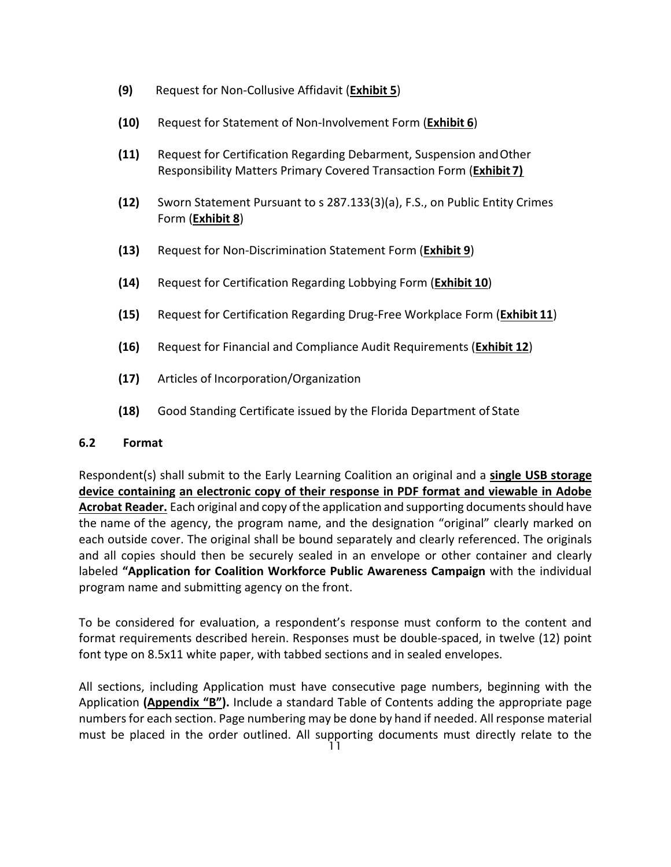- **(9)** Request for Non-Collusive Affidavit (**Exhibit 5**)
- **(10)** Request for Statement of Non-Involvement Form (**Exhibit 6**)
- **(11)** Request for Certification Regarding Debarment, Suspension andOther Responsibility Matters Primary Covered Transaction Form (**Exhibit 7)**
- **(12)** Sworn Statement Pursuant to s 287.133(3)(a), F.S., on Public Entity Crimes Form (**Exhibit 8**)
- **(13)** Request for Non-Discrimination Statement Form (**Exhibit 9**)
- **(14)** Request for Certification Regarding Lobbying Form (**Exhibit 10**)
- **(15)** Request for Certification Regarding Drug-Free Workplace Form (**Exhibit 11**)
- **(16)** Request for Financial and Compliance Audit Requirements (**Exhibit 12**)
- **(17)** Articles of Incorporation/Organization
- **(18)** Good Standing Certificate issued by the Florida Department of State

## **6.2 Format**

Respondent(s) shall submit to the Early Learning Coalition an original and a **single USB storage device containing an electronic copy of their response in PDF format and viewable in Adobe**  Acrobat Reader. Each original and copy of the application and supporting documents should have the name of the agency, the program name, and the designation "original" clearly marked on each outside cover. The original shall be bound separately and clearly referenced. The originals and all copies should then be securely sealed in an envelope or other container and clearly labeled **"Application for Coalition Workforce Public Awareness Campaign** with the individual program name and submitting agency on the front.

To be considered for evaluation, a respondent's response must conform to the content and format requirements described herein. Responses must be double-spaced, in twelve (12) point font type on 8.5x11 white paper, with tabbed sections and in sealed envelopes.

All sections, including Application must have consecutive page numbers, beginning with the Application **(Appendix "B").** Include a standard Table of Contents adding the appropriate page numbers for each section. Page numbering may be done by hand if needed. All response material must be placed in the order outlined. All supporting documents must directly relate to the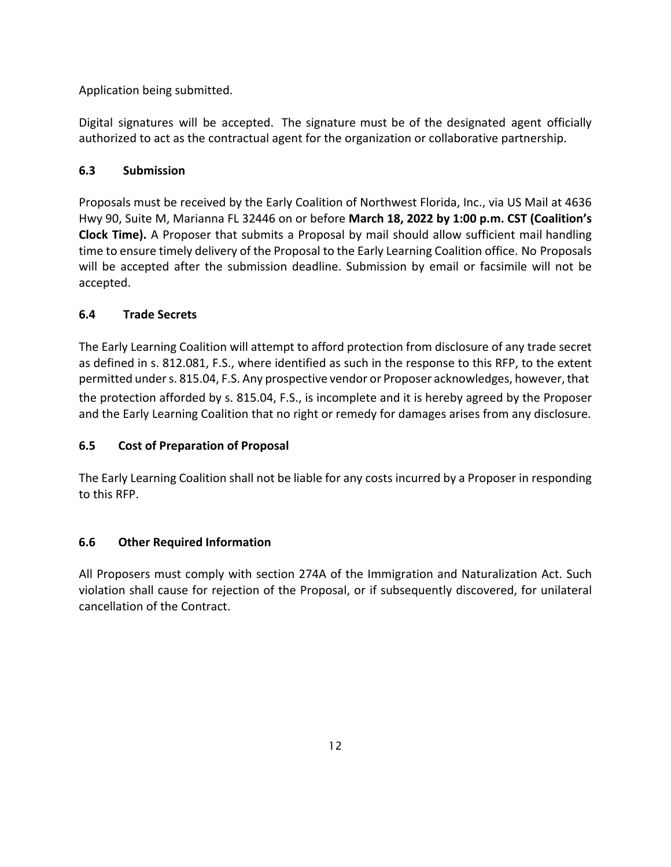Application being submitted.

Digital signatures will be accepted. The signature must be of the designated agent officially authorized to act as the contractual agent for the organization or collaborative partnership.

## **6.3 Submission**

Proposals must be received by the Early Coalition of Northwest Florida, Inc., via US Mail at 4636 Hwy 90, Suite M, Marianna FL 32446 on or before **March 18, 2022 by 1:00 p.m. CST (Coalition's Clock Time).** A Proposer that submits a Proposal by mail should allow sufficient mail handling time to ensure timely delivery of the Proposal to the Early Learning Coalition office. No Proposals will be accepted after the submission deadline. Submission by email or facsimile will not be accepted.

## **6.4 Trade Secrets**

The Early Learning Coalition will attempt to afford protection from disclosure of any trade secret as defined in s. 812.081, F.S., where identified as such in the response to this RFP, to the extent permitted under s. 815.04, F.S. Any prospective vendor or Proposer acknowledges, however, that the protection afforded by s. 815.04, F.S., is incomplete and it is hereby agreed by the Proposer and the Early Learning Coalition that no right or remedy for damages arises from any disclosure.

## **6.5 Cost of Preparation of Proposal**

The Early Learning Coalition shall not be liable for any costs incurred by a Proposer in responding to this RFP.

## **6.6 Other Required Information**

All Proposers must comply with section 274A of the Immigration and Naturalization Act. Such violation shall cause for rejection of the Proposal, or if subsequently discovered, for unilateral cancellation of the Contract.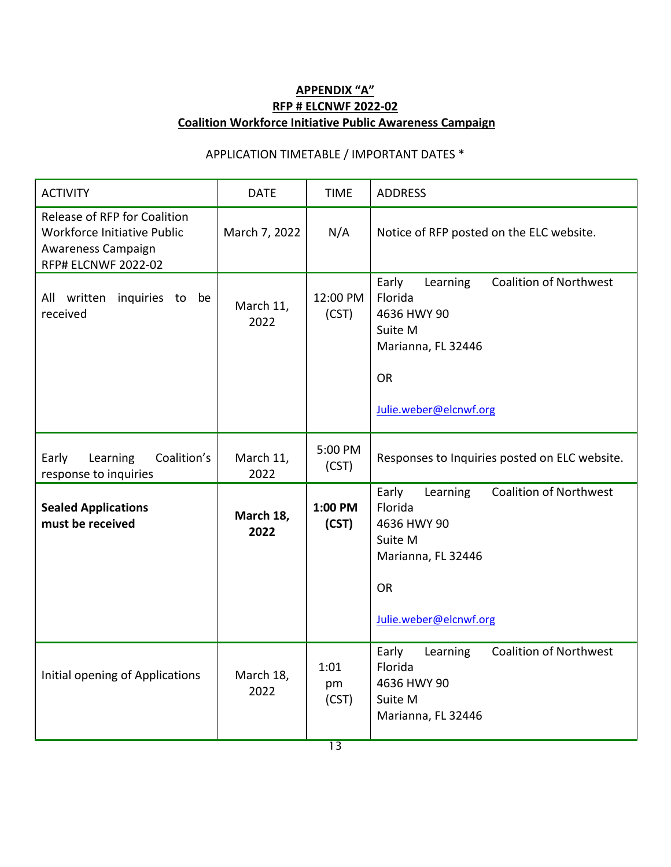## **APPENDIX "A" RFP # ELCNWF 2022-02 Coalition Workforce Initiative Public Awareness Campaign**

## APPLICATION TIMETABLE / IMPORTANT DATES \*

| <b>ACTIVITY</b>                                                                                                        | <b>DATE</b>       | <b>TIME</b>         | <b>ADDRESS</b>                                                                                                                                       |
|------------------------------------------------------------------------------------------------------------------------|-------------------|---------------------|------------------------------------------------------------------------------------------------------------------------------------------------------|
| Release of RFP for Coalition<br><b>Workforce Initiative Public</b><br>Awareness Campaign<br><b>RFP# ELCNWF 2022-02</b> | March 7, 2022     | N/A                 | Notice of RFP posted on the ELC website.                                                                                                             |
| All written<br>inquiries to be<br>received                                                                             | March 11,<br>2022 | 12:00 PM<br>(CST)   | Early<br><b>Coalition of Northwest</b><br>Learning<br>Florida<br>4636 HWY 90<br>Suite M<br>Marianna, FL 32446<br><b>OR</b><br>Julie.weber@elcnwf.org |
| Coalition's<br>Early<br>Learning<br>response to inquiries                                                              | March 11,<br>2022 | 5:00 PM<br>(CST)    | Responses to Inquiries posted on ELC website.                                                                                                        |
| <b>Sealed Applications</b><br>must be received                                                                         | March 18,<br>2022 | 1:00 PM<br>(CST)    | Early<br><b>Coalition of Northwest</b><br>Learning<br>Florida<br>4636 HWY 90<br>Suite M<br>Marianna, FL 32446<br><b>OR</b><br>Julie.weber@elcnwf.org |
| Initial opening of Applications                                                                                        | March 18,<br>2022 | 1:01<br>pm<br>(CST) | <b>Coalition of Northwest</b><br>Early<br>Learning<br>Florida<br>4636 HWY 90<br>Suite M<br>Marianna, FL 32446                                        |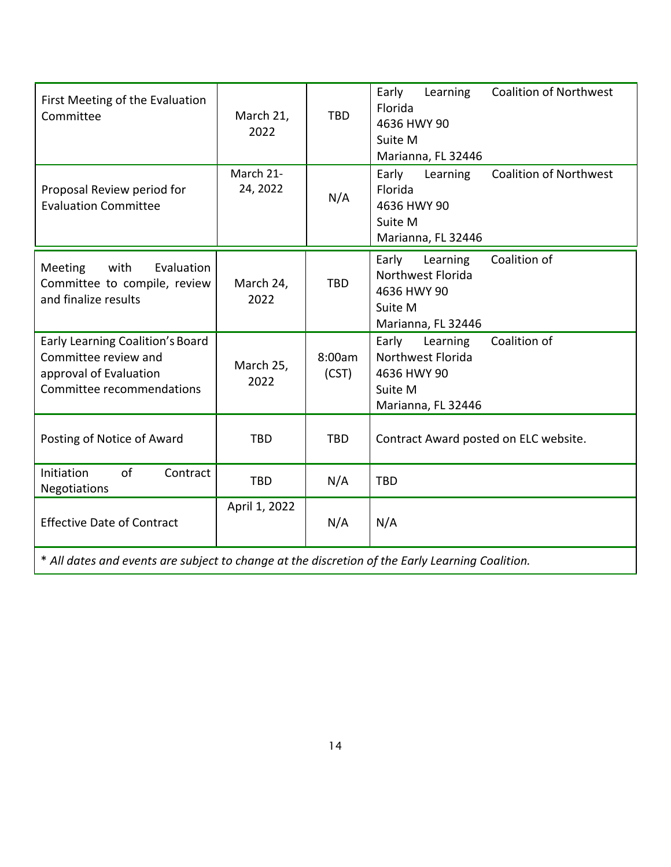| First Meeting of the Evaluation<br>Committee                                                                    | March 21,<br>2022     | <b>TBD</b>      | Early<br><b>Coalition of Northwest</b><br>Learning<br>Florida<br>4636 HWY 90<br>Suite M<br>Marianna, FL 32446 |
|-----------------------------------------------------------------------------------------------------------------|-----------------------|-----------------|---------------------------------------------------------------------------------------------------------------|
| Proposal Review period for<br><b>Evaluation Committee</b>                                                       | March 21-<br>24, 2022 | N/A             | <b>Coalition of Northwest</b><br>Early<br>Learning<br>Florida<br>4636 HWY 90<br>Suite M<br>Marianna, FL 32446 |
| Meeting<br>with<br>Evaluation<br>Committee to compile, review<br>and finalize results                           | March 24,<br>2022     | <b>TBD</b>      | Coalition of<br>Early<br>Learning<br>Northwest Florida<br>4636 HWY 90<br>Suite M<br>Marianna, FL 32446        |
| Early Learning Coalition's Board<br>Committee review and<br>approval of Evaluation<br>Committee recommendations | March 25,<br>2022     | 8:00am<br>(CST) | Coalition of<br>Early<br>Learning<br>Northwest Florida<br>4636 HWY 90<br>Suite M<br>Marianna, FL 32446        |
| Posting of Notice of Award                                                                                      | <b>TBD</b>            | <b>TBD</b>      | Contract Award posted on ELC website.                                                                         |
| of<br>Initiation<br>Contract<br><b>Negotiations</b>                                                             | <b>TBD</b>            | N/A             | <b>TBD</b>                                                                                                    |
| <b>Effective Date of Contract</b>                                                                               | April 1, 2022         | N/A             | N/A                                                                                                           |
| * All dates and events are subject to change at the discretion of the Early Learning Coalition.                 |                       |                 |                                                                                                               |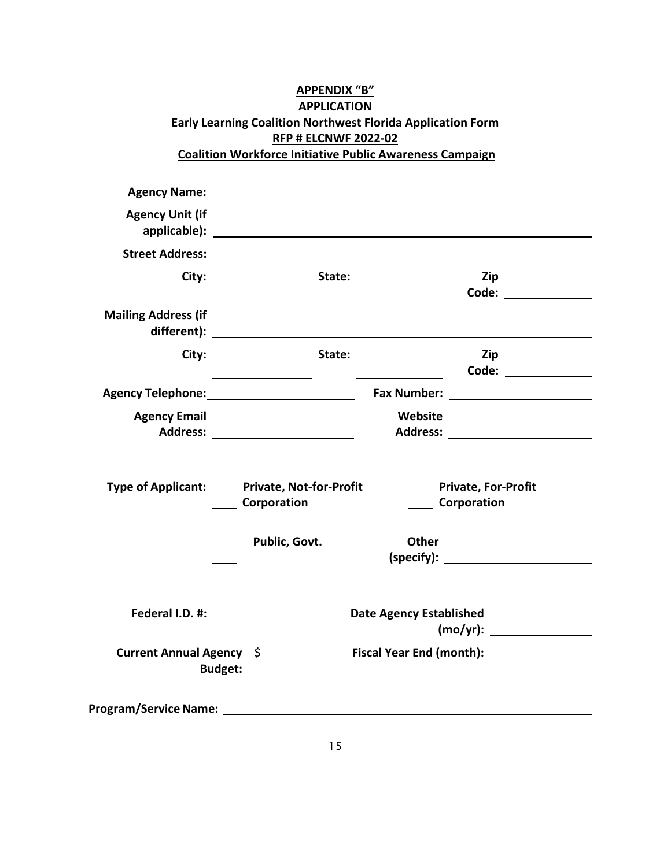## **APPENDIX "B" APPLICATION Early Learning Coalition Northwest Florida Application Form RFP # ELCNWF 2022-02 Coalition Workforce Initiative Public Awareness Campaign**

| <b>Agency Unit (if</b>     |                                                                                                                |                                 |                                                  |
|----------------------------|----------------------------------------------------------------------------------------------------------------|---------------------------------|--------------------------------------------------|
|                            |                                                                                                                |                                 |                                                  |
| City:                      | State:                                                                                                         |                                 | Zip                                              |
| <b>Mailing Address (if</b> |                                                                                                                |                                 |                                                  |
| City:                      | State:                                                                                                         |                                 | Zip                                              |
|                            |                                                                                                                |                                 |                                                  |
| <b>Agency Email</b>        |                                                                                                                | Website                         |                                                  |
| <b>Type of Applicant:</b>  | <b>Private, Not-for-Profit</b><br><b>Corporation</b>                                                           |                                 | <b>Private, For-Profit</b><br><b>Corporation</b> |
|                            | Public, Govt.                                                                                                  | <b>Other</b>                    | (specify):                                       |
| Federal I.D. #:            |                                                                                                                | <b>Date Agency Established</b>  | (mo/yr):                                         |
| Current Annual Agency \$   | Budget: ______________                                                                                         | <b>Fiscal Year End (month):</b> |                                                  |
|                            | Program/Service Name: North and the control of the control of the control of the control of the control of the |                                 |                                                  |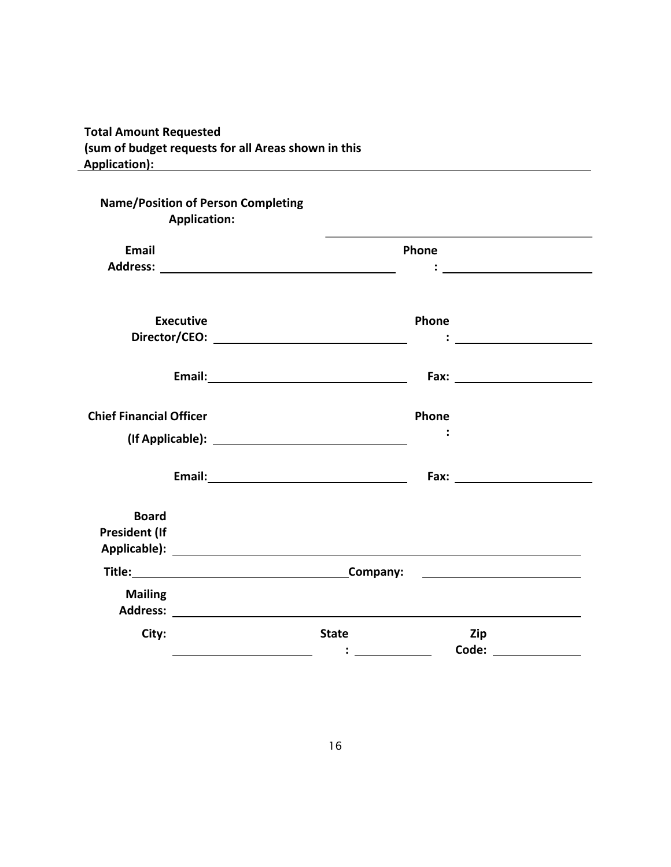## **Total Amount Requested (sum of budget requests for all Areas shown in this Application):**

|                                      | <b>Name/Position of Person Completing</b><br><b>Application:</b>                                                                                                                                                               |              |       |                                                                                                                       |
|--------------------------------------|--------------------------------------------------------------------------------------------------------------------------------------------------------------------------------------------------------------------------------|--------------|-------|-----------------------------------------------------------------------------------------------------------------------|
| <b>Email</b>                         |                                                                                                                                                                                                                                |              | Phone |                                                                                                                       |
|                                      |                                                                                                                                                                                                                                |              |       | <u>: _____________________</u>                                                                                        |
|                                      | <b>Executive</b>                                                                                                                                                                                                               |              | Phone |                                                                                                                       |
|                                      | Email: 2008 Contract Contract Contract Contract Contract Contract Contract Contract Contract Contract Contract Contract Contract Contract Contract Contract Contract Contract Contract Contract Contract Contract Contract Con |              |       |                                                                                                                       |
| <b>Chief Financial Officer</b>       |                                                                                                                                                                                                                                |              | Phone |                                                                                                                       |
|                                      | (If Applicable): <u>All Applicable</u>                                                                                                                                                                                         |              |       |                                                                                                                       |
|                                      | Email: 2008 Contract Contract Contract Contract Contract Contract Contract Contract Contract Contract Contract Contract Contract Contract Contract Contract Contract Contract Contract Contract Contract Contract Contract Con |              |       | Fax: Exercise and Exercise and Exercise and Exercise                                                                  |
| <b>Board</b><br><b>President (If</b> |                                                                                                                                                                                                                                |              |       |                                                                                                                       |
|                                      | Title: Company:                                                                                                                                                                                                                |              |       | <u> Listen de la construcción de la construcción de la construcción de la construcción de la construcción de la c</u> |
| <b>Mailing</b>                       | Address: the contract of the contract of the contract of the contract of the contract of the contract of the contract of the contract of the contract of the contract of the contract of the contract of the contract of the c |              |       |                                                                                                                       |
| City:                                |                                                                                                                                                                                                                                | <b>State</b> | Zip   | Code: when the code:                                                                                                  |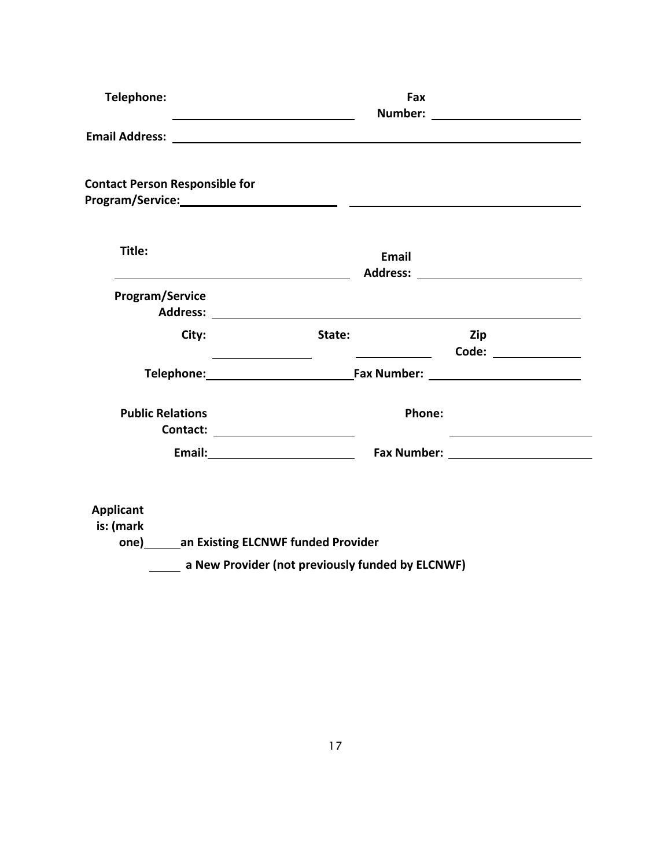| Telephone:                                                                                                                                                                                                                     | Number:                                                                                                                                                                                                                                             | Fax                                                                                                                                                                                                                            |
|--------------------------------------------------------------------------------------------------------------------------------------------------------------------------------------------------------------------------------|-----------------------------------------------------------------------------------------------------------------------------------------------------------------------------------------------------------------------------------------------------|--------------------------------------------------------------------------------------------------------------------------------------------------------------------------------------------------------------------------------|
|                                                                                                                                                                                                                                |                                                                                                                                                                                                                                                     |                                                                                                                                                                                                                                |
| <b>Contact Person Responsible for</b>                                                                                                                                                                                          |                                                                                                                                                                                                                                                     |                                                                                                                                                                                                                                |
| Title:<br><u> 1989 - Johann Barn, amerikansk politiker (d. 1989)</u>                                                                                                                                                           | <b>Email</b>                                                                                                                                                                                                                                        |                                                                                                                                                                                                                                |
| <b>Program/Service</b>                                                                                                                                                                                                         |                                                                                                                                                                                                                                                     |                                                                                                                                                                                                                                |
| City:                                                                                                                                                                                                                          | State:<br>$\overline{\phantom{a}}$ . The contract of the set of the set of the set of the set of the set of the set of the set of the set of the set of the set of the set of the set of the set of the set of the set of the set of the set of the | Zip<br>Code: _______________                                                                                                                                                                                                   |
|                                                                                                                                                                                                                                |                                                                                                                                                                                                                                                     | Telephone: Fax Number: Fax Number:                                                                                                                                                                                             |
| <b>Public Relations</b>                                                                                                                                                                                                        |                                                                                                                                                                                                                                                     | Phone:                                                                                                                                                                                                                         |
| Email: Management and Management and Management and Management and Management and Management and Management and Management and Management and Management and Management and Management and Management and Management and Manag |                                                                                                                                                                                                                                                     | Fax Number: The Contract of the Contract of the Contract of the Contract of the Contract of the Contract of the Contract of the Contract of the Contract of the Contract of the Contract of the Contract of the Contract of th |
| <b>Applicant</b><br>is: (mark<br>one) _______an Existing ELCNWF funded Provider                                                                                                                                                | a New Provider (not previously funded by ELCNWF)                                                                                                                                                                                                    |                                                                                                                                                                                                                                |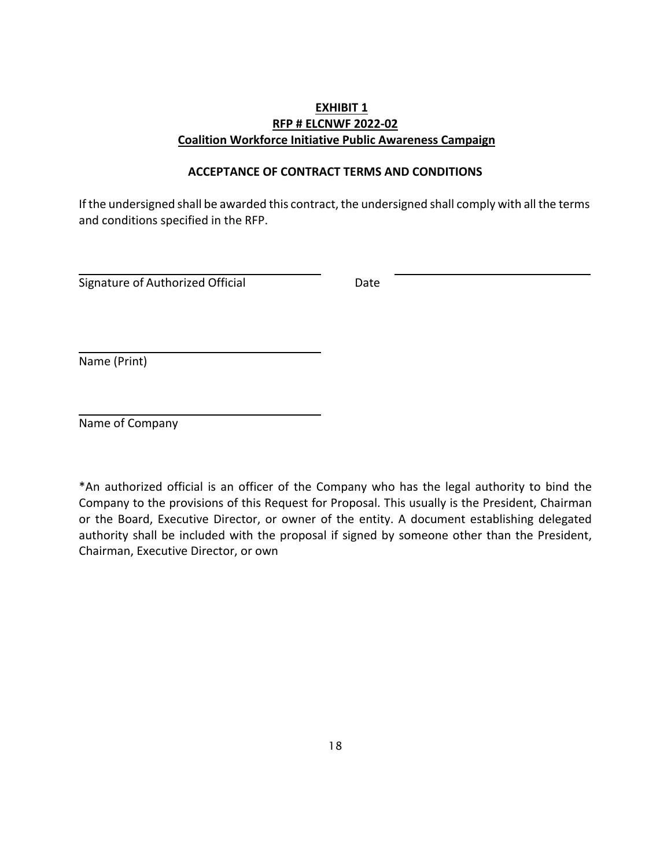## **EXHIBIT 1 RFP # ELCNWF 2022-02 Coalition Workforce Initiative Public Awareness Campaign**

## **ACCEPTANCE OF CONTRACT TERMS AND CONDITIONS**

If the undersigned shall be awarded this contract, the undersigned shall comply with all the terms and conditions specified in the RFP.

Signature of Authorized Official **Exercise Server** Date

Name (Print)

Name of Company

\*An authorized official is an officer of the Company who has the legal authority to bind the Company to the provisions of this Request for Proposal. This usually is the President, Chairman or the Board, Executive Director, or owner of the entity. A document establishing delegated authority shall be included with the proposal if signed by someone other than the President, Chairman, Executive Director, or own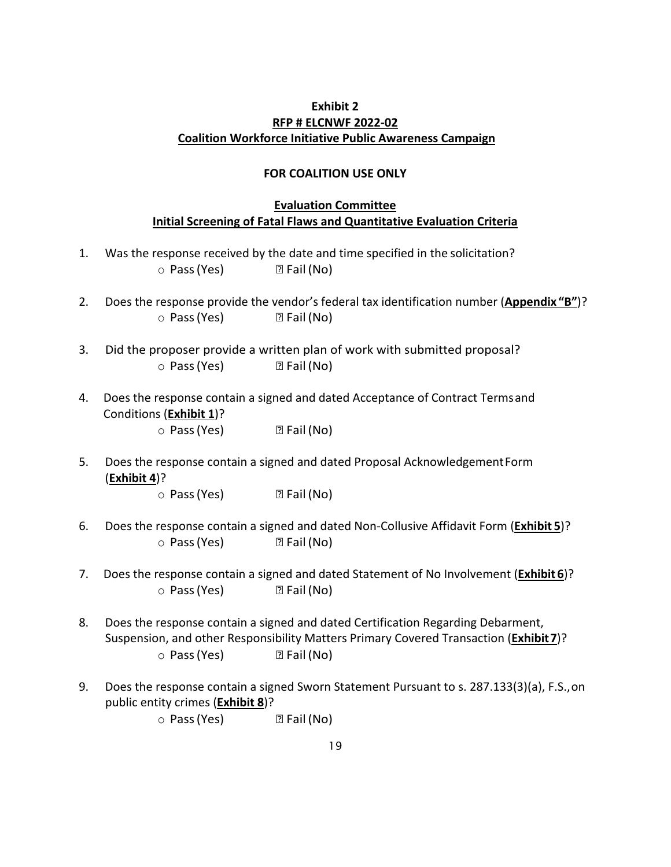## **Exhibit 2 RFP # ELCNWF 2022-02 Coalition Workforce Initiative Public Awareness Campaign**

#### **FOR COALITION USE ONLY**

## **Evaluation Committee Initial Screening of Fatal Flaws and Quantitative Evaluation Criteria**

- 1. Was the response received by the date and time specified in the solicitation?  $\circ$  Pass (Yes) 2 Fail (No)
- 2. Does the response provide the vendor's federal tax identification number (**Appendix "B"**)?  $\circ$  Pass (Yes) 2 Fail (No)
- 3. Did the proposer provide a written plan of work with submitted proposal?  $\circ$  Pass (Yes) 2 Fail (No)
- 4. Does the response contain a signed and dated Acceptance of Contract Termsand Conditions (**Exhibit 1**)?

 $\circ$  Pass (Yes) 2 Fail (No)

5. Does the response contain a signed and dated Proposal AcknowledgementForm (**Exhibit 4**)?

 $\circ$  Pass (Yes) 2 Fail (No)

- 6. Does the response contain a signed and dated Non-Collusive Affidavit Form (**Exhibit 5**)?  $\circ$  Pass (Yes) 2 Fail (No)
- 7. Does the response contain a signed and dated Statement of No Involvement (**Exhibit 6**)?  $\circ$  Pass (Yes) 2 Fail (No)
- 8. Does the response contain a signed and dated Certification Regarding Debarment, Suspension, and other Responsibility Matters Primary Covered Transaction (**Exhibit7**)?  $\circ$  Pass (Yes) 2 Fail (No)
- 9. Does the response contain a signed Sworn Statement Pursuant to s. 287.133(3)(a), F.S.,on public entity crimes (**Exhibit 8**)?

 $\circ$  Pass (Yes) 2 Fail (No)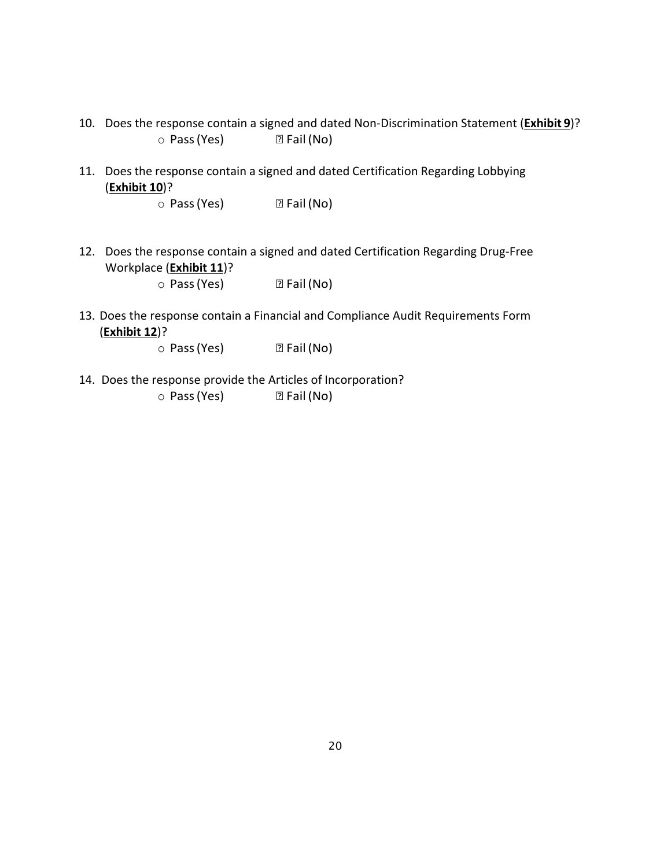- 10. Does the response contain a signed and dated Non-Discrimination Statement (**Exhibit 9**)?  $\circ$  Pass (Yes) 2 Fail (No)
- 11. Does the response contain a signed and dated Certification Regarding Lobbying (**Exhibit 10**)?
	- $\circ$  Pass (Yes) 2 Fail (No)
- 12. Does the response contain a signed and dated Certification Regarding Drug-Free Workplace (**Exhibit 11**)?

 $\circ$  Pass (Yes) 2 Fail (No)

13. Does the response contain a Financial and Compliance Audit Requirements Form (**Exhibit 12**)?

 $\circ$  Pass (Yes) 2 Fail (No)

14. Does the response provide the Articles of Incorporation?  $\circ$  Pass (Yes) 2 Fail (No)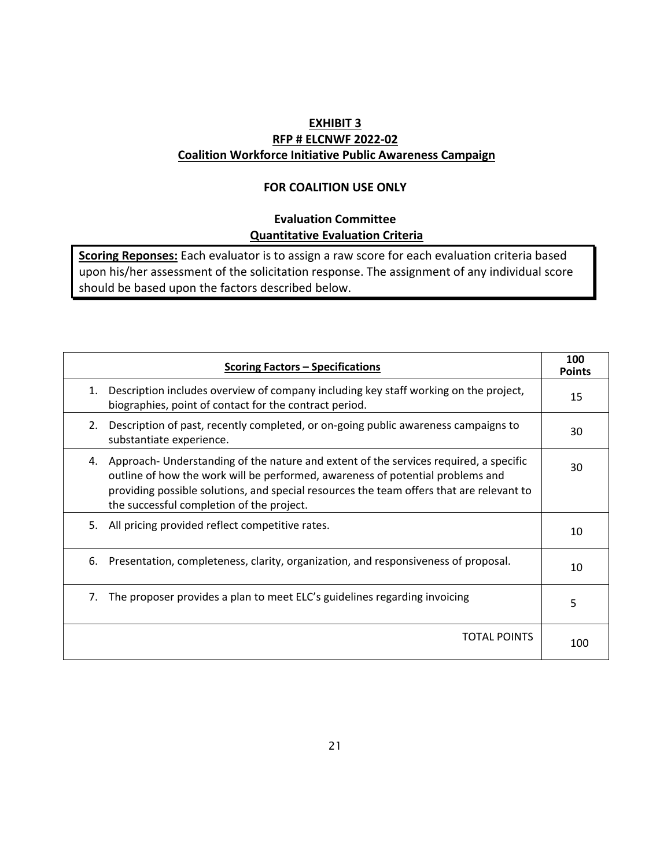## **EXHIBIT 3 RFP # ELCNWF 2022-02 Coalition Workforce Initiative Public Awareness Campaign**

## **FOR COALITION USE ONLY**

## **Evaluation Committee Quantitative Evaluation Criteria**

**Scoring Reponses:** Each evaluator is to assign a raw score for each evaluation criteria based upon his/her assessment of the solicitation response. The assignment of any individual score should be based upon the factors described below.

|    | <b>Scoring Factors - Specifications</b>                                                                                                                                                                                                                                                                          | 100<br><b>Points</b> |
|----|------------------------------------------------------------------------------------------------------------------------------------------------------------------------------------------------------------------------------------------------------------------------------------------------------------------|----------------------|
| 1. | Description includes overview of company including key staff working on the project,<br>biographies, point of contact for the contract period.                                                                                                                                                                   | 15                   |
| 2. | Description of past, recently completed, or on-going public awareness campaigns to<br>substantiate experience.                                                                                                                                                                                                   | 30                   |
| 4. | Approach- Understanding of the nature and extent of the services required, a specific<br>outline of how the work will be performed, awareness of potential problems and<br>providing possible solutions, and special resources the team offers that are relevant to<br>the successful completion of the project. | 30                   |
| 5. | All pricing provided reflect competitive rates.                                                                                                                                                                                                                                                                  | 10                   |
| 6. | Presentation, completeness, clarity, organization, and responsiveness of proposal.                                                                                                                                                                                                                               | 10                   |
| 7. | The proposer provides a plan to meet ELC's guidelines regarding invoicing                                                                                                                                                                                                                                        | 5                    |
|    | TOTAL POINTS                                                                                                                                                                                                                                                                                                     | 100                  |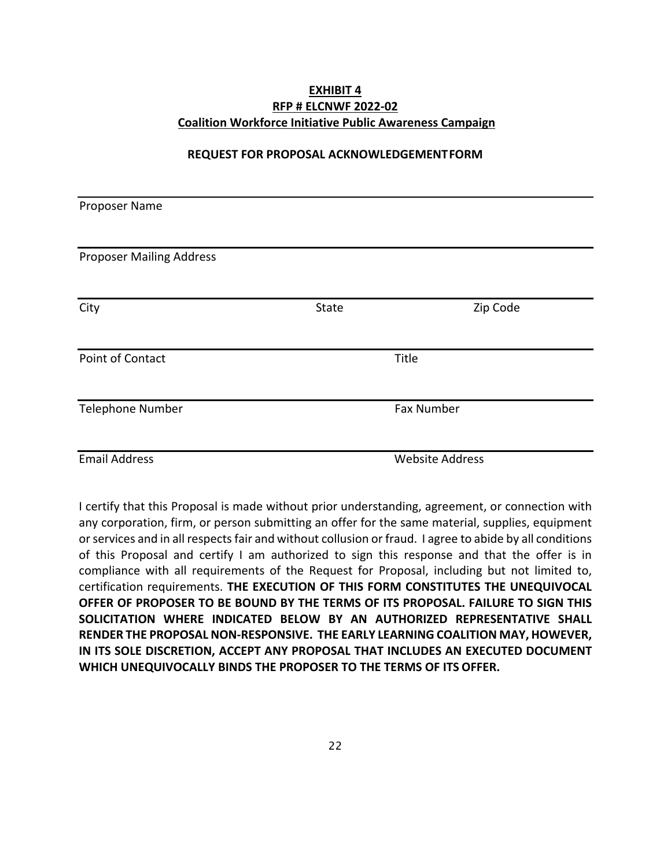## **EXHIBIT 4 RFP # ELCNWF 2022-02 Coalition Workforce Initiative Public Awareness Campaign**

#### **REQUEST FOR PROPOSAL ACKNOWLEDGEMENTFORM**

| Proposer Name                   |       |                        |  |
|---------------------------------|-------|------------------------|--|
|                                 |       |                        |  |
| <b>Proposer Mailing Address</b> |       |                        |  |
|                                 |       |                        |  |
| City                            | State | Zip Code               |  |
|                                 |       |                        |  |
| Point of Contact                |       | Title                  |  |
|                                 |       |                        |  |
| <b>Telephone Number</b>         |       | Fax Number             |  |
|                                 |       |                        |  |
| <b>Email Address</b>            |       | <b>Website Address</b> |  |

I certify that this Proposal is made without prior understanding, agreement, or connection with any corporation, firm, or person submitting an offer for the same material, supplies, equipment or services and in all respects fair and without collusion or fraud. I agree to abide by all conditions of this Proposal and certify I am authorized to sign this response and that the offer is in compliance with all requirements of the Request for Proposal, including but not limited to, certification requirements. **THE EXECUTION OF THIS FORM CONSTITUTES THE UNEQUIVOCAL OFFER OF PROPOSER TO BE BOUND BY THE TERMS OF ITS PROPOSAL. FAILURE TO SIGN THIS SOLICITATION WHERE INDICATED BELOW BY AN AUTHORIZED REPRESENTATIVE SHALL RENDER THE PROPOSAL NON-RESPONSIVE. THE EARLY LEARNING COALITION MAY, HOWEVER, IN ITS SOLE DISCRETION, ACCEPT ANY PROPOSAL THAT INCLUDES AN EXECUTED DOCUMENT WHICH UNEQUIVOCALLY BINDS THE PROPOSER TO THE TERMS OF ITS OFFER.**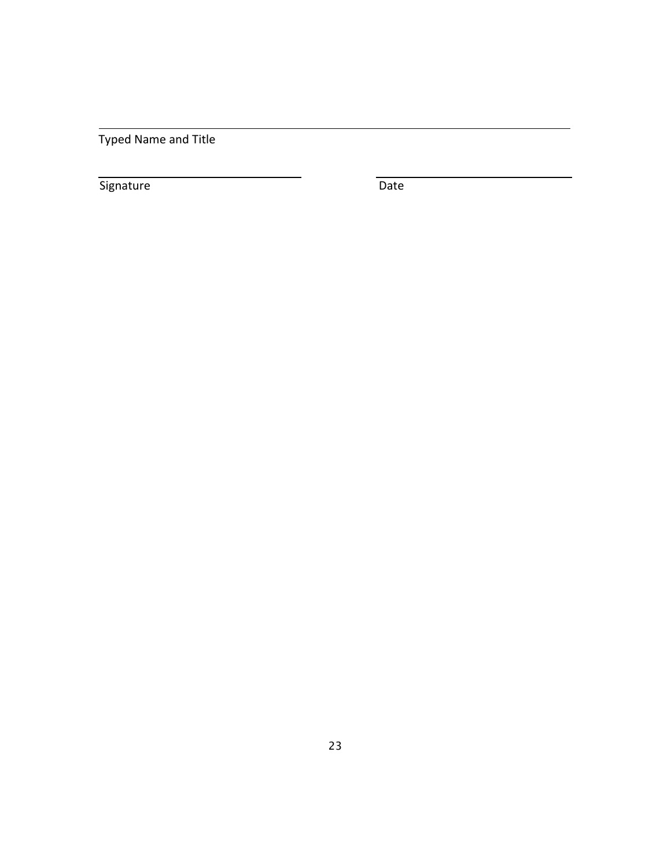Typed Name and Title

Signature Date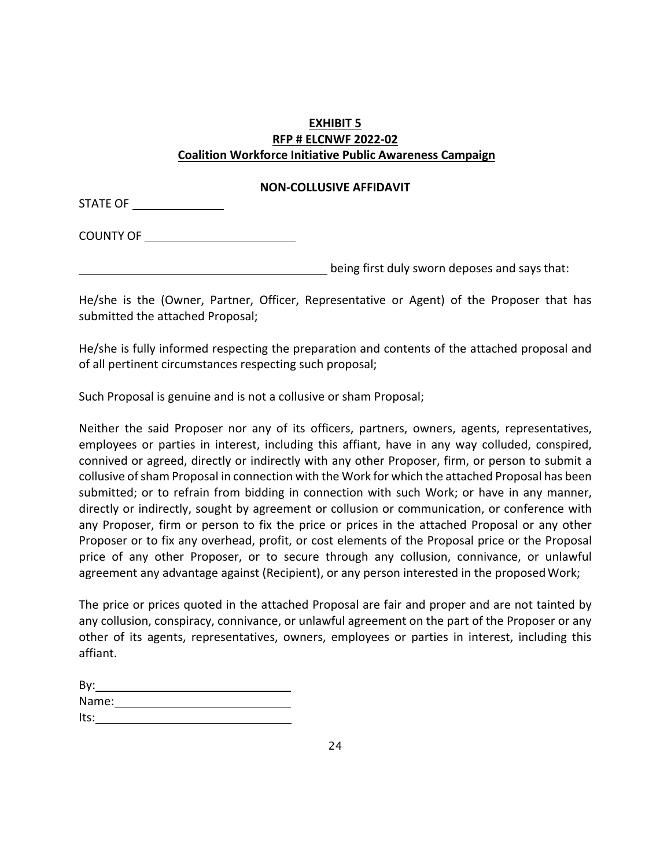## **EXHIBIT 5 RFP # ELCNWF 2022-02 Coalition Workforce Initiative Public Awareness Campaign**

## **NON-COLLUSIVE AFFIDAVIT**

STATE OF

COUNTY OF

being first duly sworn deposes and saysthat:

He/she is the (Owner, Partner, Officer, Representative or Agent) of the Proposer that has submitted the attached Proposal;

He/she is fully informed respecting the preparation and contents of the attached proposal and of all pertinent circumstances respecting such proposal;

Such Proposal is genuine and is not a collusive or sham Proposal;

Neither the said Proposer nor any of its officers, partners, owners, agents, representatives, employees or parties in interest, including this affiant, have in any way colluded, conspired, connived or agreed, directly or indirectly with any other Proposer, firm, or person to submit a collusive of sham Proposal in connection with the Work for which the attached Proposal has been submitted; or to refrain from bidding in connection with such Work; or have in any manner, directly or indirectly, sought by agreement or collusion or communication, or conference with any Proposer, firm or person to fix the price or prices in the attached Proposal or any other Proposer or to fix any overhead, profit, or cost elements of the Proposal price or the Proposal price of any other Proposer, or to secure through any collusion, connivance, or unlawful agreement any advantage against (Recipient), or any person interested in the proposedWork;

The price or prices quoted in the attached Proposal are fair and proper and are not tainted by any collusion, conspiracy, connivance, or unlawful agreement on the part of the Proposer or any other of its agents, representatives, owners, employees or parties in interest, including this affiant.

| By:   |  |  |  |
|-------|--|--|--|
| Name: |  |  |  |
| Its:  |  |  |  |
|       |  |  |  |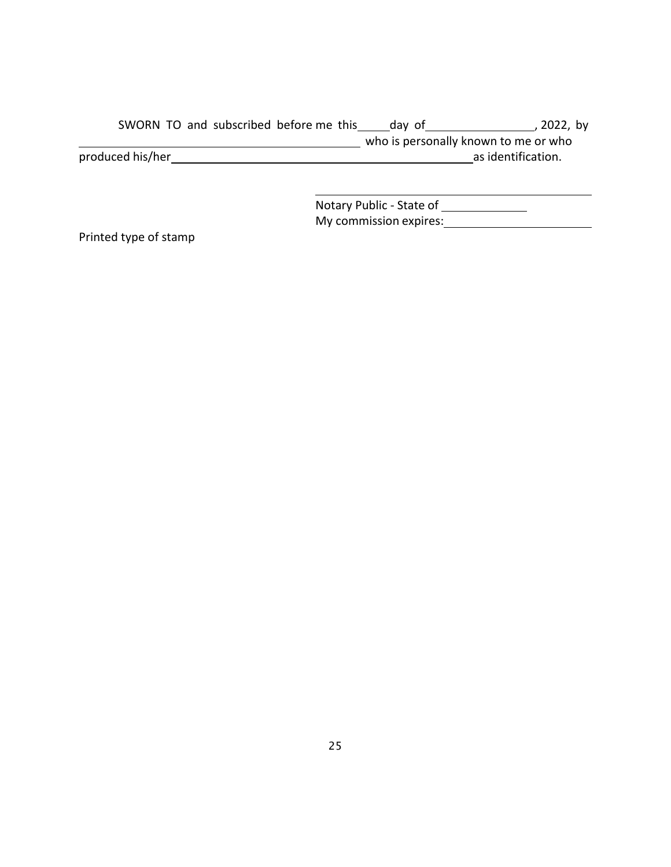SWORN TO and subscribed before me this \_\_\_\_\_day of \_\_\_\_\_\_\_\_\_\_\_\_\_\_\_\_\_\_, 2022, by who is personally known to me or who produced his/her as identification.

> Notary Public - State of \_\_\_\_\_\_\_\_\_\_\_\_\_\_ My commission expires: **With an Internal Commission expires:**

Printed type of stamp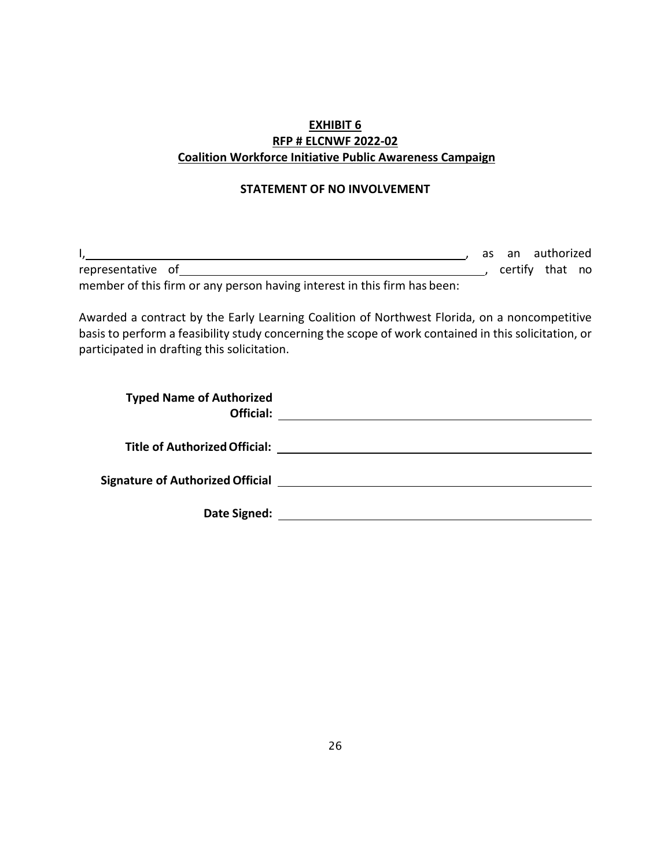## **EXHIBIT 6 RFP # ELCNWF 2022-02 Coalition Workforce Initiative Public Awareness Campaign**

## **STATEMENT OF NO INVOLVEMENT**

|                                                                          | as an authorized |  |
|--------------------------------------------------------------------------|------------------|--|
| representative of                                                        | certify that no  |  |
| member of this firm or any person having interest in this firm has been: |                  |  |

Awarded a contract by the Early Learning Coalition of Northwest Florida, on a noncompetitive basis to perform a feasibility study concerning the scope of work contained in this solicitation, or participated in drafting this solicitation.

| <b>Typed Name of Authorized</b><br>Official: |
|----------------------------------------------|
| <b>Title of Authorized Official:</b>         |
| <b>Signature of Authorized Official</b>      |
| Date Signed:                                 |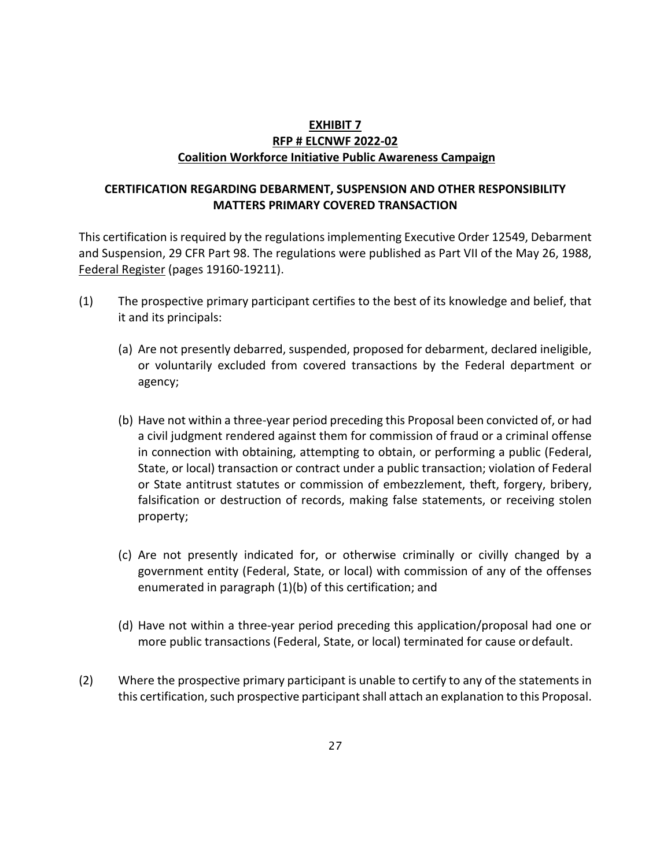## **EXHIBIT 7 RFP # ELCNWF 2022-02 Coalition Workforce Initiative Public Awareness Campaign**

## **CERTIFICATION REGARDING DEBARMENT, SUSPENSION AND OTHER RESPONSIBILITY MATTERS PRIMARY COVERED TRANSACTION**

This certification is required by the regulations implementing Executive Order 12549, Debarment and Suspension, 29 CFR Part 98. The regulations were published as Part VII of the May 26, 1988, Federal Register (pages 19160-19211).

- (1) The prospective primary participant certifies to the best of its knowledge and belief, that it and its principals:
	- (a) Are not presently debarred, suspended, proposed for debarment, declared ineligible, or voluntarily excluded from covered transactions by the Federal department or agency;
	- (b) Have not within a three-year period preceding this Proposal been convicted of, or had a civil judgment rendered against them for commission of fraud or a criminal offense in connection with obtaining, attempting to obtain, or performing a public (Federal, State, or local) transaction or contract under a public transaction; violation of Federal or State antitrust statutes or commission of embezzlement, theft, forgery, bribery, falsification or destruction of records, making false statements, or receiving stolen property;
	- (c) Are not presently indicated for, or otherwise criminally or civilly changed by a government entity (Federal, State, or local) with commission of any of the offenses enumerated in paragraph (1)(b) of this certification; and
	- (d) Have not within a three-year period preceding this application/proposal had one or more public transactions (Federal, State, or local) terminated for cause ordefault.
- (2) Where the prospective primary participant is unable to certify to any of the statements in this certification, such prospective participant shall attach an explanation to this Proposal.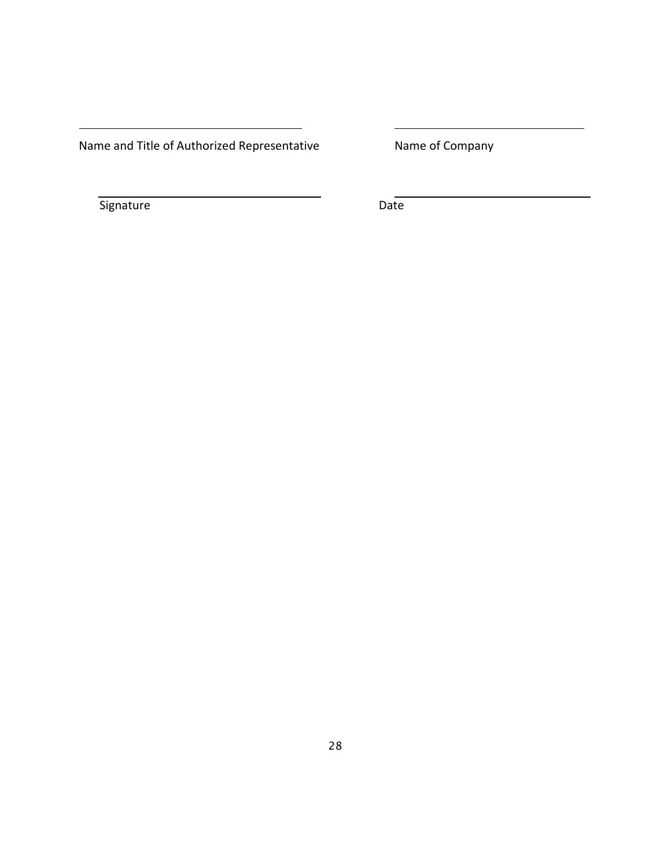Name and Title of Authorized Representative Mame of Company

Signature Date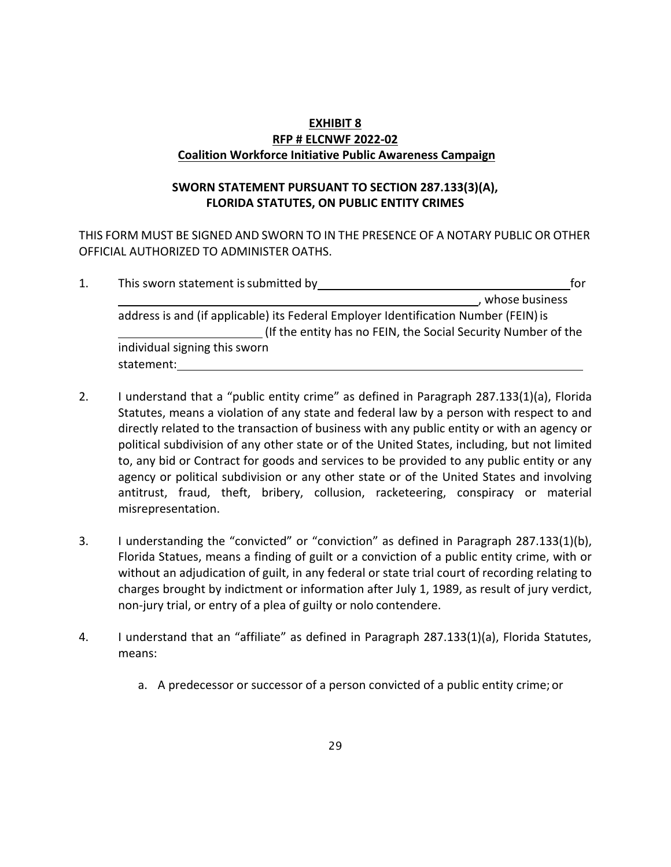## **EXHIBIT 8 RFP # ELCNWF 2022-02 Coalition Workforce Initiative Public Awareness Campaign**

## **SWORN STATEMENT PURSUANT TO SECTION 287.133(3)(A), FLORIDA STATUTES, ON PUBLIC ENTITY CRIMES**

THIS FORM MUST BE SIGNED AND SWORN TO IN THE PRESENCE OF A NOTARY PUBLIC OR OTHER OFFICIAL AUTHORIZED TO ADMINISTER OATHS.

|  | This sworn statement is submitted by                                                | for            |
|--|-------------------------------------------------------------------------------------|----------------|
|  |                                                                                     | whose business |
|  | address is and (if applicable) its Federal Employer Identification Number (FEIN) is |                |
|  | (If the entity has no FEIN, the Social Security Number of the                       |                |
|  | individual signing this sworn                                                       |                |
|  | statement:                                                                          |                |

- 2. I understand that a "public entity crime" as defined in Paragraph 287.133(1)(a), Florida Statutes, means a violation of any state and federal law by a person with respect to and directly related to the transaction of business with any public entity or with an agency or political subdivision of any other state or of the United States, including, but not limited to, any bid or Contract for goods and services to be provided to any public entity or any agency or political subdivision or any other state or of the United States and involving antitrust, fraud, theft, bribery, collusion, racketeering, conspiracy or material misrepresentation.
- 3. I understanding the "convicted" or "conviction" as defined in Paragraph 287.133(1)(b), Florida Statues, means a finding of guilt or a conviction of a public entity crime, with or without an adjudication of guilt, in any federal or state trial court of recording relating to charges brought by indictment or information after July 1, 1989, as result of jury verdict, non-jury trial, or entry of a plea of guilty or nolo contendere.
- 4. I understand that an "affiliate" as defined in Paragraph 287.133(1)(a), Florida Statutes, means:
	- a. A predecessor or successor of a person convicted of a public entity crime; or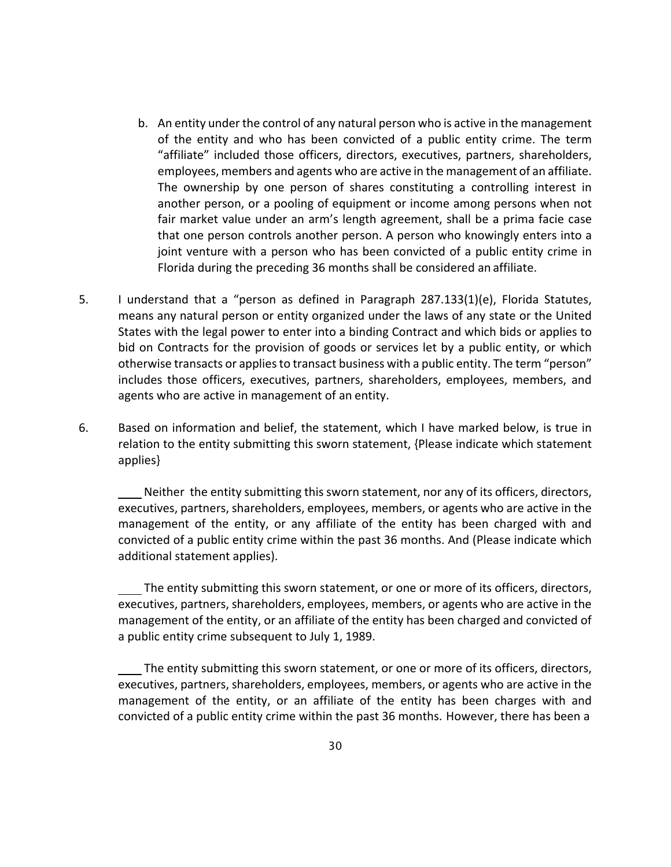- b. An entity under the control of any natural person who is active in the management of the entity and who has been convicted of a public entity crime. The term "affiliate" included those officers, directors, executives, partners, shareholders, employees, members and agents who are active in the management of an affiliate. The ownership by one person of shares constituting a controlling interest in another person, or a pooling of equipment or income among persons when not fair market value under an arm's length agreement, shall be a prima facie case that one person controls another person. A person who knowingly enters into a joint venture with a person who has been convicted of a public entity crime in Florida during the preceding 36 months shall be considered an affiliate.
- 5. I understand that a "person as defined in Paragraph 287.133(1)(e), Florida Statutes, means any natural person or entity organized under the laws of any state or the United States with the legal power to enter into a binding Contract and which bids or applies to bid on Contracts for the provision of goods or services let by a public entity, or which otherwise transacts or applies to transact business with a public entity. The term "person" includes those officers, executives, partners, shareholders, employees, members, and agents who are active in management of an entity.
- 6. Based on information and belief, the statement, which I have marked below, is true in relation to the entity submitting this sworn statement, {Please indicate which statement applies}

 Neither the entity submitting this sworn statement, nor any of its officers, directors, executives, partners, shareholders, employees, members, or agents who are active in the management of the entity, or any affiliate of the entity has been charged with and convicted of a public entity crime within the past 36 months. And (Please indicate which additional statement applies).

 The entity submitting this sworn statement, or one or more of its officers, directors, executives, partners, shareholders, employees, members, or agents who are active in the management of the entity, or an affiliate of the entity has been charged and convicted of a public entity crime subsequent to July 1, 1989.

 The entity submitting this sworn statement, or one or more of its officers, directors, executives, partners, shareholders, employees, members, or agents who are active in the management of the entity, or an affiliate of the entity has been charges with and convicted of a public entity crime within the past 36 months. However, there has been a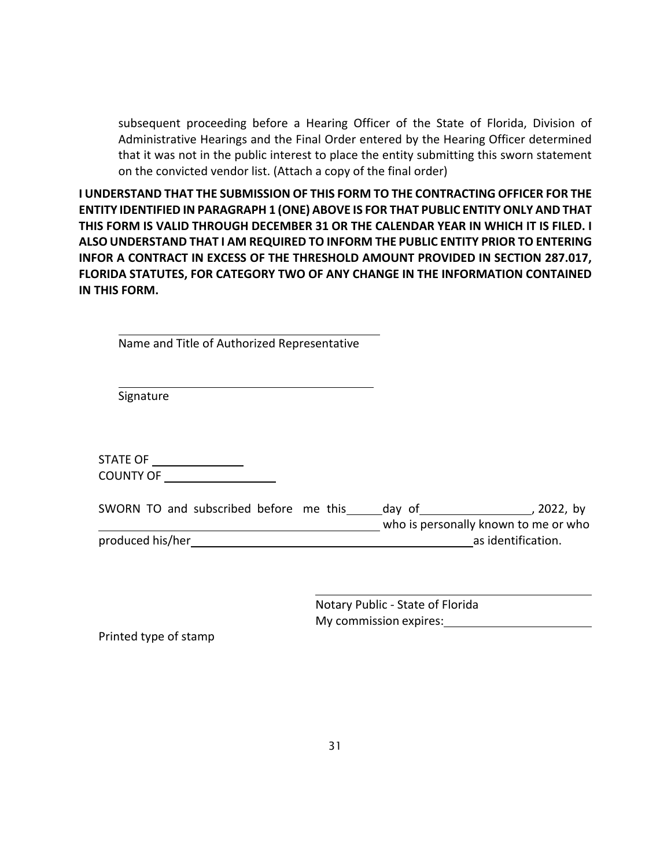subsequent proceeding before a Hearing Officer of the State of Florida, Division of Administrative Hearings and the Final Order entered by the Hearing Officer determined that it was not in the public interest to place the entity submitting this sworn statement on the convicted vendor list. (Attach a copy of the final order)

**I UNDERSTAND THAT THE SUBMISSION OF THIS FORM TO THE CONTRACTING OFFICER FOR THE ENTITY IDENTIFIED IN PARAGRAPH 1 (ONE) ABOVE IS FOR THAT PUBLIC ENTITY ONLY AND THAT THIS FORM IS VALID THROUGH DECEMBER 31 OR THE CALENDAR YEAR IN WHICH IT IS FILED. I ALSO UNDERSTAND THAT I AM REQUIRED TO INFORM THE PUBLIC ENTITY PRIOR TO ENTERING INFOR A CONTRACT IN EXCESS OF THE THRESHOLD AMOUNT PROVIDED IN SECTION 287.017, FLORIDA STATUTES, FOR CATEGORY TWO OF ANY CHANGE IN THE INFORMATION CONTAINED IN THIS FORM.**

Name and Title of Authorized Representative

Signature

STATE OF \_\_\_\_\_\_\_\_\_\_\_\_\_\_\_\_ COUNTY OF

|                  |  | SWORN TO and subscribed before me this |  |  | day of | 2022, by                             |
|------------------|--|----------------------------------------|--|--|--------|--------------------------------------|
|                  |  |                                        |  |  |        | who is personally known to me or who |
| produced his/her |  |                                        |  |  |        | as identification.                   |

Notary Public - State of Florida My commission expires:<br>
My commission expires:

Printed type of stamp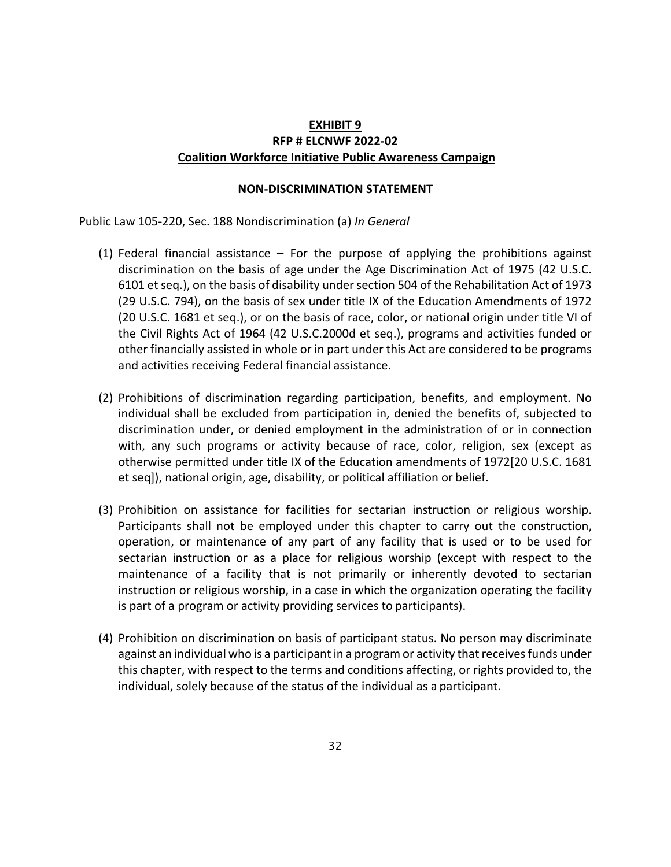## **EXHIBIT 9 RFP # ELCNWF 2022-02 Coalition Workforce Initiative Public Awareness Campaign**

#### **NON-DISCRIMINATION STATEMENT**

Public Law 105-220, Sec. 188 Nondiscrimination (a) *In General*

- (1) Federal financial assistance For the purpose of applying the prohibitions against discrimination on the basis of age under the Age Discrimination Act of 1975 (42 U.S.C. 6101 et seq.), on the basis of disability under section 504 of the Rehabilitation Act of 1973 (29 U.S.C. 794), on the basis of sex under title IX of the Education Amendments of 1972 (20 U.S.C. 1681 et seq.), or on the basis of race, color, or national origin under title VI of the Civil Rights Act of 1964 (42 U.S.C.2000d et seq.), programs and activities funded or other financially assisted in whole or in part under this Act are considered to be programs and activities receiving Federal financial assistance.
- (2) Prohibitions of discrimination regarding participation, benefits, and employment. No individual shall be excluded from participation in, denied the benefits of, subjected to discrimination under, or denied employment in the administration of or in connection with, any such programs or activity because of race, color, religion, sex (except as otherwise permitted under title IX of the Education amendments of 1972[20 U.S.C. 1681 et seq]), national origin, age, disability, or political affiliation or belief.
- (3) Prohibition on assistance for facilities for sectarian instruction or religious worship. Participants shall not be employed under this chapter to carry out the construction, operation, or maintenance of any part of any facility that is used or to be used for sectarian instruction or as a place for religious worship (except with respect to the maintenance of a facility that is not primarily or inherently devoted to sectarian instruction or religious worship, in a case in which the organization operating the facility is part of a program or activity providing services to participants).
- (4) Prohibition on discrimination on basis of participant status. No person may discriminate against an individual who is a participant in a program or activity that receives funds under this chapter, with respect to the terms and conditions affecting, or rights provided to, the individual, solely because of the status of the individual as a participant.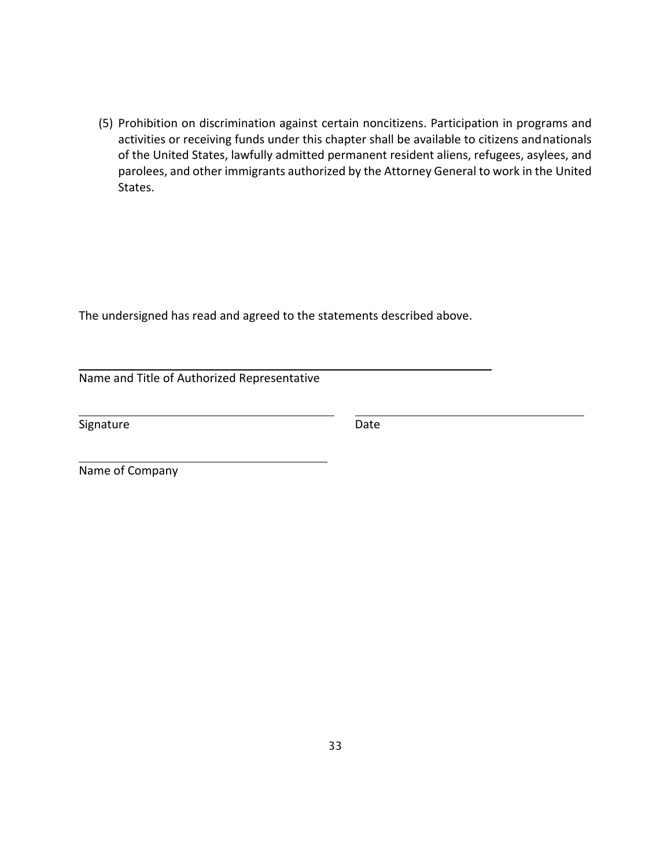(5) Prohibition on discrimination against certain noncitizens. Participation in programs and activities or receiving funds under this chapter shall be available to citizens andnationals of the United States, lawfully admitted permanent resident aliens, refugees, asylees, and parolees, and other immigrants authorized by the Attorney General to work in the United States.

The undersigned has read and agreed to the statements described above.

Name and Title of Authorized Representative

Signature Date Date

Name of Company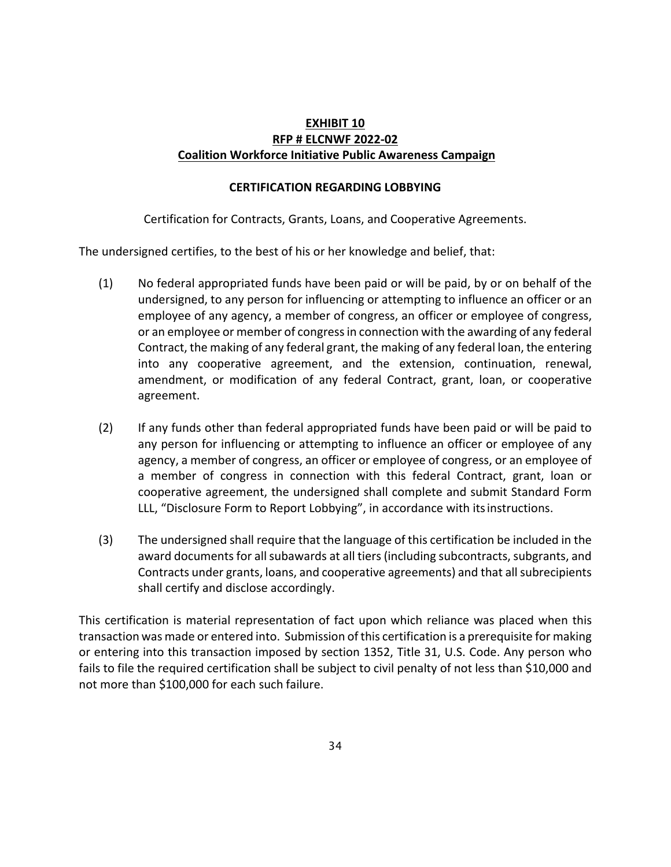## **EXHIBIT 10 RFP # ELCNWF 2022-02 Coalition Workforce Initiative Public Awareness Campaign**

#### **CERTIFICATION REGARDING LOBBYING**

Certification for Contracts, Grants, Loans, and Cooperative Agreements.

The undersigned certifies, to the best of his or her knowledge and belief, that:

- (1) No federal appropriated funds have been paid or will be paid, by or on behalf of the undersigned, to any person for influencing or attempting to influence an officer or an employee of any agency, a member of congress, an officer or employee of congress, or an employee or member of congressin connection with the awarding of any federal Contract, the making of any federal grant, the making of any federal loan, the entering into any cooperative agreement, and the extension, continuation, renewal, amendment, or modification of any federal Contract, grant, loan, or cooperative agreement.
- (2) If any funds other than federal appropriated funds have been paid or will be paid to any person for influencing or attempting to influence an officer or employee of any agency, a member of congress, an officer or employee of congress, or an employee of a member of congress in connection with this federal Contract, grant, loan or cooperative agreement, the undersigned shall complete and submit Standard Form LLL, "Disclosure Form to Report Lobbying", in accordance with itsinstructions.
- (3) The undersigned shall require that the language of this certification be included in the award documents for all subawards at all tiers (including subcontracts, subgrants, and Contracts under grants, loans, and cooperative agreements) and that all subrecipients shall certify and disclose accordingly.

This certification is material representation of fact upon which reliance was placed when this transaction was made or entered into. Submission of this certification is a prerequisite for making or entering into this transaction imposed by section 1352, Title 31, U.S. Code. Any person who fails to file the required certification shall be subject to civil penalty of not less than \$10,000 and not more than \$100,000 for each such failure.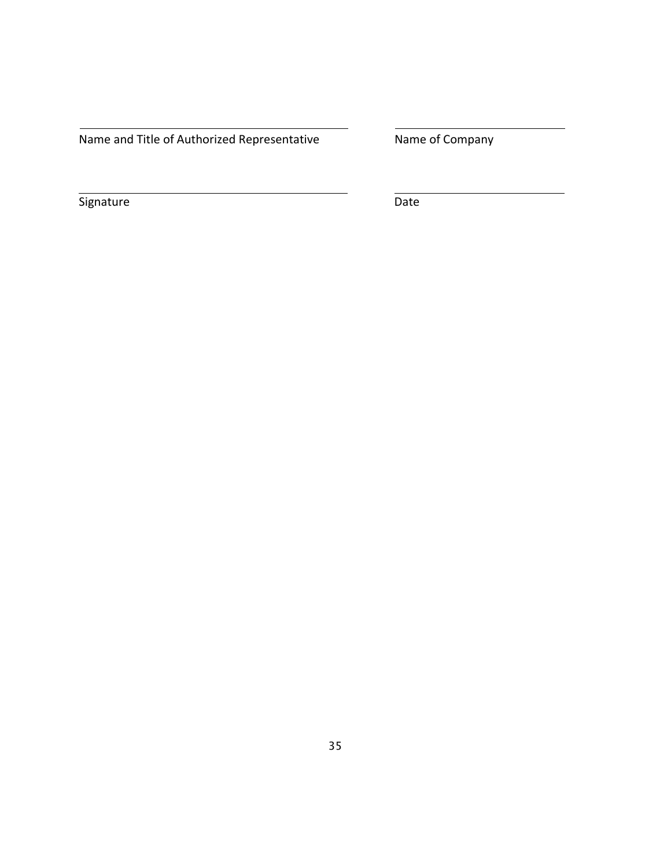Name and Title of Authorized Representative Mame of Company

Signature Date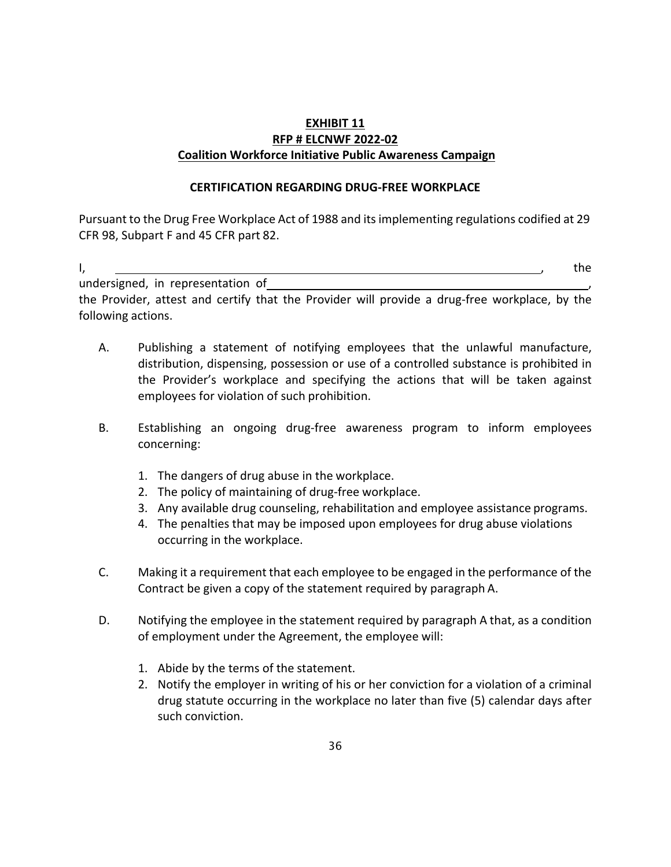## **EXHIBIT 11 RFP # ELCNWF 2022-02 Coalition Workforce Initiative Public Awareness Campaign**

## **CERTIFICATION REGARDING DRUG-FREE WORKPLACE**

Pursuant to the Drug Free Workplace Act of 1988 and itsimplementing regulations codified at 29 CFR 98, Subpart F and 45 CFR part 82.

I, , the

undersigned, in representation of ,

the Provider, attest and certify that the Provider will provide a drug-free workplace, by the following actions.

- A. Publishing a statement of notifying employees that the unlawful manufacture, distribution, dispensing, possession or use of a controlled substance is prohibited in the Provider's workplace and specifying the actions that will be taken against employees for violation of such prohibition.
- B. Establishing an ongoing drug-free awareness program to inform employees concerning:
	- 1. The dangers of drug abuse in the workplace.
	- 2. The policy of maintaining of drug-free workplace.
	- 3. Any available drug counseling, rehabilitation and employee assistance programs.
	- 4. The penalties that may be imposed upon employees for drug abuse violations occurring in the workplace.
- C. Making it a requirement that each employee to be engaged in the performance of the Contract be given a copy of the statement required by paragraph A.
- D. Notifying the employee in the statement required by paragraph A that, as a condition of employment under the Agreement, the employee will:
	- 1. Abide by the terms of the statement.
	- 2. Notify the employer in writing of his or her conviction for a violation of a criminal drug statute occurring in the workplace no later than five (5) calendar days after such conviction.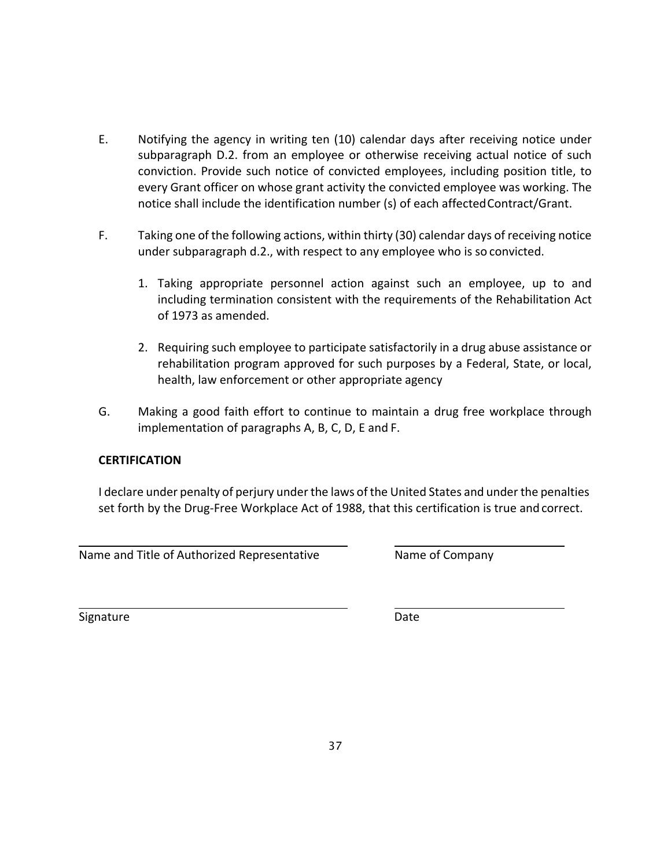- E. Notifying the agency in writing ten (10) calendar days after receiving notice under subparagraph D.2. from an employee or otherwise receiving actual notice of such conviction. Provide such notice of convicted employees, including position title, to every Grant officer on whose grant activity the convicted employee was working. The notice shall include the identification number (s) of each affectedContract/Grant.
- F. Taking one of the following actions, within thirty (30) calendar days of receiving notice under subparagraph d.2., with respect to any employee who is so convicted.
	- 1. Taking appropriate personnel action against such an employee, up to and including termination consistent with the requirements of the Rehabilitation Act of 1973 as amended.
	- 2. Requiring such employee to participate satisfactorily in a drug abuse assistance or rehabilitation program approved for such purposes by a Federal, State, or local, health, law enforcement or other appropriate agency
- G. Making a good faith effort to continue to maintain a drug free workplace through implementation of paragraphs A, B, C, D, E and F.

## **CERTIFICATION**

I declare under penalty of perjury under the laws of the United States and under the penalties set forth by the Drug-Free Workplace Act of 1988, that this certification is true and correct.

Name and Title of Authorized Representative Name of Company

Signature Date Date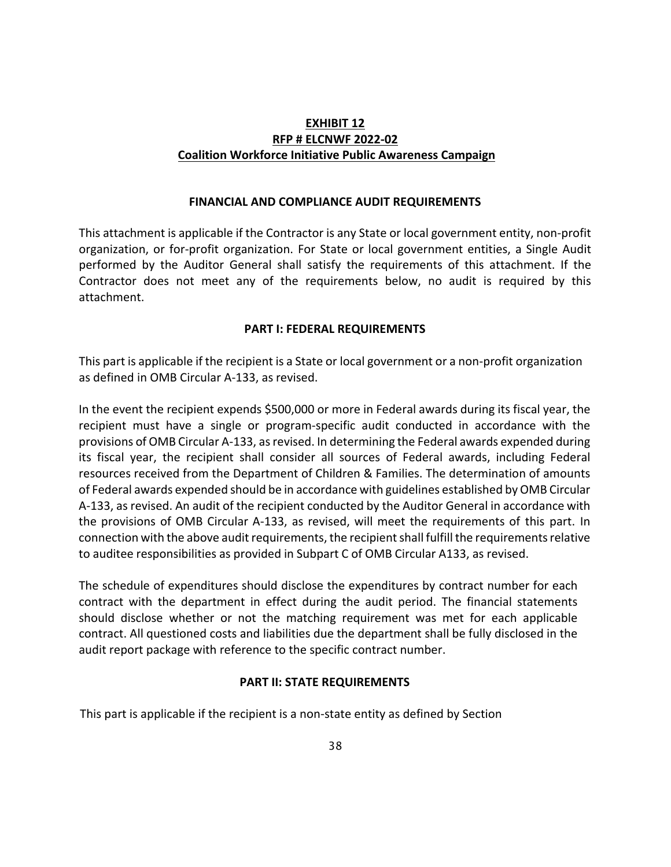## **EXHIBIT 12 RFP # ELCNWF 2022-02 Coalition Workforce Initiative Public Awareness Campaign**

#### **FINANCIAL AND COMPLIANCE AUDIT REQUIREMENTS**

This attachment is applicable if the Contractor is any State or local government entity, non-profit organization, or for-profit organization. For State or local government entities, a Single Audit performed by the Auditor General shall satisfy the requirements of this attachment. If the Contractor does not meet any of the requirements below, no audit is required by this attachment.

#### **PART I: FEDERAL REQUIREMENTS**

This part is applicable if the recipient is a State or local government or a non-profit organization as defined in OMB Circular A-133, as revised.

In the event the recipient expends \$500,000 or more in Federal awards during its fiscal year, the recipient must have a single or program-specific audit conducted in accordance with the provisions of OMB Circular A-133, asrevised. In determining the Federal awards expended during its fiscal year, the recipient shall consider all sources of Federal awards, including Federal resources received from the Department of Children & Families. The determination of amounts of Federal awards expended should be in accordance with guidelines established by OMB Circular A-133, as revised. An audit of the recipient conducted by the Auditor General in accordance with the provisions of OMB Circular A-133, as revised, will meet the requirements of this part. In connection with the above audit requirements, the recipient shall fulfill the requirementsrelative to auditee responsibilities as provided in Subpart C of OMB Circular A133, as revised.

The schedule of expenditures should disclose the expenditures by contract number for each contract with the department in effect during the audit period. The financial statements should disclose whether or not the matching requirement was met for each applicable contract. All questioned costs and liabilities due the department shall be fully disclosed in the audit report package with reference to the specific contract number.

#### **PART II: STATE REQUIREMENTS**

This part is applicable if the recipient is a non-state entity as defined by Section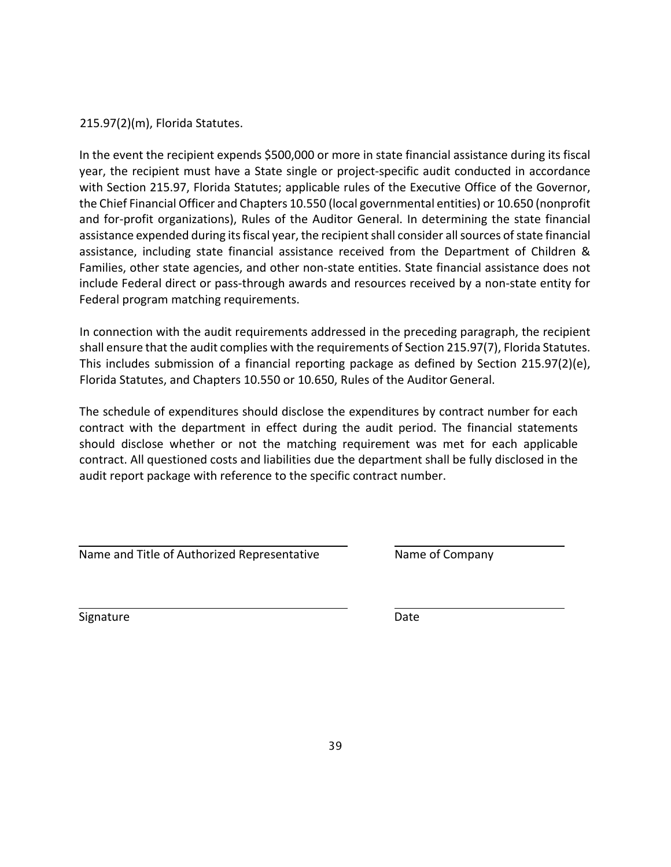215.97(2)(m), Florida Statutes.

In the event the recipient expends \$500,000 or more in state financial assistance during its fiscal year, the recipient must have a State single or project-specific audit conducted in accordance with Section 215.97, Florida Statutes; applicable rules of the Executive Office of the Governor, the Chief Financial Officer and Chapters 10.550 (local governmental entities) or 10.650 (nonprofit and for-profit organizations), Rules of the Auditor General. In determining the state financial assistance expended during its fiscal year, the recipient shall consider all sources of state financial assistance, including state financial assistance received from the Department of Children & Families, other state agencies, and other non-state entities. State financial assistance does not include Federal direct or pass-through awards and resources received by a non-state entity for Federal program matching requirements.

In connection with the audit requirements addressed in the preceding paragraph, the recipient shall ensure that the audit complies with the requirements of Section 215.97(7), Florida Statutes. This includes submission of a financial reporting package as defined by Section 215.97(2)(e), Florida Statutes, and Chapters 10.550 or 10.650, Rules of the Auditor General.

The schedule of expenditures should disclose the expenditures by contract number for each contract with the department in effect during the audit period. The financial statements should disclose whether or not the matching requirement was met for each applicable contract. All questioned costs and liabilities due the department shall be fully disclosed in the audit report package with reference to the specific contract number.

Name and Title of Authorized Representative Name of Company

Signature Date Date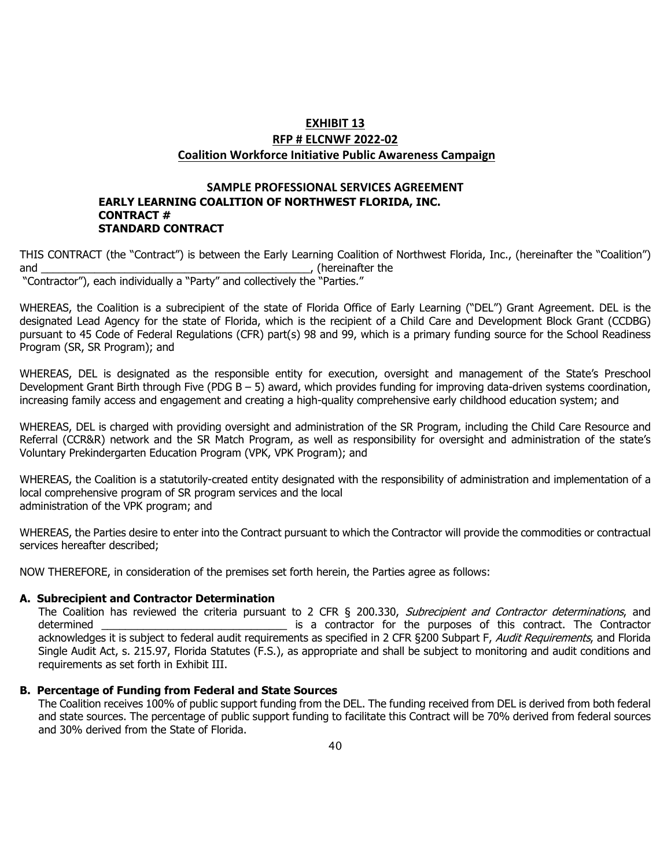## **EXHIBIT 13 RFP # ELCNWF 2022-02 Coalition Workforce Initiative Public Awareness Campaign**

#### **SAMPLE PROFESSIONAL SERVICES AGREEMENT EARLY LEARNING COALITION OF NORTHWEST FLORIDA, INC. CONTRACT # STANDARD CONTRACT**

THIS CONTRACT (the "Contract") is between the Early Learning Coalition of Northwest Florida, Inc., (hereinafter the "Coalition") and \_\_\_\_\_\_\_\_\_\_\_\_\_\_\_\_\_\_\_\_\_\_\_\_\_\_\_\_\_\_\_\_\_\_\_\_\_\_\_\_\_\_\_\_\_, (hereinafter the

"Contractor"), each individually a "Party" and collectively the "Parties."

WHEREAS, the Coalition is a subrecipient of the state of Florida Office of Early Learning ("DEL") Grant Agreement. DEL is the designated Lead Agency for the state of Florida, which is the recipient of a Child Care and Development Block Grant (CCDBG) pursuant to 45 Code of Federal Regulations (CFR) part(s) 98 and 99, which is a primary funding source for the School Readiness Program (SR, SR Program); and

WHEREAS, DEL is designated as the responsible entity for execution, oversight and management of the State's Preschool Development Grant Birth through Five (PDG B – 5) award, which provides funding for improving data-driven systems coordination, increasing family access and engagement and creating a high-quality comprehensive early childhood education system; and

WHEREAS, DEL is charged with providing oversight and administration of the SR Program, including the Child Care Resource and Referral (CCR&R) network and the SR Match Program, as well as responsibility for oversight and administration of the state's Voluntary Prekindergarten Education Program (VPK, VPK Program); and

WHEREAS, the Coalition is a statutorily-created entity designated with the responsibility of administration and implementation of a local comprehensive program of SR program services and the local administration of the VPK program; and

WHEREAS, the Parties desire to enter into the Contract pursuant to which the Contractor will provide the commodities or contractual services hereafter described;

NOW THEREFORE, in consideration of the premises set forth herein, the Parties agree as follows:

#### **A. Subrecipient and Contractor Determination**

The Coalition has reviewed the criteria pursuant to 2 CFR § 200.330, *Subrecipient and Contractor determinations*, and determined<br>is a contractor for the purposes of this contract. The Contractor is a contractor for the purposes of this contract. The Contractor acknowledges it is subject to federal audit requirements as specified in 2 CFR §200 Subpart F, Audit Requirements, and Florida Single Audit Act, s. 215.97, Florida Statutes (F.S.), as appropriate and shall be subject to monitoring and audit conditions and requirements as set forth in Exhibit III.

#### **B. Percentage of Funding from Federal and State Sources**

The Coalition receives 100% of public support funding from the DEL. The funding received from DEL is derived from both federal and state sources. The percentage of public support funding to facilitate this Contract will be 70% derived from federal sources and 30% derived from the State of Florida.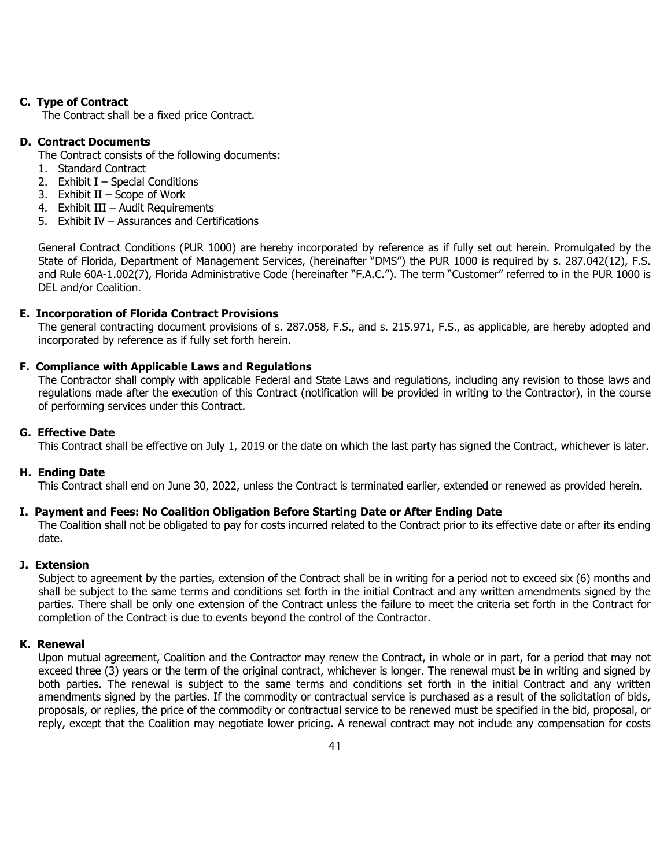#### **C. Type of Contract**

The Contract shall be a fixed price Contract.

#### **D. Contract Documents**

- The Contract consists of the following documents:
- 1. Standard Contract
- 2. Exhibit I Special Conditions
- 3. Exhibit II Scope of Work
- 4. Exhibit III Audit Requirements
- 5. Exhibit IV Assurances and Certifications

General Contract Conditions (PUR 1000) are hereby incorporated by reference as if fully set out herein. Promulgated by the State of Florida, Department of Management Services, (hereinafter "DMS") the PUR 1000 is required by s. 287.042(12), F.S. and Rule 60A-1.002(7), Florida Administrative Code (hereinafter "F.A.C."). The term "Customer" referred to in the PUR 1000 is DEL and/or Coalition.

#### **E. Incorporation of Florida Contract Provisions**

The general contracting document provisions of s. 287.058, F.S., and s. 215.971, F.S., as applicable, are hereby adopted and incorporated by reference as if fully set forth herein.

#### **F. Compliance with Applicable Laws and Regulations**

The Contractor shall comply with applicable Federal and State Laws and regulations, including any revision to those laws and regulations made after the execution of this Contract (notification will be provided in writing to the Contractor), in the course of performing services under this Contract.

#### **G. Effective Date**

This Contract shall be effective on July 1, 2019 or the date on which the last party has signed the Contract, whichever is later.

#### **H. Ending Date**

This Contract shall end on June 30, 2022, unless the Contract is terminated earlier, extended or renewed as provided herein.

#### **I. Payment and Fees: No Coalition Obligation Before Starting Date or After Ending Date**

The Coalition shall not be obligated to pay for costs incurred related to the Contract prior to its effective date or after its ending date.

#### **J. Extension**

Subject to agreement by the parties, extension of the Contract shall be in writing for a period not to exceed six (6) months and shall be subject to the same terms and conditions set forth in the initial Contract and any written amendments signed by the parties. There shall be only one extension of the Contract unless the failure to meet the criteria set forth in the Contract for completion of the Contract is due to events beyond the control of the Contractor.

#### **K. Renewal**

Upon mutual agreement, Coalition and the Contractor may renew the Contract, in whole or in part, for a period that may not exceed three (3) years or the term of the original contract, whichever is longer. The renewal must be in writing and signed by both parties. The renewal is subject to the same terms and conditions set forth in the initial Contract and any written amendments signed by the parties. If the commodity or contractual service is purchased as a result of the solicitation of bids, proposals, or replies, the price of the commodity or contractual service to be renewed must be specified in the bid, proposal, or reply, except that the Coalition may negotiate lower pricing. A renewal contract may not include any compensation for costs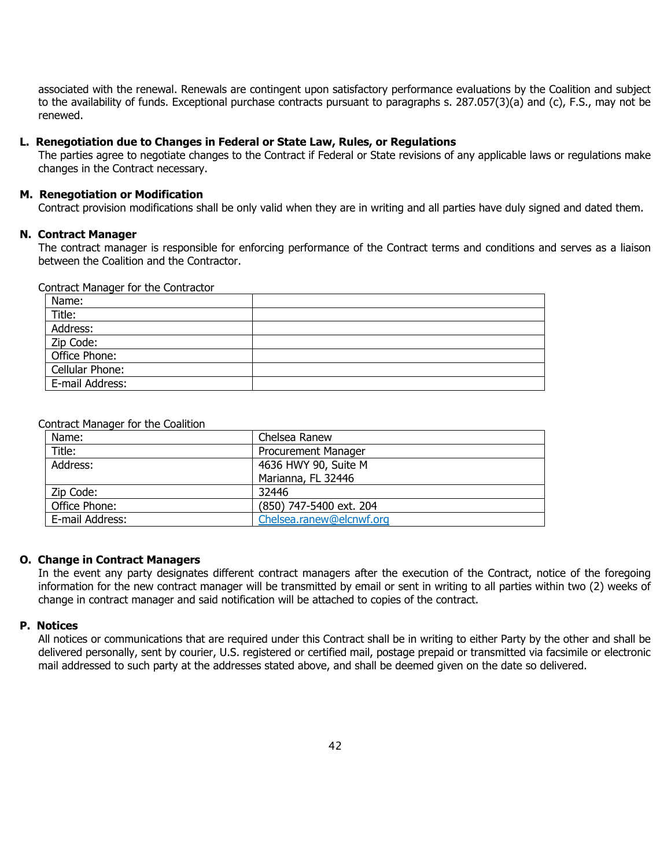associated with the renewal. Renewals are contingent upon satisfactory performance evaluations by the Coalition and subject to the availability of funds. Exceptional purchase contracts pursuant to paragraphs s. 287.057(3)(a) and (c), F.S., may not be renewed.

#### **L. Renegotiation due to Changes in Federal or State Law, Rules, or Regulations**

The parties agree to negotiate changes to the Contract if Federal or State revisions of any applicable laws or regulations make changes in the Contract necessary.

#### **M. Renegotiation or Modification**

Contract provision modifications shall be only valid when they are in writing and all parties have duly signed and dated them.

#### **N. Contract Manager**

The contract manager is responsible for enforcing performance of the Contract terms and conditions and serves as a liaison between the Coalition and the Contractor.

#### Contract Manager for the Contractor

| Name:           |  |
|-----------------|--|
| Title:          |  |
| Address:        |  |
| Zip Code:       |  |
| Office Phone:   |  |
| Cellular Phone: |  |
| E-mail Address: |  |

#### Contract Manager for the Coalition

| Name:           | Chelsea Ranew              |
|-----------------|----------------------------|
| Title:          | <b>Procurement Manager</b> |
| Address:        | 4636 HWY 90, Suite M       |
|                 | Marianna, FL 32446         |
| Zip Code:       | 32446                      |
| Office Phone:   | (850) 747-5400 ext. 204    |
| E-mail Address: | Chelsea.ranew@elcnwf.org   |

#### **O. Change in Contract Managers**

In the event any party designates different contract managers after the execution of the Contract, notice of the foregoing information for the new contract manager will be transmitted by email or sent in writing to all parties within two (2) weeks of change in contract manager and said notification will be attached to copies of the contract.

#### **P. Notices**

All notices or communications that are required under this Contract shall be in writing to either Party by the other and shall be delivered personally, sent by courier, U.S. registered or certified mail, postage prepaid or transmitted via facsimile or electronic mail addressed to such party at the addresses stated above, and shall be deemed given on the date so delivered.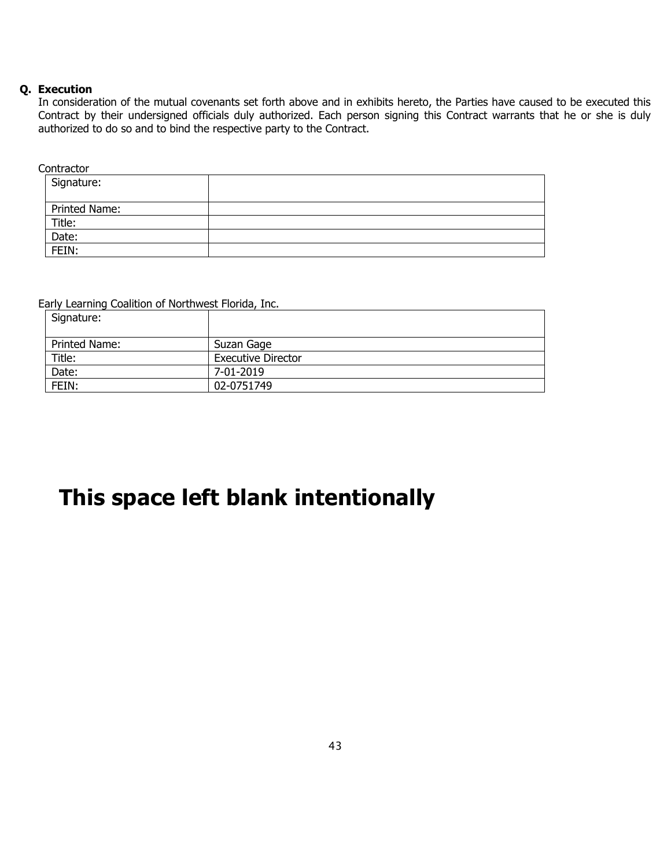#### **Q. Execution**

In consideration of the mutual covenants set forth above and in exhibits hereto, the Parties have caused to be executed this Contract by their undersigned officials duly authorized. Each person signing this Contract warrants that he or she is duly authorized to do so and to bind the respective party to the Contract.

**Contractor** 

| Signature:    |  |
|---------------|--|
| Printed Name: |  |
| Title:        |  |
| Date:         |  |
| FEIN:         |  |

Early Learning Coalition of Northwest Florida, Inc.

| Signature:    |                           |
|---------------|---------------------------|
| Printed Name: | Suzan Gage                |
| Title:        | <b>Executive Director</b> |
| Date:         | 7-01-2019                 |
| FEIN:         | 02-0751749                |

# **This space left blank intentionally**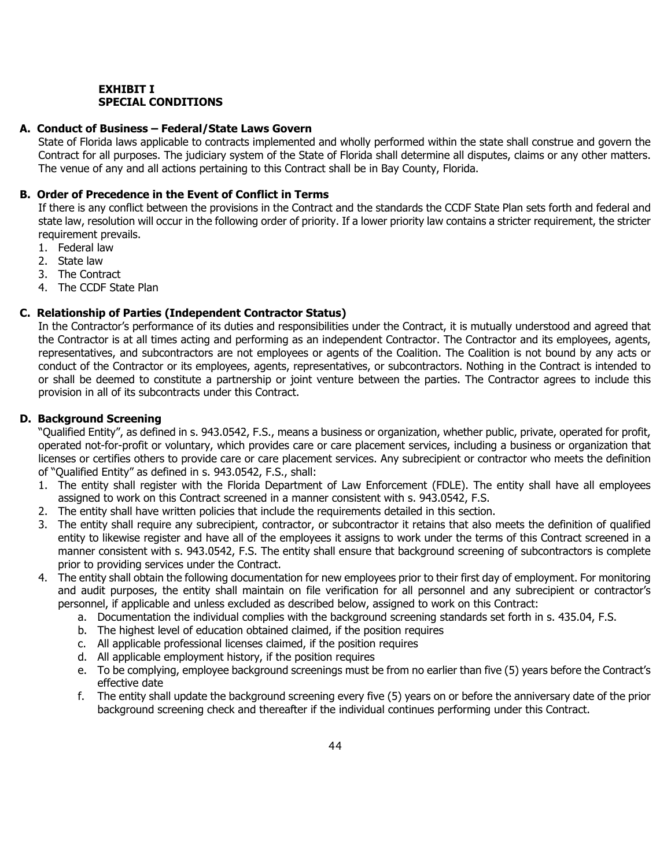#### **EXHIBIT I SPECIAL CONDITIONS**

#### **A. Conduct of Business – Federal/State Laws Govern**

State of Florida laws applicable to contracts implemented and wholly performed within the state shall construe and govern the Contract for all purposes. The judiciary system of the State of Florida shall determine all disputes, claims or any other matters. The venue of any and all actions pertaining to this Contract shall be in Bay County, Florida.

#### **B. Order of Precedence in the Event of Conflict in Terms**

If there is any conflict between the provisions in the Contract and the standards the CCDF State Plan sets forth and federal and state law, resolution will occur in the following order of priority. If a lower priority law contains a stricter requirement, the stricter requirement prevails.

- 1. Federal law
- 2. State law
- 3. The Contract
- 4. The CCDF State Plan

#### **C. Relationship of Parties (Independent Contractor Status)**

In the Contractor's performance of its duties and responsibilities under the Contract, it is mutually understood and agreed that the Contractor is at all times acting and performing as an independent Contractor. The Contractor and its employees, agents, representatives, and subcontractors are not employees or agents of the Coalition. The Coalition is not bound by any acts or conduct of the Contractor or its employees, agents, representatives, or subcontractors. Nothing in the Contract is intended to or shall be deemed to constitute a partnership or joint venture between the parties. The Contractor agrees to include this provision in all of its subcontracts under this Contract.

#### **D. Background Screening**

"Qualified Entity", as defined in s. 943.0542, F.S., means a business or organization, whether public, private, operated for profit, operated not-for-profit or voluntary, which provides care or care placement services, including a business or organization that licenses or certifies others to provide care or care placement services. Any subrecipient or contractor who meets the definition of "Qualified Entity" as defined in s. 943.0542, F.S., shall:

- 1. The entity shall register with the Florida Department of Law Enforcement (FDLE). The entity shall have all employees assigned to work on this Contract screened in a manner consistent with s. 943.0542, F.S.
- 2. The entity shall have written policies that include the requirements detailed in this section.
- 3. The entity shall require any subrecipient, contractor, or subcontractor it retains that also meets the definition of qualified entity to likewise register and have all of the employees it assigns to work under the terms of this Contract screened in a manner consistent with s. 943.0542, F.S. The entity shall ensure that background screening of subcontractors is complete prior to providing services under the Contract.
- 4. The entity shall obtain the following documentation for new employees prior to their first day of employment. For monitoring and audit purposes, the entity shall maintain on file verification for all personnel and any subrecipient or contractor's personnel, if applicable and unless excluded as described below, assigned to work on this Contract:
	- a. Documentation the individual complies with the background screening standards set forth in s. 435.04, F.S.
	- b. The highest level of education obtained claimed, if the position requires
	- c. All applicable professional licenses claimed, if the position requires
	- d. All applicable employment history, if the position requires
	- e. To be complying, employee background screenings must be from no earlier than five (5) years before the Contract's effective date
	- f. The entity shall update the background screening every five (5) years on or before the anniversary date of the prior background screening check and thereafter if the individual continues performing under this Contract.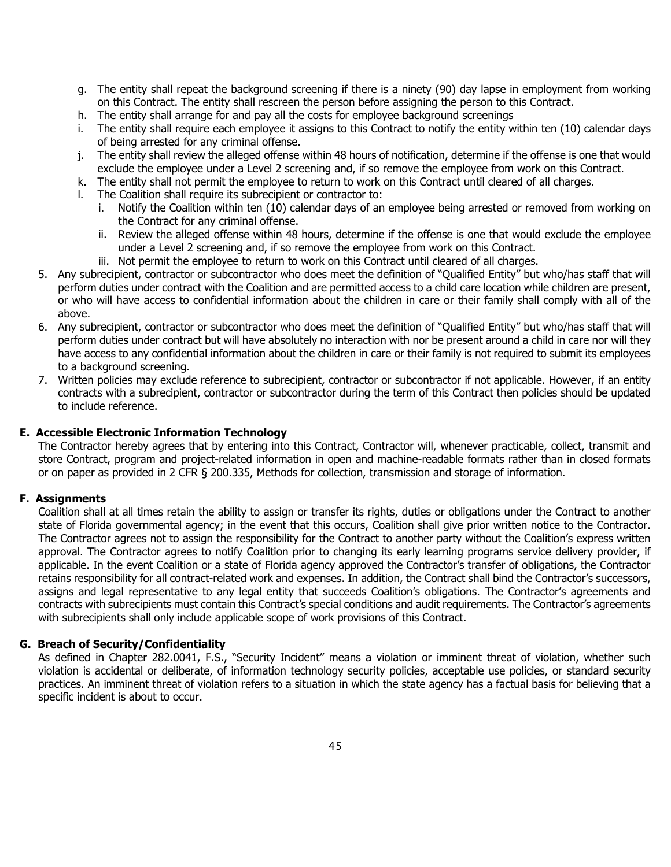- g. The entity shall repeat the background screening if there is a ninety (90) day lapse in employment from working on this Contract. The entity shall rescreen the person before assigning the person to this Contract.
- h. The entity shall arrange for and pay all the costs for employee background screenings
- i. The entity shall require each employee it assigns to this Contract to notify the entity within ten (10) calendar days of being arrested for any criminal offense.
- j. The entity shall review the alleged offense within 48 hours of notification, determine if the offense is one that would exclude the employee under a Level 2 screening and, if so remove the employee from work on this Contract.
- k. The entity shall not permit the employee to return to work on this Contract until cleared of all charges.
- l. The Coalition shall require its subrecipient or contractor to:
	- i. Notify the Coalition within ten (10) calendar days of an employee being arrested or removed from working on the Contract for any criminal offense.
	- ii. Review the alleged offense within 48 hours, determine if the offense is one that would exclude the employee under a Level 2 screening and, if so remove the employee from work on this Contract.
	- iii. Not permit the employee to return to work on this Contract until cleared of all charges.
- 5. Any subrecipient, contractor or subcontractor who does meet the definition of "Qualified Entity" but who/has staff that will perform duties under contract with the Coalition and are permitted access to a child care location while children are present, or who will have access to confidential information about the children in care or their family shall comply with all of the above.
- 6. Any subrecipient, contractor or subcontractor who does meet the definition of "Qualified Entity" but who/has staff that will perform duties under contract but will have absolutely no interaction with nor be present around a child in care nor will they have access to any confidential information about the children in care or their family is not required to submit its employees to a background screening.
- 7. Written policies may exclude reference to subrecipient, contractor or subcontractor if not applicable. However, if an entity contracts with a subrecipient, contractor or subcontractor during the term of this Contract then policies should be updated to include reference.

#### **E. Accessible Electronic Information Technology**

The Contractor hereby agrees that by entering into this Contract, Contractor will, whenever practicable, collect, transmit and store Contract, program and project-related information in open and machine-readable formats rather than in closed formats or on paper as provided in 2 CFR § 200.335, Methods for collection, transmission and storage of information.

#### **F. Assignments**

Coalition shall at all times retain the ability to assign or transfer its rights, duties or obligations under the Contract to another state of Florida governmental agency; in the event that this occurs, Coalition shall give prior written notice to the Contractor. The Contractor agrees not to assign the responsibility for the Contract to another party without the Coalition's express written approval. The Contractor agrees to notify Coalition prior to changing its early learning programs service delivery provider, if applicable. In the event Coalition or a state of Florida agency approved the Contractor's transfer of obligations, the Contractor retains responsibility for all contract-related work and expenses. In addition, the Contract shall bind the Contractor's successors, assigns and legal representative to any legal entity that succeeds Coalition's obligations. The Contractor's agreements and contracts with subrecipients must contain this Contract's special conditions and audit requirements. The Contractor's agreements with subrecipients shall only include applicable scope of work provisions of this Contract.

#### **G. Breach of Security/Confidentiality**

As defined in Chapter 282.0041, F.S., "Security Incident" means a violation or imminent threat of violation, whether such violation is accidental or deliberate, of information technology security policies, acceptable use policies, or standard security practices. An imminent threat of violation refers to a situation in which the state agency has a factual basis for believing that a specific incident is about to occur.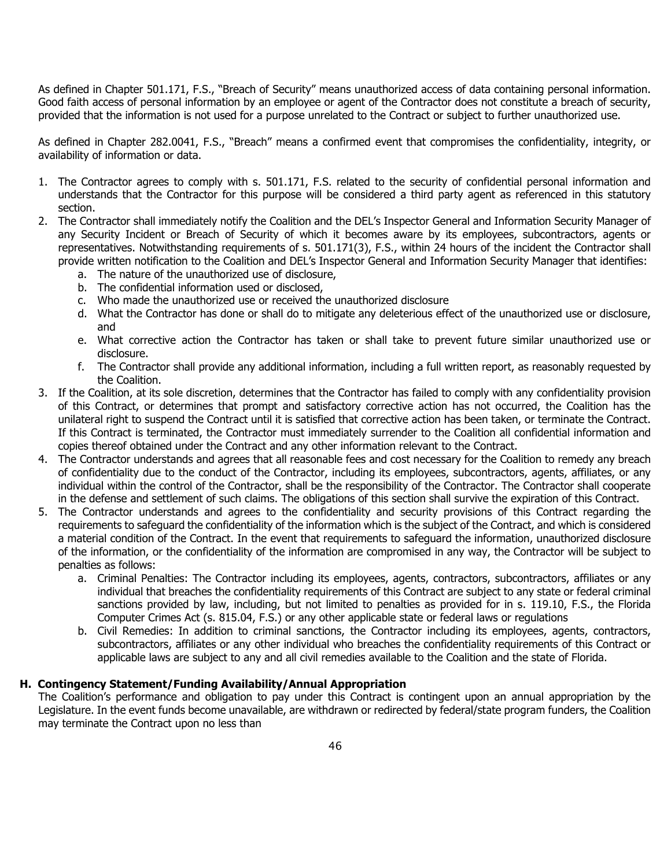As defined in Chapter 501.171, F.S., "Breach of Security" means unauthorized access of data containing personal information. Good faith access of personal information by an employee or agent of the Contractor does not constitute a breach of security, provided that the information is not used for a purpose unrelated to the Contract or subject to further unauthorized use.

As defined in Chapter 282.0041, F.S., "Breach" means a confirmed event that compromises the confidentiality, integrity, or availability of information or data.

- 1. The Contractor agrees to comply with s. 501.171, F.S. related to the security of confidential personal information and understands that the Contractor for this purpose will be considered a third party agent as referenced in this statutory section.
- 2. The Contractor shall immediately notify the Coalition and the DEL's Inspector General and Information Security Manager of any Security Incident or Breach of Security of which it becomes aware by its employees, subcontractors, agents or representatives. Notwithstanding requirements of s. 501.171(3), F.S., within 24 hours of the incident the Contractor shall provide written notification to the Coalition and DEL's Inspector General and Information Security Manager that identifies:
	- a. The nature of the unauthorized use of disclosure,
	- b. The confidential information used or disclosed,
	- c. Who made the unauthorized use or received the unauthorized disclosure
	- d. What the Contractor has done or shall do to mitigate any deleterious effect of the unauthorized use or disclosure, and
	- e. What corrective action the Contractor has taken or shall take to prevent future similar unauthorized use or disclosure.
	- f. The Contractor shall provide any additional information, including a full written report, as reasonably requested by the Coalition.
- 3. If the Coalition, at its sole discretion, determines that the Contractor has failed to comply with any confidentiality provision of this Contract, or determines that prompt and satisfactory corrective action has not occurred, the Coalition has the unilateral right to suspend the Contract until it is satisfied that corrective action has been taken, or terminate the Contract. If this Contract is terminated, the Contractor must immediately surrender to the Coalition all confidential information and copies thereof obtained under the Contract and any other information relevant to the Contract.
- 4. The Contractor understands and agrees that all reasonable fees and cost necessary for the Coalition to remedy any breach of confidentiality due to the conduct of the Contractor, including its employees, subcontractors, agents, affiliates, or any individual within the control of the Contractor, shall be the responsibility of the Contractor. The Contractor shall cooperate in the defense and settlement of such claims. The obligations of this section shall survive the expiration of this Contract.
- 5. The Contractor understands and agrees to the confidentiality and security provisions of this Contract regarding the requirements to safeguard the confidentiality of the information which is the subject of the Contract, and which is considered a material condition of the Contract. In the event that requirements to safeguard the information, unauthorized disclosure of the information, or the confidentiality of the information are compromised in any way, the Contractor will be subject to penalties as follows:
	- a. Criminal Penalties: The Contractor including its employees, agents, contractors, subcontractors, affiliates or any individual that breaches the confidentiality requirements of this Contract are subject to any state or federal criminal sanctions provided by law, including, but not limited to penalties as provided for in s. 119.10, F.S., the Florida Computer Crimes Act (s. 815.04, F.S.) or any other applicable state or federal laws or regulations
	- b. Civil Remedies: In addition to criminal sanctions, the Contractor including its employees, agents, contractors, subcontractors, affiliates or any other individual who breaches the confidentiality requirements of this Contract or applicable laws are subject to any and all civil remedies available to the Coalition and the state of Florida.

#### **H. Contingency Statement/Funding Availability/Annual Appropriation**

The Coalition's performance and obligation to pay under this Contract is contingent upon an annual appropriation by the Legislature. In the event funds become unavailable, are withdrawn or redirected by federal/state program funders, the Coalition may terminate the Contract upon no less than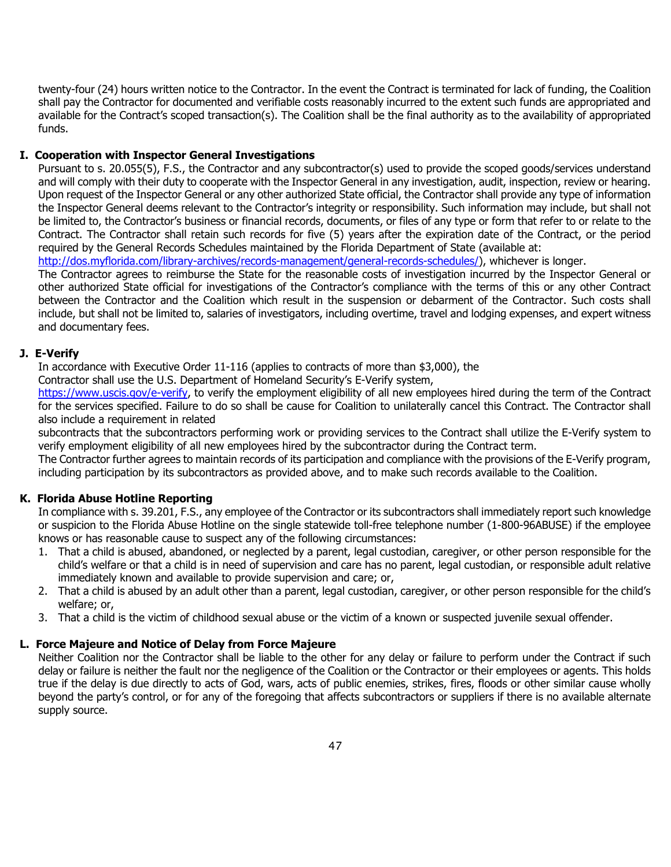twenty-four (24) hours written notice to the Contractor. In the event the Contract is terminated for lack of funding, the Coalition shall pay the Contractor for documented and verifiable costs reasonably incurred to the extent such funds are appropriated and available for the Contract's scoped transaction(s). The Coalition shall be the final authority as to the availability of appropriated funds.

#### **I. Cooperation with Inspector General Investigations**

Pursuant to s. 20.055(5), F.S., the Contractor and any subcontractor(s) used to provide the scoped goods/services understand and will comply with their duty to cooperate with the Inspector General in any investigation, audit, inspection, review or hearing. Upon request of the Inspector General or any other authorized State official, the Contractor shall provide any type of information the Inspector General deems relevant to the Contractor's integrity or responsibility. Such information may include, but shall not be limited to, the Contractor's business or financial records, documents, or files of any type or form that refer to or relate to the Contract. The Contractor shall retain such records for five (5) years after the expiration date of the Contract, or the period required by the General Records Schedules maintained by the Florida Department of State (available at:

[http://dos.myflorida.com/library-archives/records-management/general-records-schedules/\)](http://dos.myflorida.com/library-archives/records-management/general-records-schedules/), whichever is longer.

The Contractor agrees to reimburse the State for the reasonable costs of investigation incurred by the Inspector General or other authorized State official for investigations of the Contractor's compliance with the terms of this or any other Contract between the Contractor and the Coalition which result in the suspension or debarment of the Contractor. Such costs shall include, but shall not be limited to, salaries of investigators, including overtime, travel and lodging expenses, and expert witness and documentary fees.

#### **J. E-Verify**

In accordance with Executive Order 11-116 (applies to contracts of more than \$3,000), the

Contractor shall use the U.S. Department of Homeland Security's E-Verify system,

[https://www.uscis.gov/e-verify,](https://www.uscis.gov/e-verify) to verify the employment eligibility of all new employees hired during the term of the Contract for the services specified. Failure to do so shall be cause for Coalition to unilaterally cancel this Contract. The Contractor shall also include a requirement in related

subcontracts that the subcontractors performing work or providing services to the Contract shall utilize the E-Verify system to verify employment eligibility of all new employees hired by the subcontractor during the Contract term.

The Contractor further agrees to maintain records of its participation and compliance with the provisions of the E-Verify program, including participation by its subcontractors as provided above, and to make such records available to the Coalition.

#### **K. Florida Abuse Hotline Reporting**

In compliance with s. 39.201, F.S., any employee of the Contractor or its subcontractors shall immediately report such knowledge or suspicion to the Florida Abuse Hotline on the single statewide toll-free telephone number (1-800-96ABUSE) if the employee knows or has reasonable cause to suspect any of the following circumstances:

- 1. That a child is abused, abandoned, or neglected by a parent, legal custodian, caregiver, or other person responsible for the child's welfare or that a child is in need of supervision and care has no parent, legal custodian, or responsible adult relative immediately known and available to provide supervision and care; or,
- 2. That a child is abused by an adult other than a parent, legal custodian, caregiver, or other person responsible for the child's welfare; or,
- 3. That a child is the victim of childhood sexual abuse or the victim of a known or suspected juvenile sexual offender.

#### **L. Force Majeure and Notice of Delay from Force Majeure**

Neither Coalition nor the Contractor shall be liable to the other for any delay or failure to perform under the Contract if such delay or failure is neither the fault nor the negligence of the Coalition or the Contractor or their employees or agents. This holds true if the delay is due directly to acts of God, wars, acts of public enemies, strikes, fires, floods or other similar cause wholly beyond the party's control, or for any of the foregoing that affects subcontractors or suppliers if there is no available alternate supply source.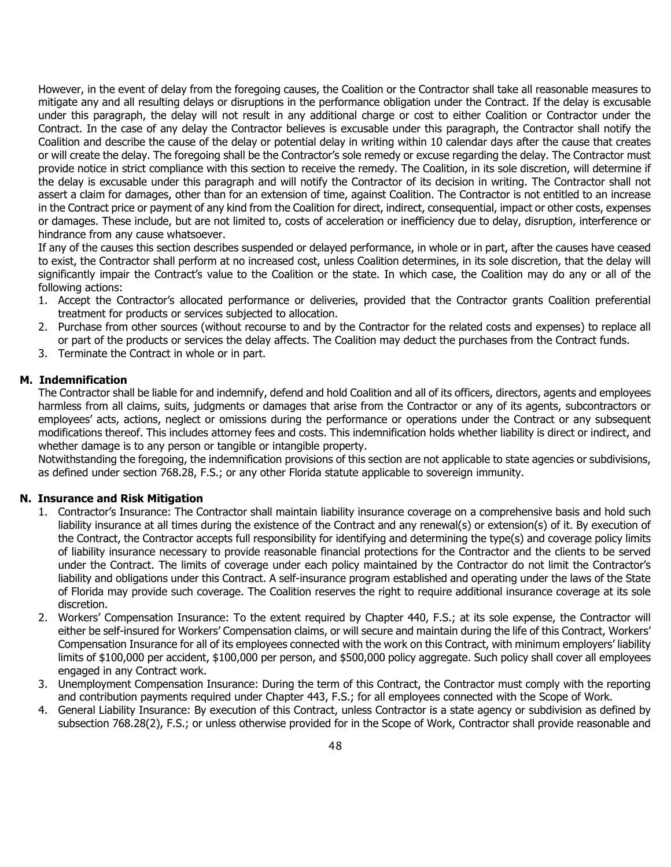However, in the event of delay from the foregoing causes, the Coalition or the Contractor shall take all reasonable measures to mitigate any and all resulting delays or disruptions in the performance obligation under the Contract. If the delay is excusable under this paragraph, the delay will not result in any additional charge or cost to either Coalition or Contractor under the Contract. In the case of any delay the Contractor believes is excusable under this paragraph, the Contractor shall notify the Coalition and describe the cause of the delay or potential delay in writing within 10 calendar days after the cause that creates or will create the delay. The foregoing shall be the Contractor's sole remedy or excuse regarding the delay. The Contractor must provide notice in strict compliance with this section to receive the remedy. The Coalition, in its sole discretion, will determine if the delay is excusable under this paragraph and will notify the Contractor of its decision in writing. The Contractor shall not assert a claim for damages, other than for an extension of time, against Coalition. The Contractor is not entitled to an increase in the Contract price or payment of any kind from the Coalition for direct, indirect, consequential, impact or other costs, expenses or damages. These include, but are not limited to, costs of acceleration or inefficiency due to delay, disruption, interference or hindrance from any cause whatsoever.

If any of the causes this section describes suspended or delayed performance, in whole or in part, after the causes have ceased to exist, the Contractor shall perform at no increased cost, unless Coalition determines, in its sole discretion, that the delay will significantly impair the Contract's value to the Coalition or the state. In which case, the Coalition may do any or all of the following actions:

- 1. Accept the Contractor's allocated performance or deliveries, provided that the Contractor grants Coalition preferential treatment for products or services subjected to allocation.
- 2. Purchase from other sources (without recourse to and by the Contractor for the related costs and expenses) to replace all or part of the products or services the delay affects. The Coalition may deduct the purchases from the Contract funds.
- 3. Terminate the Contract in whole or in part.

#### **M. Indemnification**

The Contractor shall be liable for and indemnify, defend and hold Coalition and all of its officers, directors, agents and employees harmless from all claims, suits, judgments or damages that arise from the Contractor or any of its agents, subcontractors or employees' acts, actions, neglect or omissions during the performance or operations under the Contract or any subsequent modifications thereof. This includes attorney fees and costs. This indemnification holds whether liability is direct or indirect, and whether damage is to any person or tangible or intangible property.

Notwithstanding the foregoing, the indemnification provisions of this section are not applicable to state agencies or subdivisions, as defined under section 768.28, F.S.; or any other Florida statute applicable to sovereign immunity.

#### **N. Insurance and Risk Mitigation**

- 1. Contractor's Insurance: The Contractor shall maintain liability insurance coverage on a comprehensive basis and hold such liability insurance at all times during the existence of the Contract and any renewal(s) or extension(s) of it. By execution of the Contract, the Contractor accepts full responsibility for identifying and determining the type(s) and coverage policy limits of liability insurance necessary to provide reasonable financial protections for the Contractor and the clients to be served under the Contract. The limits of coverage under each policy maintained by the Contractor do not limit the Contractor's liability and obligations under this Contract. A self-insurance program established and operating under the laws of the State of Florida may provide such coverage. The Coalition reserves the right to require additional insurance coverage at its sole discretion.
- 2. Workers' Compensation Insurance: To the extent required by Chapter 440, F.S.; at its sole expense, the Contractor will either be self-insured for Workers' Compensation claims, or will secure and maintain during the life of this Contract, Workers' Compensation Insurance for all of its employees connected with the work on this Contract, with minimum employers' liability limits of \$100,000 per accident, \$100,000 per person, and \$500,000 policy aggregate. Such policy shall cover all employees engaged in any Contract work.
- 3. Unemployment Compensation Insurance: During the term of this Contract, the Contractor must comply with the reporting and contribution payments required under Chapter 443, F.S.; for all employees connected with the Scope of Work.
- 4. General Liability Insurance: By execution of this Contract, unless Contractor is a state agency or subdivision as defined by subsection 768.28(2), F.S.; or unless otherwise provided for in the Scope of Work, Contractor shall provide reasonable and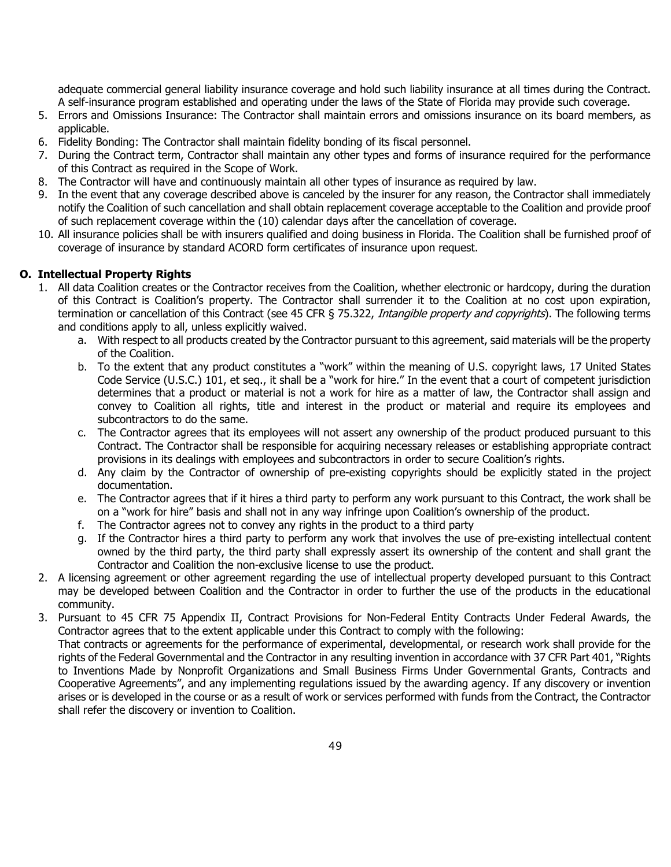adequate commercial general liability insurance coverage and hold such liability insurance at all times during the Contract. A self-insurance program established and operating under the laws of the State of Florida may provide such coverage.

- 5. Errors and Omissions Insurance: The Contractor shall maintain errors and omissions insurance on its board members, as applicable.
- 6. Fidelity Bonding: The Contractor shall maintain fidelity bonding of its fiscal personnel.
- 7. During the Contract term, Contractor shall maintain any other types and forms of insurance required for the performance of this Contract as required in the Scope of Work.
- 8. The Contractor will have and continuously maintain all other types of insurance as required by law.
- 9. In the event that any coverage described above is canceled by the insurer for any reason, the Contractor shall immediately notify the Coalition of such cancellation and shall obtain replacement coverage acceptable to the Coalition and provide proof of such replacement coverage within the (10) calendar days after the cancellation of coverage.
- 10. All insurance policies shall be with insurers qualified and doing business in Florida. The Coalition shall be furnished proof of coverage of insurance by standard ACORD form certificates of insurance upon request.

#### **O. Intellectual Property Rights**

- 1. All data Coalition creates or the Contractor receives from the Coalition, whether electronic or hardcopy, during the duration of this Contract is Coalition's property. The Contractor shall surrender it to the Coalition at no cost upon expiration, termination or cancellation of this Contract (see 45 CFR § 75.322, Intangible property and copyrights). The following terms and conditions apply to all, unless explicitly waived.
	- a. With respect to all products created by the Contractor pursuant to this agreement, said materials will be the property of the Coalition.
	- b. To the extent that any product constitutes a "work" within the meaning of U.S. copyright laws, 17 United States Code Service (U.S.C.) 101, et seq., it shall be a "work for hire." In the event that a court of competent jurisdiction determines that a product or material is not a work for hire as a matter of law, the Contractor shall assign and convey to Coalition all rights, title and interest in the product or material and require its employees and subcontractors to do the same.
	- c. The Contractor agrees that its employees will not assert any ownership of the product produced pursuant to this Contract. The Contractor shall be responsible for acquiring necessary releases or establishing appropriate contract provisions in its dealings with employees and subcontractors in order to secure Coalition's rights.
	- d. Any claim by the Contractor of ownership of pre-existing copyrights should be explicitly stated in the project documentation.
	- e. The Contractor agrees that if it hires a third party to perform any work pursuant to this Contract, the work shall be on a "work for hire" basis and shall not in any way infringe upon Coalition's ownership of the product.
	- The Contractor agrees not to convey any rights in the product to a third party
	- g. If the Contractor hires a third party to perform any work that involves the use of pre-existing intellectual content owned by the third party, the third party shall expressly assert its ownership of the content and shall grant the Contractor and Coalition the non-exclusive license to use the product.
- 2. A licensing agreement or other agreement regarding the use of intellectual property developed pursuant to this Contract may be developed between Coalition and the Contractor in order to further the use of the products in the educational community.
- 3. Pursuant to 45 CFR 75 Appendix II, Contract Provisions for Non-Federal Entity Contracts Under Federal Awards, the Contractor agrees that to the extent applicable under this Contract to comply with the following: That contracts or agreements for the performance of experimental, developmental, or research work shall provide for the rights of the Federal Governmental and the Contractor in any resulting invention in accordance with 37 CFR Part 401, "Rights to Inventions Made by Nonprofit Organizations and Small Business Firms Under Governmental Grants, Contracts and Cooperative Agreements", and any implementing regulations issued by the awarding agency. If any discovery or invention arises or is developed in the course or as a result of work or services performed with funds from the Contract, the Contractor shall refer the discovery or invention to Coalition.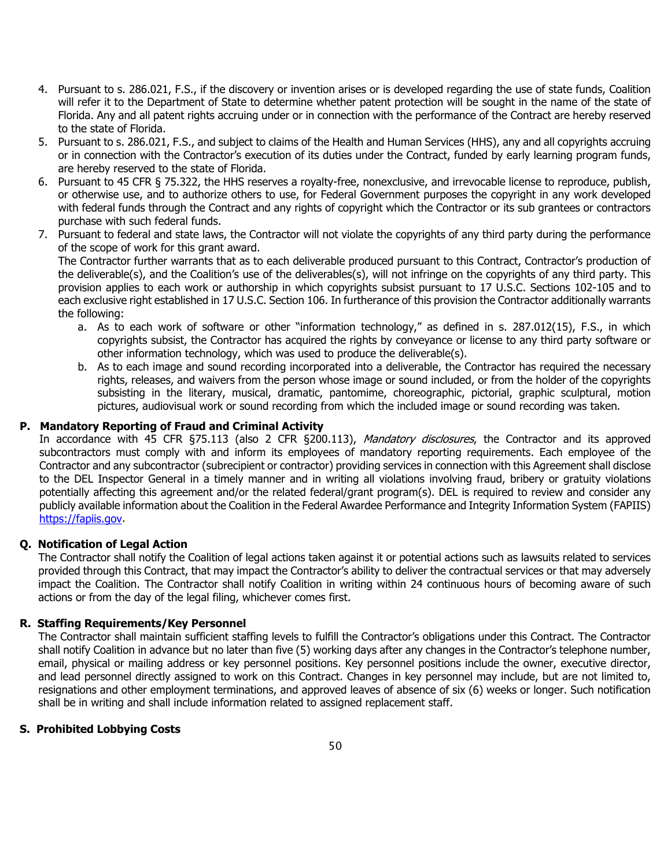- 4. Pursuant to s. 286.021, F.S., if the discovery or invention arises or is developed regarding the use of state funds, Coalition will refer it to the Department of State to determine whether patent protection will be sought in the name of the state of Florida. Any and all patent rights accruing under or in connection with the performance of the Contract are hereby reserved to the state of Florida.
- 5. Pursuant to s. 286.021, F.S., and subject to claims of the Health and Human Services (HHS), any and all copyrights accruing or in connection with the Contractor's execution of its duties under the Contract, funded by early learning program funds, are hereby reserved to the state of Florida.
- 6. Pursuant to 45 CFR § 75.322, the HHS reserves a royalty-free, nonexclusive, and irrevocable license to reproduce, publish, or otherwise use, and to authorize others to use, for Federal Government purposes the copyright in any work developed with federal funds through the Contract and any rights of copyright which the Contractor or its sub grantees or contractors purchase with such federal funds.
- 7. Pursuant to federal and state laws, the Contractor will not violate the copyrights of any third party during the performance of the scope of work for this grant award.

The Contractor further warrants that as to each deliverable produced pursuant to this Contract, Contractor's production of the deliverable(s), and the Coalition's use of the deliverables(s), will not infringe on the copyrights of any third party. This provision applies to each work or authorship in which copyrights subsist pursuant to 17 U.S.C. Sections 102-105 and to each exclusive right established in 17 U.S.C. Section 106. In furtherance of this provision the Contractor additionally warrants the following:

- a. As to each work of software or other "information technology," as defined in s. 287.012(15), F.S., in which copyrights subsist, the Contractor has acquired the rights by conveyance or license to any third party software or other information technology, which was used to produce the deliverable(s).
- b. As to each image and sound recording incorporated into a deliverable, the Contractor has required the necessary rights, releases, and waivers from the person whose image or sound included, or from the holder of the copyrights subsisting in the literary, musical, dramatic, pantomime, choreographic, pictorial, graphic sculptural, motion pictures, audiovisual work or sound recording from which the included image or sound recording was taken.

#### **P. Mandatory Reporting of Fraud and Criminal Activity**

In accordance with 45 CFR §75.113 (also 2 CFR §200.113), Mandatory disclosures, the Contractor and its approved subcontractors must comply with and inform its employees of mandatory reporting requirements. Each employee of the Contractor and any subcontractor (subrecipient or contractor) providing services in connection with this Agreement shall disclose to the DEL Inspector General in a timely manner and in writing all violations involving fraud, bribery or gratuity violations potentially affecting this agreement and/or the related federal/grant program(s). DEL is required to review and consider any publicly available information about the Coalition in the Federal Awardee Performance and Integrity Information System (FAPIIS) [https://fapiis.gov.](https://fapiis.gov/)

#### **Q. Notification of Legal Action**

The Contractor shall notify the Coalition of legal actions taken against it or potential actions such as lawsuits related to services provided through this Contract, that may impact the Contractor's ability to deliver the contractual services or that may adversely impact the Coalition. The Contractor shall notify Coalition in writing within 24 continuous hours of becoming aware of such actions or from the day of the legal filing, whichever comes first.

#### **R. Staffing Requirements/Key Personnel**

The Contractor shall maintain sufficient staffing levels to fulfill the Contractor's obligations under this Contract. The Contractor shall notify Coalition in advance but no later than five (5) working days after any changes in the Contractor's telephone number, email, physical or mailing address or key personnel positions. Key personnel positions include the owner, executive director, and lead personnel directly assigned to work on this Contract. Changes in key personnel may include, but are not limited to, resignations and other employment terminations, and approved leaves of absence of six (6) weeks or longer. Such notification shall be in writing and shall include information related to assigned replacement staff.

#### **S. Prohibited Lobbying Costs**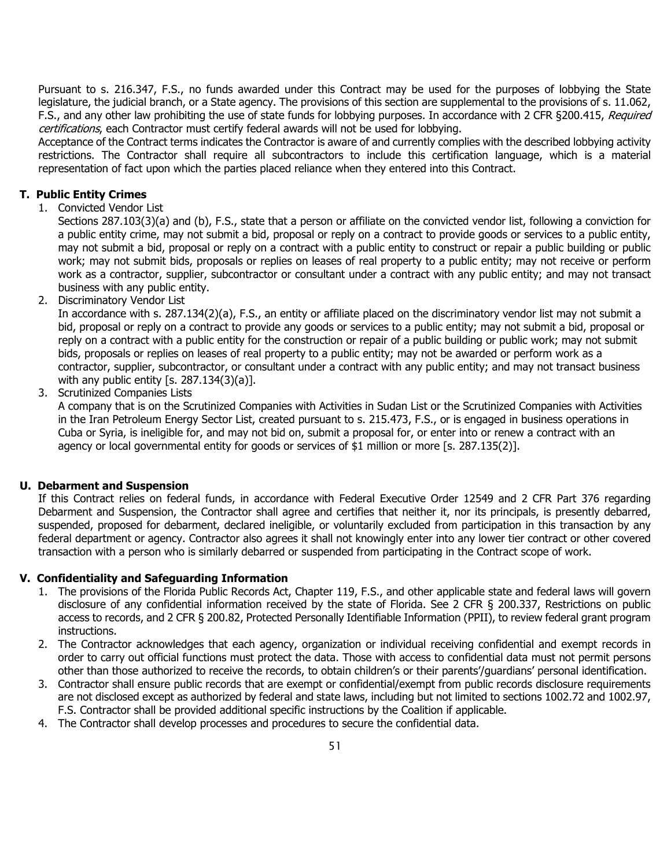Pursuant to s. 216.347, F.S., no funds awarded under this Contract may be used for the purposes of lobbying the State legislature, the judicial branch, or a State agency. The provisions of this section are supplemental to the provisions of s. 11.062, F.S., and any other law prohibiting the use of state funds for lobbying purposes. In accordance with 2 CFR §200.415, Required certifications, each Contractor must certify federal awards will not be used for lobbying.

Acceptance of the Contract terms indicates the Contractor is aware of and currently complies with the described lobbying activity restrictions. The Contractor shall require all subcontractors to include this certification language, which is a material representation of fact upon which the parties placed reliance when they entered into this Contract.

#### **T. Public Entity Crimes**

1. Convicted Vendor List

Sections 287.103(3)(a) and (b), F.S., state that a person or affiliate on the convicted vendor list, following a conviction for a public entity crime, may not submit a bid, proposal or reply on a contract to provide goods or services to a public entity, may not submit a bid, proposal or reply on a contract with a public entity to construct or repair a public building or public work; may not submit bids, proposals or replies on leases of real property to a public entity; may not receive or perform work as a contractor, supplier, subcontractor or consultant under a contract with any public entity; and may not transact business with any public entity.

2. Discriminatory Vendor List

In accordance with s. 287.134(2)(a), F.S., an entity or affiliate placed on the discriminatory vendor list may not submit a bid, proposal or reply on a contract to provide any goods or services to a public entity; may not submit a bid, proposal or reply on a contract with a public entity for the construction or repair of a public building or public work; may not submit bids, proposals or replies on leases of real property to a public entity; may not be awarded or perform work as a contractor, supplier, subcontractor, or consultant under a contract with any public entity; and may not transact business with any public entity [s.  $287.134(3)(a)$ ].

3. Scrutinized Companies Lists

A company that is on the Scrutinized Companies with Activities in Sudan List or the Scrutinized Companies with Activities in the Iran Petroleum Energy Sector List, created pursuant to s. 215.473, F.S., or is engaged in business operations in Cuba or Syria, is ineligible for, and may not bid on, submit a proposal for, or enter into or renew a contract with an agency or local governmental entity for goods or services of \$1 million or more [s. 287.135(2)].

#### **U. Debarment and Suspension**

If this Contract relies on federal funds, in accordance with Federal Executive Order 12549 and 2 CFR Part 376 regarding Debarment and Suspension, the Contractor shall agree and certifies that neither it, nor its principals, is presently debarred, suspended, proposed for debarment, declared ineligible, or voluntarily excluded from participation in this transaction by any federal department or agency. Contractor also agrees it shall not knowingly enter into any lower tier contract or other covered transaction with a person who is similarly debarred or suspended from participating in the Contract scope of work.

#### **V. Confidentiality and Safeguarding Information**

- 1. The provisions of the Florida Public Records Act, Chapter 119, F.S., and other applicable state and federal laws will govern disclosure of any confidential information received by the state of Florida. See 2 CFR § 200.337, Restrictions on public access to records, and 2 CFR § 200.82, Protected Personally Identifiable Information (PPII), to review federal grant program instructions.
- 2. The Contractor acknowledges that each agency, organization or individual receiving confidential and exempt records in order to carry out official functions must protect the data. Those with access to confidential data must not permit persons other than those authorized to receive the records, to obtain children's or their parents'/guardians' personal identification.
- 3. Contractor shall ensure public records that are exempt or confidential/exempt from public records disclosure requirements are not disclosed except as authorized by federal and state laws, including but not limited to sections 1002.72 and 1002.97, F.S. Contractor shall be provided additional specific instructions by the Coalition if applicable.
- 4. The Contractor shall develop processes and procedures to secure the confidential data.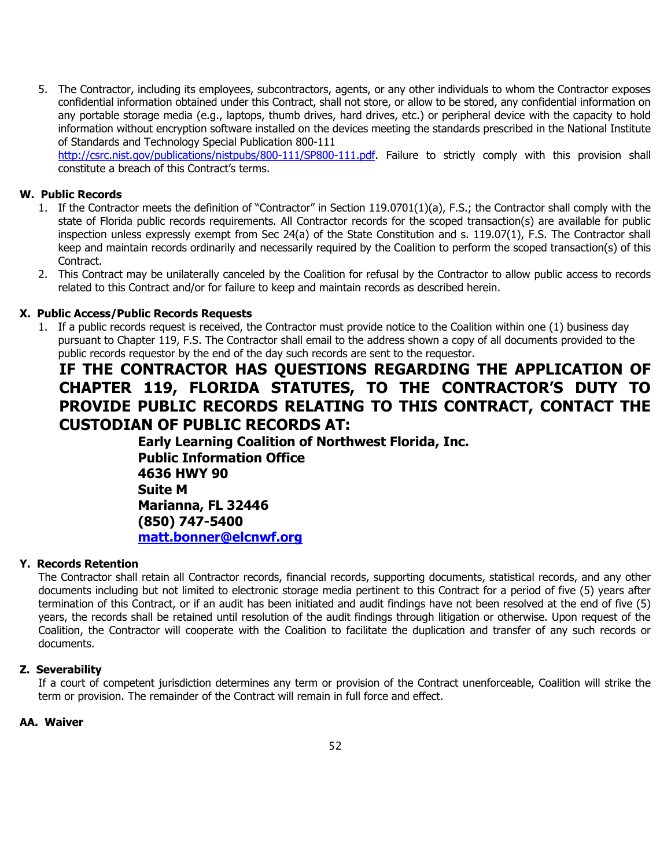5. The Contractor, including its employees, subcontractors, agents, or any other individuals to whom the Contractor exposes confidential information obtained under this Contract, shall not store, or allow to be stored, any confidential information on any portable storage media (e.g., laptops, thumb drives, hard drives, etc.) or peripheral device with the capacity to hold information without encryption software installed on the devices meeting the standards prescribed in the National Institute of Standards and Technology Special Publication 800-111

[http://csrc.nist.gov/publications/nistpubs/800-111/SP800-111.pdf.](http://csrc.nist.gov/publications/nistpubs/800-111/SP800-111.pdf) Failure to strictly comply with this provision shall constitute a breach of this Contract's terms.

#### **W. Public Records**

- 1. If the Contractor meets the definition of "Contractor" in Section 119.0701(1)(a), F.S.; the Contractor shall comply with the state of Florida public records requirements. All Contractor records for the scoped transaction(s) are available for public inspection unless expressly exempt from Sec 24(a) of the State Constitution and s. 119.07(1), F.S. The Contractor shall keep and maintain records ordinarily and necessarily required by the Coalition to perform the scoped transaction(s) of this Contract.
- 2. This Contract may be unilaterally canceled by the Coalition for refusal by the Contractor to allow public access to records related to this Contract and/or for failure to keep and maintain records as described herein.

#### **X. Public Access/Public Records Requests**

1. If a public records request is received, the Contractor must provide notice to the Coalition within one (1) business day pursuant to Chapter 119, F.S. The Contractor shall email to the address shown a copy of all documents provided to the public records requestor by the end of the day such records are sent to the requestor.

## **IF THE CONTRACTOR HAS QUESTIONS REGARDING THE APPLICATION OF CHAPTER 119, FLORIDA STATUTES, TO THE CONTRACTOR'S DUTY TO PROVIDE PUBLIC RECORDS RELATING TO THIS CONTRACT, CONTACT THE CUSTODIAN OF PUBLIC RECORDS AT:**

**Early Learning Coalition of Northwest Florida, Inc. Public Information Office 4636 HWY 90 Suite M Marianna, FL 32446 (850) 747-5400 [matt.bonner@elcnwf.org](mailto:PublicRecordsCustodian@oel.myflorida.com)**

#### **Y. Records Retention**

The Contractor shall retain all Contractor records, financial records, supporting documents, statistical records, and any other documents including but not limited to electronic storage media pertinent to this Contract for a period of five (5) years after termination of this Contract, or if an audit has been initiated and audit findings have not been resolved at the end of five (5) years, the records shall be retained until resolution of the audit findings through litigation or otherwise. Upon request of the Coalition, the Contractor will cooperate with the Coalition to facilitate the duplication and transfer of any such records or documents.

#### **Z. Severability**

If a court of competent jurisdiction determines any term or provision of the Contract unenforceable, Coalition will strike the term or provision. The remainder of the Contract will remain in full force and effect.

#### **AA. Waiver**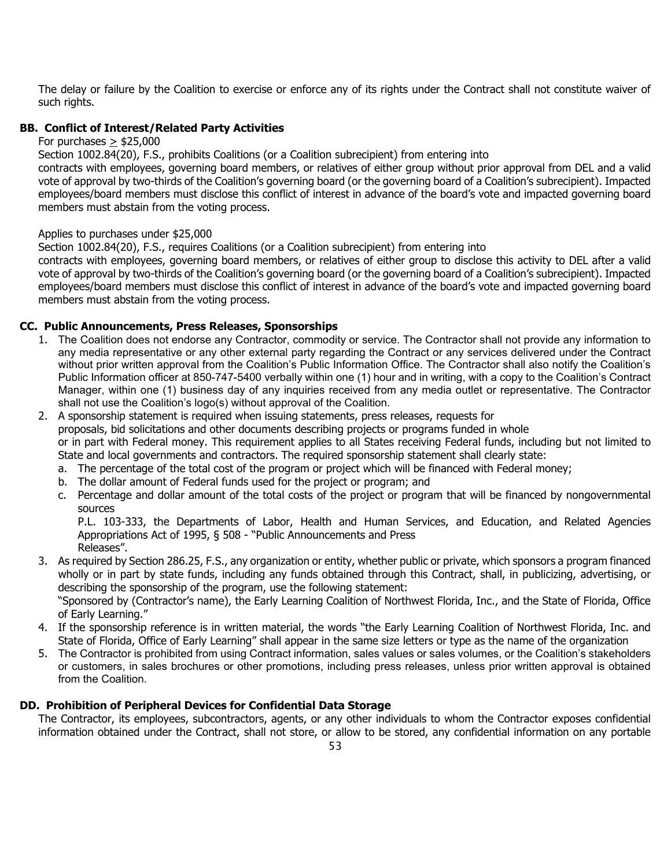The delay or failure by the Coalition to exercise or enforce any of its rights under the Contract shall not constitute waiver of such rights.

#### **BB. Conflict of Interest/Related Party Activities**

For purchases  $>$  \$25,000

Section 1002.84(20), F.S., prohibits Coalitions (or a Coalition subrecipient) from entering into

contracts with employees, governing board members, or relatives of either group without prior approval from DEL and a valid vote of approval by two-thirds of the Coalition's governing board (or the governing board of a Coalition's subrecipient). Impacted employees/board members must disclose this conflict of interest in advance of the board's vote and impacted governing board members must abstain from the voting process.

#### Applies to purchases under \$25,000

Section 1002.84(20), F.S., requires Coalitions (or a Coalition subrecipient) from entering into

contracts with employees, governing board members, or relatives of either group to disclose this activity to DEL after a valid vote of approval by two-thirds of the Coalition's governing board (or the governing board of a Coalition's subrecipient). Impacted employees/board members must disclose this conflict of interest in advance of the board's vote and impacted governing board members must abstain from the voting process.

#### **CC. Public Announcements, Press Releases, Sponsorships**

- 1. The Coalition does not endorse any Contractor, commodity or service. The Contractor shall not provide any information to any media representative or any other external party regarding the Contract or any services delivered under the Contract without prior written approval from the Coalition's Public Information Office. The Contractor shall also notify the Coalition's Public Information officer at 850-747-5400 verbally within one (1) hour and in writing, with a copy to the Coalition's Contract Manager, within one (1) business day of any inquiries received from any media outlet or representative. The Contractor shall not use the Coalition's logo(s) without approval of the Coalition.
- 2. A sponsorship statement is required when issuing statements, press releases, requests for proposals, bid solicitations and other documents describing projects or programs funded in whole or in part with Federal money. This requirement applies to all States receiving Federal funds, including but not limited to State and local governments and contractors. The required sponsorship statement shall clearly state:
	- a. The percentage of the total cost of the program or project which will be financed with Federal money;
	- b. The dollar amount of Federal funds used for the project or program; and
	- c. Percentage and dollar amount of the total costs of the project or program that will be financed by nongovernmental sources

P.L. 103-333, the Departments of Labor, Health and Human Services, and Education, and Related Agencies Appropriations Act of 1995, § 508 - "Public Announcements and Press Releases".

3. As required by Section 286.25, F.S., any organization or entity, whether public or private, which sponsors a program financed wholly or in part by state funds, including any funds obtained through this Contract, shall, in publicizing, advertising, or describing the sponsorship of the program, use the following statement:

"Sponsored by (Contractor's name), the Early Learning Coalition of Northwest Florida, Inc., and the State of Florida, Office of Early Learning."

- 4. If the sponsorship reference is in written material, the words "the Early Learning Coalition of Northwest Florida, Inc. and State of Florida, Office of Early Learning" shall appear in the same size letters or type as the name of the organization
- 5. The Contractor is prohibited from using Contract information, sales values or sales volumes, or the Coalition's stakeholders or customers, in sales brochures or other promotions, including press releases, unless prior written approval is obtained from the Coalition.

#### **DD. Prohibition of Peripheral Devices for Confidential Data Storage**

The Contractor, its employees, subcontractors, agents, or any other individuals to whom the Contractor exposes confidential information obtained under the Contract, shall not store, or allow to be stored, any confidential information on any portable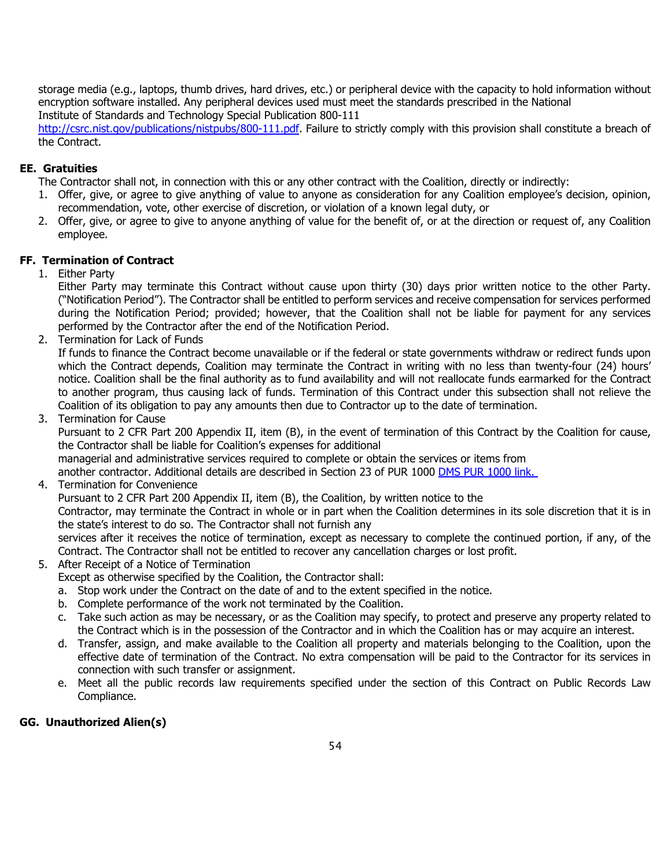storage media (e.g., laptops, thumb drives, hard drives, etc.) or peripheral device with the capacity to hold information without encryption software installed. Any peripheral devices used must meet the standards prescribed in the National Institute of Standards and Technology Special Publication 800-111

[http://csrc.nist.gov/publications/nistpubs/800-111.pdf.](http://csrc.nist.gov/publications/nistpubs/800-111.pdf) Failure to strictly comply with this provision shall constitute a breach of the Contract.

#### **EE. Gratuities**

The Contractor shall not, in connection with this or any other contract with the Coalition, directly or indirectly:

- 1. Offer, give, or agree to give anything of value to anyone as consideration for any Coalition employee's decision, opinion, recommendation, vote, other exercise of discretion, or violation of a known legal duty, or
- 2. Offer, give, or agree to give to anyone anything of value for the benefit of, or at the direction or request of, any Coalition employee.

#### **FF. Termination of Contract**

1. Either Party

Either Party may terminate this Contract without cause upon thirty (30) days prior written notice to the other Party. ("Notification Period"). The Contractor shall be entitled to perform services and receive compensation for services performed during the Notification Period; provided; however, that the Coalition shall not be liable for payment for any services performed by the Contractor after the end of the Notification Period.

2. Termination for Lack of Funds

If funds to finance the Contract become unavailable or if the federal or state governments withdraw or redirect funds upon which the Contract depends, Coalition may terminate the Contract in writing with no less than twenty-four (24) hours' notice. Coalition shall be the final authority as to fund availability and will not reallocate funds earmarked for the Contract to another program, thus causing lack of funds. Termination of this Contract under this subsection shall not relieve the Coalition of its obligation to pay any amounts then due to Contractor up to the date of termination.

3. Termination for Cause

Pursuant to 2 CFR Part 200 Appendix II, item (B), in the event of termination of this Contract by the Coalition for cause, the Contractor shall be liable for Coalition's expenses for additional

managerial and administrative services required to complete or obtain the services or items from

another contractor. Additional details are described in Section 23 of PUR 1000 [DMS PUR 1000 link.](http://www.dms.myflorida.com/content/download/2933/11777/1000.pdf)

4. Termination for Convenience

Pursuant to 2 CFR Part 200 Appendix II, item (B), the Coalition, by written notice to the

Contractor, may terminate the Contract in whole or in part when the Coalition determines in its sole discretion that it is in the state's interest to do so. The Contractor shall not furnish any

services after it receives the notice of termination, except as necessary to complete the continued portion, if any, of the Contract. The Contractor shall not be entitled to recover any cancellation charges or lost profit.

- 5. After Receipt of a Notice of Termination Except as otherwise specified by the Coalition, the Contractor shall:
	- a. Stop work under the Contract on the date of and to the extent specified in the notice.
	- b. Complete performance of the work not terminated by the Coalition.
	- c. Take such action as may be necessary, or as the Coalition may specify, to protect and preserve any property related to the Contract which is in the possession of the Contractor and in which the Coalition has or may acquire an interest.
	- d. Transfer, assign, and make available to the Coalition all property and materials belonging to the Coalition, upon the effective date of termination of the Contract. No extra compensation will be paid to the Contractor for its services in connection with such transfer or assignment.
	- e. Meet all the public records law requirements specified under the section of this Contract on Public Records Law Compliance.

## **GG. Unauthorized Alien(s)**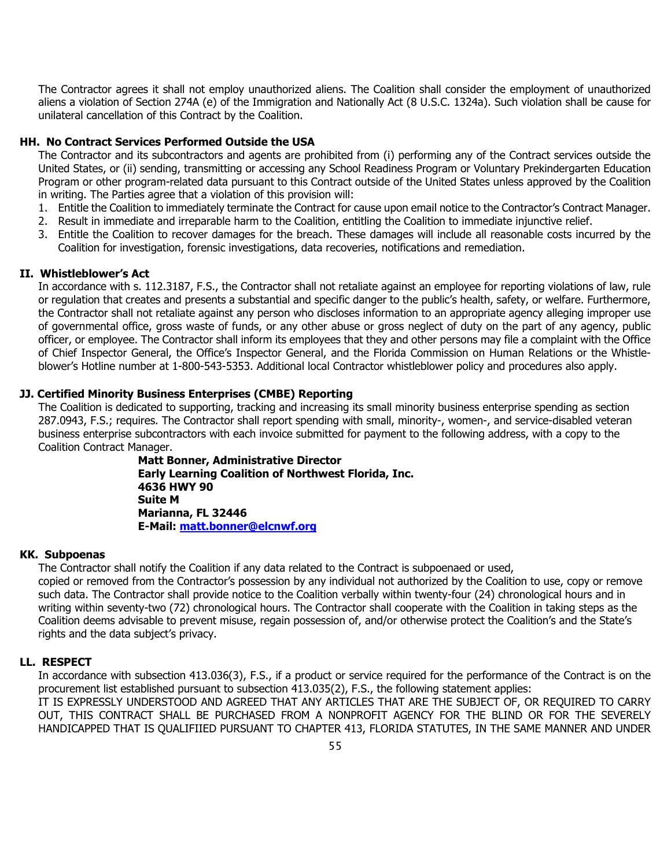The Contractor agrees it shall not employ unauthorized aliens. The Coalition shall consider the employment of unauthorized aliens a violation of Section 274A (e) of the Immigration and Nationally Act (8 U.S.C. 1324a). Such violation shall be cause for unilateral cancellation of this Contract by the Coalition.

#### **HH. No Contract Services Performed Outside the USA**

The Contractor and its subcontractors and agents are prohibited from (i) performing any of the Contract services outside the United States, or (ii) sending, transmitting or accessing any School Readiness Program or Voluntary Prekindergarten Education Program or other program-related data pursuant to this Contract outside of the United States unless approved by the Coalition in writing. The Parties agree that a violation of this provision will:

- 1. Entitle the Coalition to immediately terminate the Contract for cause upon email notice to the Contractor's Contract Manager.
- 2. Result in immediate and irreparable harm to the Coalition, entitling the Coalition to immediate injunctive relief.
- 3. Entitle the Coalition to recover damages for the breach. These damages will include all reasonable costs incurred by the Coalition for investigation, forensic investigations, data recoveries, notifications and remediation.

#### **II. Whistleblower's Act**

In accordance with s. 112.3187, F.S., the Contractor shall not retaliate against an employee for reporting violations of law, rule or regulation that creates and presents a substantial and specific danger to the public's health, safety, or welfare. Furthermore, the Contractor shall not retaliate against any person who discloses information to an appropriate agency alleging improper use of governmental office, gross waste of funds, or any other abuse or gross neglect of duty on the part of any agency, public officer, or employee. The Contractor shall inform its employees that they and other persons may file a complaint with the Office of Chief Inspector General, the Office's Inspector General, and the Florida Commission on Human Relations or the Whistleblower's Hotline number at 1-800-543-5353. Additional local Contractor whistleblower policy and procedures also apply.

#### **JJ. Certified Minority Business Enterprises (CMBE) Reporting**

The Coalition is dedicated to supporting, tracking and increasing its small minority business enterprise spending as section 287.0943, F.S.; requires. The Contractor shall report spending with small, minority-, women-, and service-disabled veteran business enterprise subcontractors with each invoice submitted for payment to the following address, with a copy to the Coalition Contract Manager.

> **Matt Bonner, Administrative Director Early Learning Coalition of Northwest Florida, Inc. 4636 HWY 90 Suite M Marianna, FL 32446 E-Mail: [matt.bonner@elcnwf.org](mailto:matt.bonner@elcnwf.org)**

#### **KK. Subpoenas**

The Contractor shall notify the Coalition if any data related to the Contract is subpoenaed or used,

copied or removed from the Contractor's possession by any individual not authorized by the Coalition to use, copy or remove such data. The Contractor shall provide notice to the Coalition verbally within twenty-four (24) chronological hours and in writing within seventy-two (72) chronological hours. The Contractor shall cooperate with the Coalition in taking steps as the Coalition deems advisable to prevent misuse, regain possession of, and/or otherwise protect the Coalition's and the State's rights and the data subject's privacy.

#### **LL. RESPECT**

In accordance with subsection 413.036(3), F.S., if a product or service required for the performance of the Contract is on the procurement list established pursuant to subsection 413.035(2), F.S., the following statement applies: IT IS EXPRESSLY UNDERSTOOD AND AGREED THAT ANY ARTICLES THAT ARE THE SUBJECT OF, OR REQUIRED TO CARRY

OUT, THIS CONTRACT SHALL BE PURCHASED FROM A NONPROFIT AGENCY FOR THE BLIND OR FOR THE SEVERELY HANDICAPPED THAT IS QUALIFIIED PURSUANT TO CHAPTER 413, FLORIDA STATUTES, IN THE SAME MANNER AND UNDER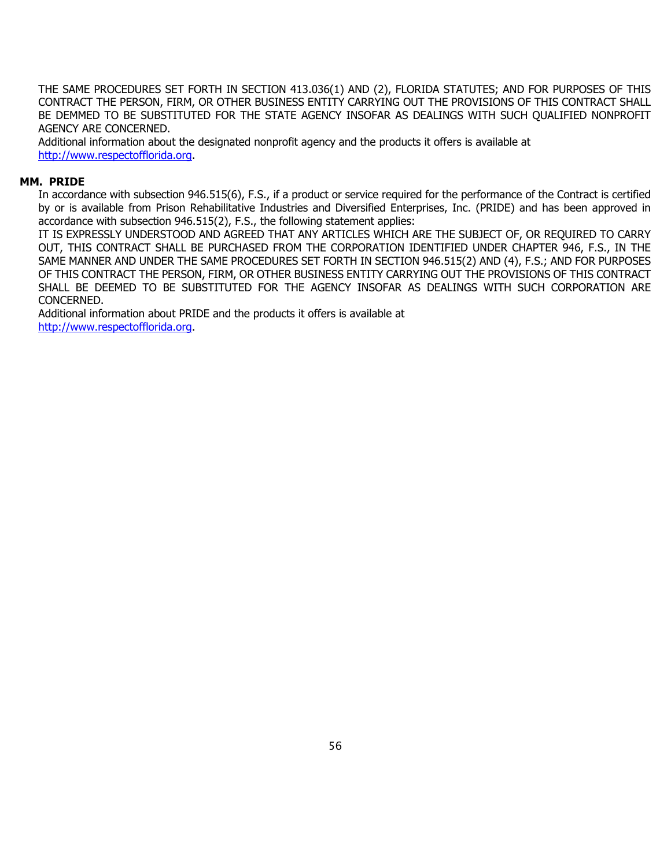THE SAME PROCEDURES SET FORTH IN SECTION 413.036(1) AND (2), FLORIDA STATUTES; AND FOR PURPOSES OF THIS CONTRACT THE PERSON, FIRM, OR OTHER BUSINESS ENTITY CARRYING OUT THE PROVISIONS OF THIS CONTRACT SHALL BE DEMMED TO BE SUBSTITUTED FOR THE STATE AGENCY INSOFAR AS DEALINGS WITH SUCH QUALIFIED NONPROFIT AGENCY ARE CONCERNED.

Additional information about the designated nonprofit agency and the products it offers is available at [http://www.respectofflorida.org.](http://www.respectofflorida.org/)

#### **MM. PRIDE**

In accordance with subsection 946.515(6), F.S., if a product or service required for the performance of the Contract is certified by or is available from Prison Rehabilitative Industries and Diversified Enterprises, Inc. (PRIDE) and has been approved in accordance with subsection 946.515(2), F.S., the following statement applies:

IT IS EXPRESSLY UNDERSTOOD AND AGREED THAT ANY ARTICLES WHICH ARE THE SUBJECT OF, OR REQUIRED TO CARRY OUT, THIS CONTRACT SHALL BE PURCHASED FROM THE CORPORATION IDENTIFIED UNDER CHAPTER 946, F.S., IN THE SAME MANNER AND UNDER THE SAME PROCEDURES SET FORTH IN SECTION 946.515(2) AND (4), F.S.; AND FOR PURPOSES OF THIS CONTRACT THE PERSON, FIRM, OR OTHER BUSINESS ENTITY CARRYING OUT THE PROVISIONS OF THIS CONTRACT SHALL BE DEEMED TO BE SUBSTITUTED FOR THE AGENCY INSOFAR AS DEALINGS WITH SUCH CORPORATION ARE CONCERNED.

Additional information about PRIDE and the products it offers is available at [http://www.respectofflorida.org.](http://www.respectofflorida.org/)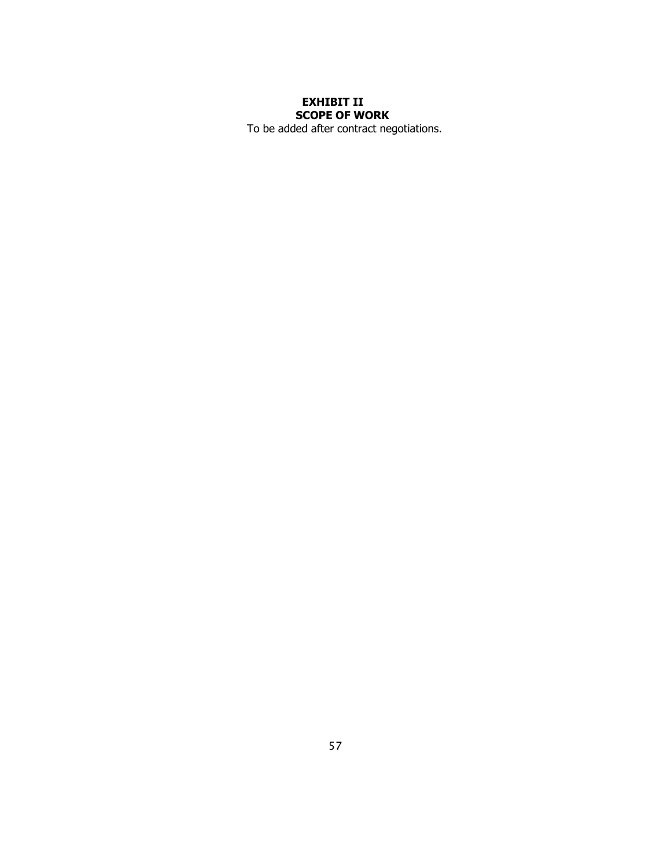## **EXHIBIT II SCOPE OF WORK**

To be added after contract negotiations.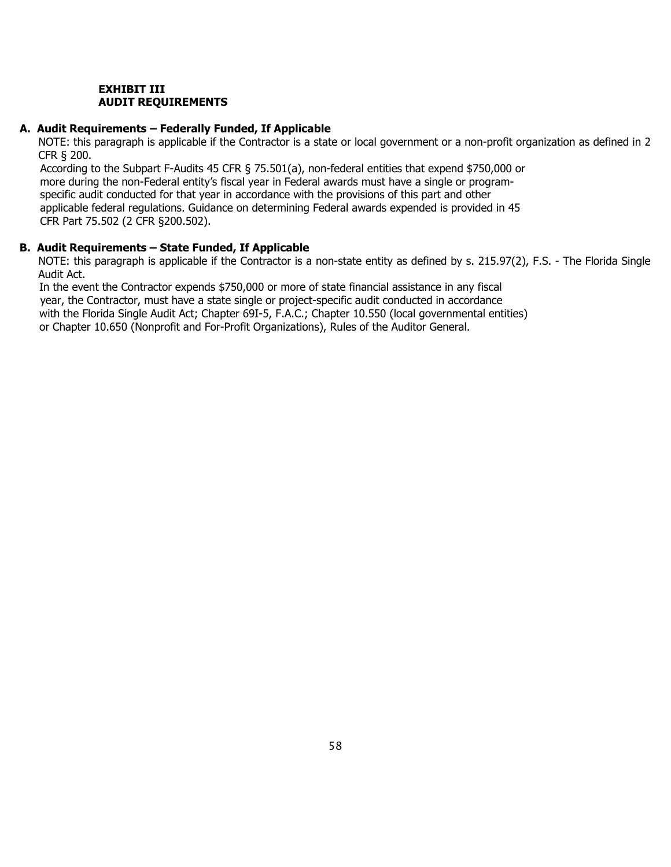#### **EXHIBIT III AUDIT REQUIREMENTS**

#### **A. Audit Requirements – Federally Funded, If Applicable**

NOTE: this paragraph is applicable if the Contractor is a state or local government or a non-profit organization as defined in 2 CFR § 200.

 According to the Subpart F-Audits 45 CFR § 75.501(a), non-federal entities that expend \$750,000 or more during the non-Federal entity's fiscal year in Federal awards must have a single or program specific audit conducted for that year in accordance with the provisions of this part and other applicable federal regulations. Guidance on determining Federal awards expended is provided in 45 CFR Part 75.502 (2 CFR §200.502).

#### **B. Audit Requirements – State Funded, If Applicable**

NOTE: this paragraph is applicable if the Contractor is a non-state entity as defined by s. 215.97(2), F.S. - The Florida Single Audit Act.

In the event the Contractor expends \$750,000 or more of state financial assistance in any fiscal year, the Contractor, must have a state single or project-specific audit conducted in accordance with the Florida Single Audit Act; Chapter 69I-5, F.A.C.; Chapter 10.550 (local governmental entities) or Chapter 10.650 (Nonprofit and For-Profit Organizations), Rules of the Auditor General.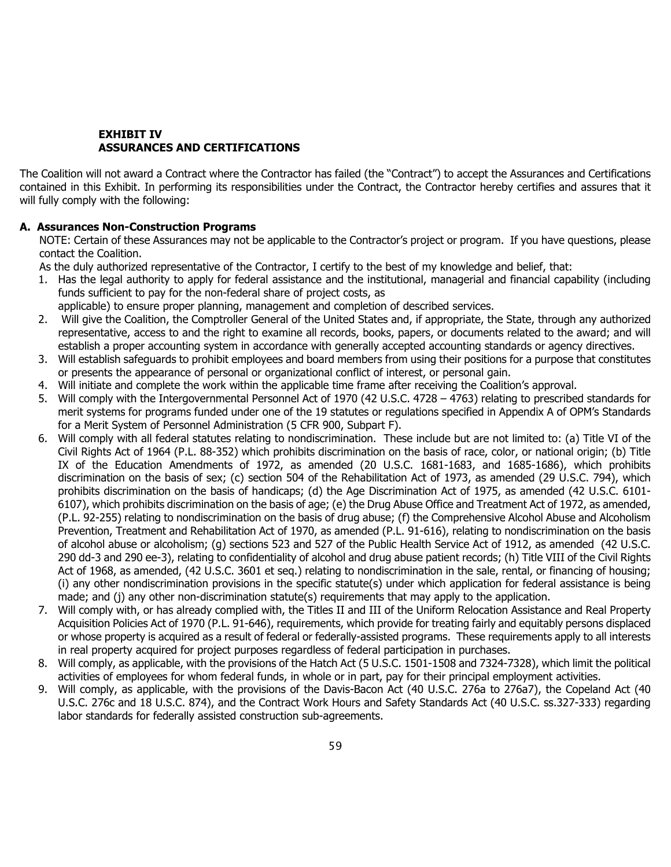#### **EXHIBIT IV ASSURANCES AND CERTIFICATIONS**

The Coalition will not award a Contract where the Contractor has failed (the "Contract") to accept the Assurances and Certifications contained in this Exhibit. In performing its responsibilities under the Contract, the Contractor hereby certifies and assures that it will fully comply with the following:

#### **A. Assurances Non-Construction Programs**

NOTE: Certain of these Assurances may not be applicable to the Contractor's project or program. If you have questions, please contact the Coalition.

As the duly authorized representative of the Contractor, I certify to the best of my knowledge and belief, that:

- 1. Has the legal authority to apply for federal assistance and the institutional, managerial and financial capability (including funds sufficient to pay for the non-federal share of project costs, as
- applicable) to ensure proper planning, management and completion of described services.
- 2. Will give the Coalition, the Comptroller General of the United States and, if appropriate, the State, through any authorized representative, access to and the right to examine all records, books, papers, or documents related to the award; and will establish a proper accounting system in accordance with generally accepted accounting standards or agency directives.
- 3. Will establish safeguards to prohibit employees and board members from using their positions for a purpose that constitutes or presents the appearance of personal or organizational conflict of interest, or personal gain.
- 4. Will initiate and complete the work within the applicable time frame after receiving the Coalition's approval.
- 5. Will comply with the Intergovernmental Personnel Act of 1970 (42 U.S.C. 4728 4763) relating to prescribed standards for merit systems for programs funded under one of the 19 statutes or regulations specified in Appendix A of OPM's Standards for a Merit System of Personnel Administration (5 CFR 900, Subpart F).
- 6. Will comply with all federal statutes relating to nondiscrimination. These include but are not limited to: (a) Title VI of the Civil Rights Act of 1964 (P.L. 88-352) which prohibits discrimination on the basis of race, color, or national origin; (b) Title IX of the Education Amendments of 1972, as amended (20 U.S.C. 1681-1683, and 1685-1686), which prohibits discrimination on the basis of sex; (c) section 504 of the Rehabilitation Act of 1973, as amended (29 U.S.C. 794), which prohibits discrimination on the basis of handicaps; (d) the Age Discrimination Act of 1975, as amended (42 U.S.C. 6101- 6107), which prohibits discrimination on the basis of age; (e) the Drug Abuse Office and Treatment Act of 1972, as amended, (P.L. 92-255) relating to nondiscrimination on the basis of drug abuse; (f) the Comprehensive Alcohol Abuse and Alcoholism Prevention, Treatment and Rehabilitation Act of 1970, as amended (P.L. 91-616), relating to nondiscrimination on the basis of alcohol abuse or alcoholism; (g) sections 523 and 527 of the Public Health Service Act of 1912, as amended (42 U.S.C. 290 dd-3 and 290 ee-3), relating to confidentiality of alcohol and drug abuse patient records; (h) Title VIII of the Civil Rights Act of 1968, as amended, (42 U.S.C. 3601 et seq.) relating to nondiscrimination in the sale, rental, or financing of housing; (i) any other nondiscrimination provisions in the specific statute(s) under which application for federal assistance is being made; and (j) any other non-discrimination statute(s) requirements that may apply to the application.
- 7. Will comply with, or has already complied with, the Titles II and III of the Uniform Relocation Assistance and Real Property Acquisition Policies Act of 1970 (P.L. 91-646), requirements, which provide for treating fairly and equitably persons displaced or whose property is acquired as a result of federal or federally-assisted programs. These requirements apply to all interests in real property acquired for project purposes regardless of federal participation in purchases.
- 8. Will comply, as applicable, with the provisions of the Hatch Act (5 U.S.C. 1501-1508 and 7324-7328), which limit the political activities of employees for whom federal funds, in whole or in part, pay for their principal employment activities.
- 9. Will comply, as applicable, with the provisions of the Davis-Bacon Act (40 U.S.C. 276a to 276a7), the Copeland Act (40 U.S.C. 276c and 18 U.S.C. 874), and the Contract Work Hours and Safety Standards Act (40 U.S.C. ss.327-333) regarding labor standards for federally assisted construction sub-agreements.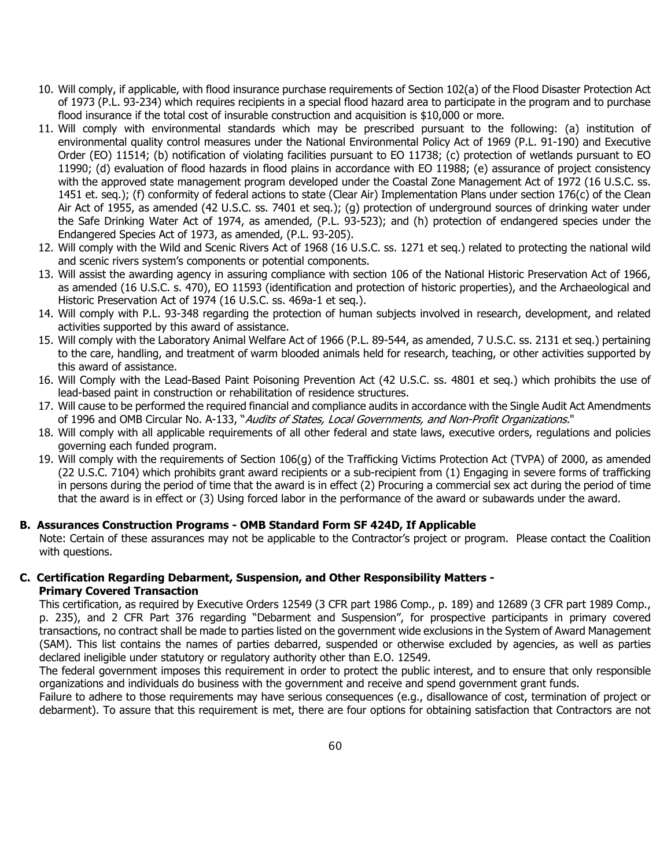- 10. Will comply, if applicable, with flood insurance purchase requirements of Section 102(a) of the Flood Disaster Protection Act of 1973 (P.L. 93-234) which requires recipients in a special flood hazard area to participate in the program and to purchase flood insurance if the total cost of insurable construction and acquisition is \$10,000 or more.
- 11. Will comply with environmental standards which may be prescribed pursuant to the following: (a) institution of environmental quality control measures under the National Environmental Policy Act of 1969 (P.L. 91-190) and Executive Order (EO) 11514; (b) notification of violating facilities pursuant to EO 11738; (c) protection of wetlands pursuant to EO 11990; (d) evaluation of flood hazards in flood plains in accordance with EO 11988; (e) assurance of project consistency with the approved state management program developed under the Coastal Zone Management Act of 1972 (16 U.S.C. ss. 1451 et. seq.); (f) conformity of federal actions to state (Clear Air) Implementation Plans under section 176(c) of the Clean Air Act of 1955, as amended (42 U.S.C. ss. 7401 et seq.); (g) protection of underground sources of drinking water under the Safe Drinking Water Act of 1974, as amended, (P.L. 93-523); and (h) protection of endangered species under the Endangered Species Act of 1973, as amended, (P.L. 93-205).
- 12. Will comply with the Wild and Scenic Rivers Act of 1968 (16 U.S.C. ss. 1271 et seq.) related to protecting the national wild and scenic rivers system's components or potential components.
- 13. Will assist the awarding agency in assuring compliance with section 106 of the National Historic Preservation Act of 1966, as amended (16 U.S.C. s. 470), EO 11593 (identification and protection of historic properties), and the Archaeological and Historic Preservation Act of 1974 (16 U.S.C. ss. 469a-1 et seq.).
- 14. Will comply with P.L. 93-348 regarding the protection of human subjects involved in research, development, and related activities supported by this award of assistance.
- 15. Will comply with the Laboratory Animal Welfare Act of 1966 (P.L. 89-544, as amended, 7 U.S.C. ss. 2131 et seq.) pertaining to the care, handling, and treatment of warm blooded animals held for research, teaching, or other activities supported by this award of assistance.
- 16. Will Comply with the Lead-Based Paint Poisoning Prevention Act (42 U.S.C. ss. 4801 et seq.) which prohibits the use of lead-based paint in construction or rehabilitation of residence structures.
- 17. Will cause to be performed the required financial and compliance audits in accordance with the Single Audit Act Amendments of 1996 and OMB Circular No. A-133, "Audits of States, Local Governments, and Non-Profit Organizations."
- 18. Will comply with all applicable requirements of all other federal and state laws, executive orders, regulations and policies governing each funded program.
- 19. Will comply with the requirements of Section 106(g) of the Trafficking Victims Protection Act (TVPA) of 2000, as amended (22 U.S.C. 7104) which prohibits grant award recipients or a sub-recipient from (1) Engaging in severe forms of trafficking in persons during the period of time that the award is in effect (2) Procuring a commercial sex act during the period of time that the award is in effect or (3) Using forced labor in the performance of the award or subawards under the award.

#### **B. Assurances Construction Programs - OMB Standard Form SF 424D, If Applicable**

Note: Certain of these assurances may not be applicable to the Contractor's project or program. Please contact the Coalition with questions.

#### **C. Certification Regarding Debarment, Suspension, and Other Responsibility Matters - Primary Covered Transaction**

This certification, as required by Executive Orders 12549 (3 CFR part 1986 Comp., p. 189) and 12689 (3 CFR part 1989 Comp., p. 235), and 2 CFR Part 376 regarding "Debarment and Suspension", for prospective participants in primary covered transactions, no contract shall be made to parties listed on the government wide exclusions in the System of Award Management (SAM). This list contains the names of parties debarred, suspended or otherwise excluded by agencies, as well as parties declared ineligible under statutory or regulatory authority other than E.O. 12549.

The federal government imposes this requirement in order to protect the public interest, and to ensure that only responsible organizations and individuals do business with the government and receive and spend government grant funds.

Failure to adhere to those requirements may have serious consequences (e.g., disallowance of cost, termination of project or debarment). To assure that this requirement is met, there are four options for obtaining satisfaction that Contractors are not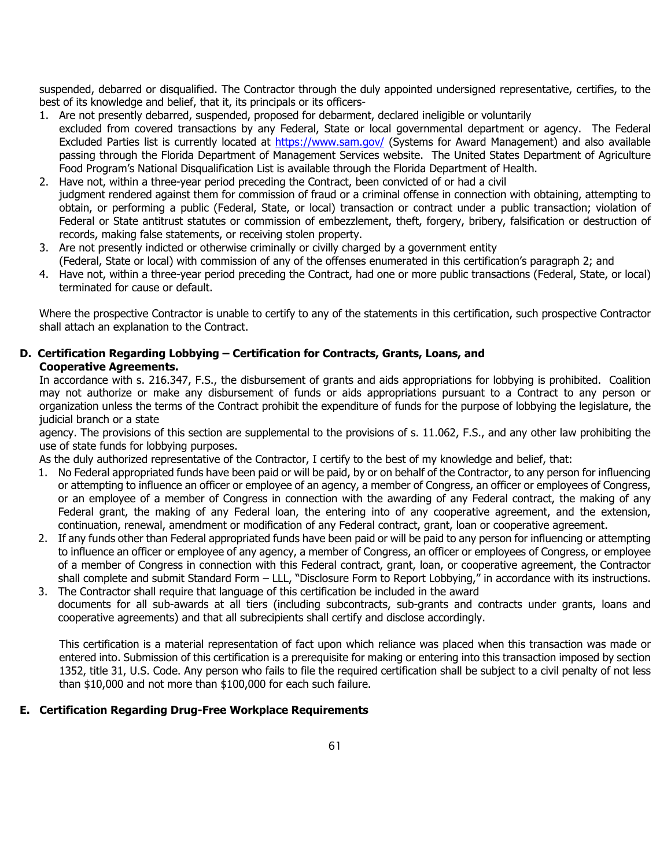suspended, debarred or disqualified. The Contractor through the duly appointed undersigned representative, certifies, to the best of its knowledge and belief, that it, its principals or its officers-

- 1. Are not presently debarred, suspended, proposed for debarment, declared ineligible or voluntarily excluded from covered transactions by any Federal, State or local governmental department or agency. The Federal Excluded Parties list is currently located at<https://www.sam.gov/> (Systems for Award Management) and also available passing through the Florida Department of Management Services website. The United States Department of Agriculture Food Program's National Disqualification List is available through the Florida Department of Health.
- 2. Have not, within a three-year period preceding the Contract, been convicted of or had a civil judgment rendered against them for commission of fraud or a criminal offense in connection with obtaining, attempting to obtain, or performing a public (Federal, State, or local) transaction or contract under a public transaction; violation of Federal or State antitrust statutes or commission of embezzlement, theft, forgery, bribery, falsification or destruction of records, making false statements, or receiving stolen property.
- 3. Are not presently indicted or otherwise criminally or civilly charged by a government entity (Federal, State or local) with commission of any of the offenses enumerated in this certification's paragraph 2; and
- 4. Have not, within a three-year period preceding the Contract, had one or more public transactions (Federal, State, or local) terminated for cause or default.

Where the prospective Contractor is unable to certify to any of the statements in this certification, such prospective Contractor shall attach an explanation to the Contract.

#### **D. Certification Regarding Lobbying – Certification for Contracts, Grants, Loans, and Cooperative Agreements.**

In accordance with s. 216.347, F.S., the disbursement of grants and aids appropriations for lobbying is prohibited. Coalition may not authorize or make any disbursement of funds or aids appropriations pursuant to a Contract to any person or organization unless the terms of the Contract prohibit the expenditure of funds for the purpose of lobbying the legislature, the judicial branch or a state

agency. The provisions of this section are supplemental to the provisions of s. 11.062, F.S., and any other law prohibiting the use of state funds for lobbying purposes.

As the duly authorized representative of the Contractor, I certify to the best of my knowledge and belief, that:

- 1. No Federal appropriated funds have been paid or will be paid, by or on behalf of the Contractor, to any person for influencing or attempting to influence an officer or employee of an agency, a member of Congress, an officer or employees of Congress, or an employee of a member of Congress in connection with the awarding of any Federal contract, the making of any Federal grant, the making of any Federal loan, the entering into of any cooperative agreement, and the extension, continuation, renewal, amendment or modification of any Federal contract, grant, loan or cooperative agreement.
- 2. If any funds other than Federal appropriated funds have been paid or will be paid to any person for influencing or attempting to influence an officer or employee of any agency, a member of Congress, an officer or employees of Congress, or employee of a member of Congress in connection with this Federal contract, grant, loan, or cooperative agreement, the Contractor shall complete and submit Standard Form – LLL, "Disclosure Form to Report Lobbying," in accordance with its instructions.
- 3. The Contractor shall require that language of this certification be included in the award documents for all sub-awards at all tiers (including subcontracts, sub-grants and contracts under grants, loans and cooperative agreements) and that all subrecipients shall certify and disclose accordingly.

This certification is a material representation of fact upon which reliance was placed when this transaction was made or entered into. Submission of this certification is a prerequisite for making or entering into this transaction imposed by section 1352, title 31, U.S. Code. Any person who fails to file the required certification shall be subject to a civil penalty of not less than \$10,000 and not more than \$100,000 for each such failure.

#### **E. Certification Regarding Drug-Free Workplace Requirements**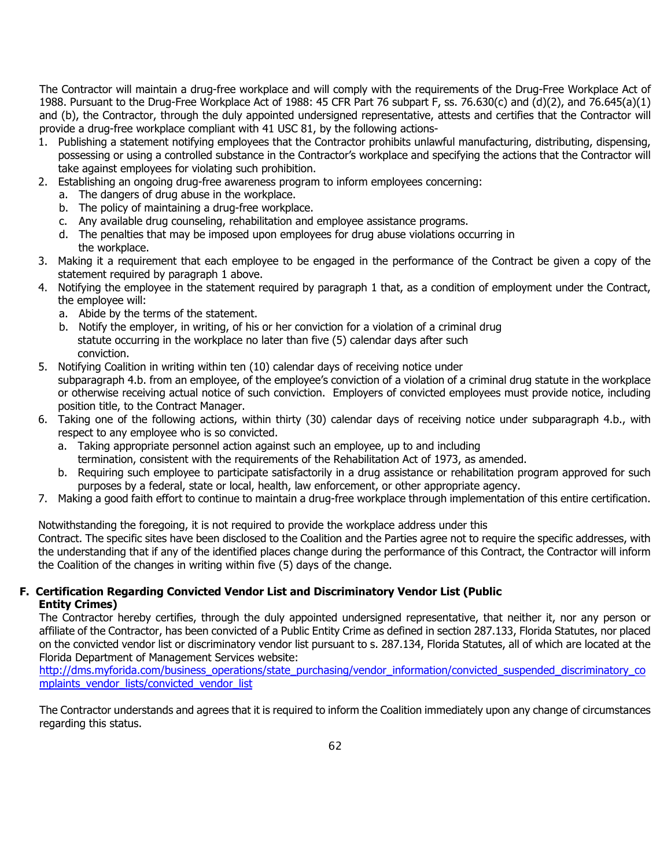The Contractor will maintain a drug-free workplace and will comply with the requirements of the Drug-Free Workplace Act of 1988. Pursuant to the Drug-Free Workplace Act of 1988: 45 CFR Part 76 subpart F, ss. 76.630(c) and (d)(2), and 76.645(a)(1) and (b), the Contractor, through the duly appointed undersigned representative, attests and certifies that the Contractor will provide a drug-free workplace compliant with 41 USC 81, by the following actions-

- 1. Publishing a statement notifying employees that the Contractor prohibits unlawful manufacturing, distributing, dispensing, possessing or using a controlled substance in the Contractor's workplace and specifying the actions that the Contractor will take against employees for violating such prohibition.
- 2. Establishing an ongoing drug-free awareness program to inform employees concerning:
	- a. The dangers of drug abuse in the workplace.
	- b. The policy of maintaining a drug-free workplace.
	- c. Any available drug counseling, rehabilitation and employee assistance programs.
	- d. The penalties that may be imposed upon employees for drug abuse violations occurring in the workplace.
- 3. Making it a requirement that each employee to be engaged in the performance of the Contract be given a copy of the statement required by paragraph 1 above.
- 4. Notifying the employee in the statement required by paragraph 1 that, as a condition of employment under the Contract, the employee will:
	- a. Abide by the terms of the statement.
	- b. Notify the employer, in writing, of his or her conviction for a violation of a criminal drug statute occurring in the workplace no later than five (5) calendar days after such conviction.
- 5. Notifying Coalition in writing within ten (10) calendar days of receiving notice under subparagraph 4.b. from an employee, of the employee's conviction of a violation of a criminal drug statute in the workplace or otherwise receiving actual notice of such conviction. Employers of convicted employees must provide notice, including position title, to the Contract Manager.
- 6. Taking one of the following actions, within thirty (30) calendar days of receiving notice under subparagraph 4.b., with respect to any employee who is so convicted.
	- a. Taking appropriate personnel action against such an employee, up to and including
	- termination, consistent with the requirements of the Rehabilitation Act of 1973, as amended.
	- b. Requiring such employee to participate satisfactorily in a drug assistance or rehabilitation program approved for such purposes by a federal, state or local, health, law enforcement, or other appropriate agency.
- 7. Making a good faith effort to continue to maintain a drug-free workplace through implementation of this entire certification.

Notwithstanding the foregoing, it is not required to provide the workplace address under this Contract. The specific sites have been disclosed to the Coalition and the Parties agree not to require the specific addresses, with the understanding that if any of the identified places change during the performance of this Contract, the Contractor will inform the Coalition of the changes in writing within five (5) days of the change.

#### **F. Certification Regarding Convicted Vendor List and Discriminatory Vendor List (Public Entity Crimes)**

The Contractor hereby certifies, through the duly appointed undersigned representative, that neither it, nor any person or affiliate of the Contractor, has been convicted of a Public Entity Crime as defined in section 287.133, Florida Statutes, nor placed on the convicted vendor list or discriminatory vendor list pursuant to s. 287.134, Florida Statutes, all of which are located at the Florida Department of Management Services website:

[http://dms.myforida.com/business\\_operations/state\\_purchasing/vendor\\_information/convicted\\_suspended\\_discriminatory\\_co](http://dms.myforida.com/business_operations/state_purchasing/vendor_information/convicted_suspended_discriminatory_complaints_vendor_lists/convicted_vendor_list) [mplaints\\_vendor\\_lists/convicted\\_vendor\\_list](http://dms.myforida.com/business_operations/state_purchasing/vendor_information/convicted_suspended_discriminatory_complaints_vendor_lists/convicted_vendor_list)

The Contractor understands and agrees that it is required to inform the Coalition immediately upon any change of circumstances regarding this status.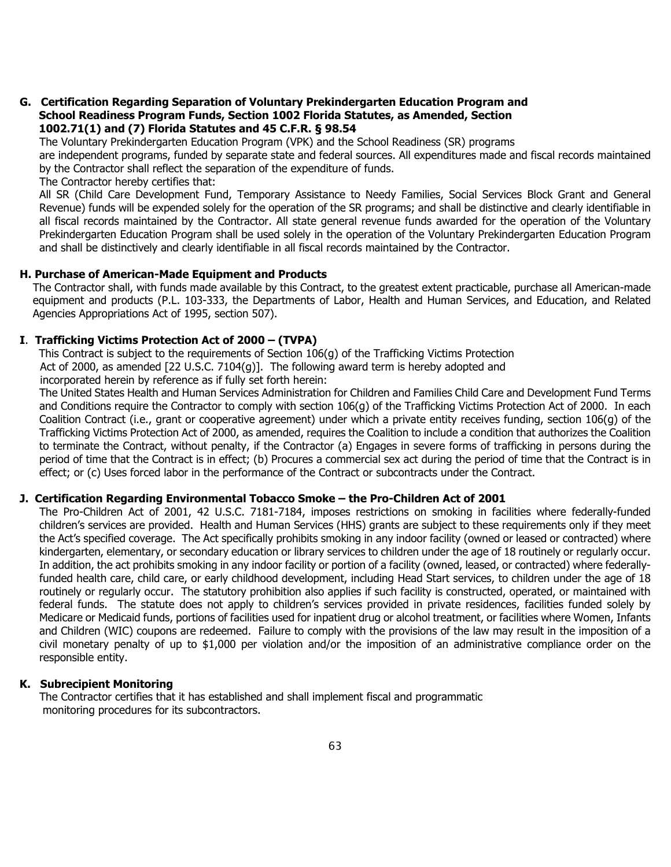#### **G. Certification Regarding Separation of Voluntary Prekindergarten Education Program and School Readiness Program Funds, Section 1002 Florida Statutes, as Amended, Section 1002.71(1) and (7) Florida Statutes and 45 C.F.R. § 98.54**

The Voluntary Prekindergarten Education Program (VPK) and the School Readiness (SR) programs

are independent programs, funded by separate state and federal sources. All expenditures made and fiscal records maintained by the Contractor shall reflect the separation of the expenditure of funds.

The Contractor hereby certifies that:

All SR (Child Care Development Fund, Temporary Assistance to Needy Families, Social Services Block Grant and General Revenue) funds will be expended solely for the operation of the SR programs; and shall be distinctive and clearly identifiable in all fiscal records maintained by the Contractor. All state general revenue funds awarded for the operation of the Voluntary Prekindergarten Education Program shall be used solely in the operation of the Voluntary Prekindergarten Education Program and shall be distinctively and clearly identifiable in all fiscal records maintained by the Contractor.

#### **H. Purchase of American-Made Equipment and Products**

The Contractor shall, with funds made available by this Contract, to the greatest extent practicable, purchase all American-made equipment and products (P.L. 103-333, the Departments of Labor, Health and Human Services, and Education, and Related Agencies Appropriations Act of 1995, section 507).

#### **I**. **Trafficking Victims Protection Act of 2000 – (TVPA)**

This Contract is subject to the requirements of Section 106(g) of the Trafficking Victims Protection Act of 2000, as amended [22 U.S.C. 7104(g)]. The following award term is hereby adopted and

incorporated herein by reference as if fully set forth herein:

The United States Health and Human Services Administration for Children and Families Child Care and Development Fund Terms and Conditions require the Contractor to comply with section 106(g) of the Trafficking Victims Protection Act of 2000. In each Coalition Contract (i.e., grant or cooperative agreement) under which a private entity receives funding, section 106(g) of the Trafficking Victims Protection Act of 2000, as amended, requires the Coalition to include a condition that authorizes the Coalition to terminate the Contract, without penalty, if the Contractor (a) Engages in severe forms of trafficking in persons during the period of time that the Contract is in effect; (b) Procures a commercial sex act during the period of time that the Contract is in effect; or (c) Uses forced labor in the performance of the Contract or subcontracts under the Contract.

#### **J. Certification Regarding Environmental Tobacco Smoke – the Pro-Children Act of 2001**

The Pro-Children Act of 2001, 42 U.S.C. 7181-7184, imposes restrictions on smoking in facilities where federally-funded children's services are provided. Health and Human Services (HHS) grants are subject to these requirements only if they meet the Act's specified coverage. The Act specifically prohibits smoking in any indoor facility (owned or leased or contracted) where kindergarten, elementary, or secondary education or library services to children under the age of 18 routinely or regularly occur. In addition, the act prohibits smoking in any indoor facility or portion of a facility (owned, leased, or contracted) where federallyfunded health care, child care, or early childhood development, including Head Start services, to children under the age of 18 routinely or regularly occur. The statutory prohibition also applies if such facility is constructed, operated, or maintained with federal funds. The statute does not apply to children's services provided in private residences, facilities funded solely by Medicare or Medicaid funds, portions of facilities used for inpatient drug or alcohol treatment, or facilities where Women, Infants and Children (WIC) coupons are redeemed. Failure to comply with the provisions of the law may result in the imposition of a civil monetary penalty of up to \$1,000 per violation and/or the imposition of an administrative compliance order on the responsible entity.

#### **K. Subrecipient Monitoring**

The Contractor certifies that it has established and shall implement fiscal and programmatic monitoring procedures for its subcontractors.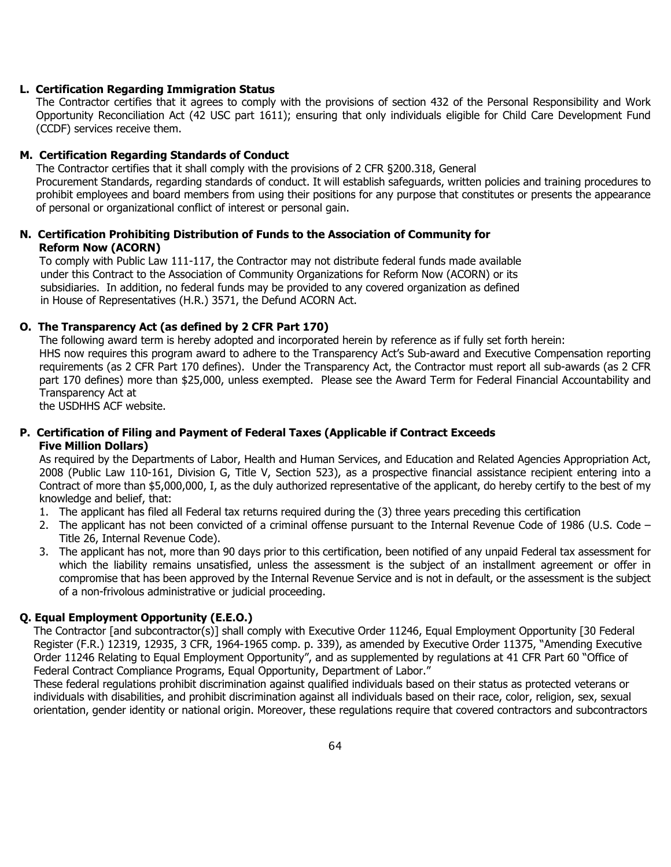#### **L. Certification Regarding Immigration Status**

The Contractor certifies that it agrees to comply with the provisions of section 432 of the Personal Responsibility and Work Opportunity Reconciliation Act (42 USC part 1611); ensuring that only individuals eligible for Child Care Development Fund (CCDF) services receive them.

#### **M. Certification Regarding Standards of Conduct**

The Contractor certifies that it shall comply with the provisions of 2 CFR §200.318, General Procurement Standards, regarding standards of conduct. It will establish safeguards, written policies and training procedures to prohibit employees and board members from using their positions for any purpose that constitutes or presents the appearance of personal or organizational conflict of interest or personal gain.

#### **N. Certification Prohibiting Distribution of Funds to the Association of Community for Reform Now (ACORN)**

To comply with Public Law 111-117, the Contractor may not distribute federal funds made available under this Contract to the Association of Community Organizations for Reform Now (ACORN) or its subsidiaries. In addition, no federal funds may be provided to any covered organization as defined in House of Representatives (H.R.) 3571, the Defund ACORN Act.

#### **O. The Transparency Act (as defined by 2 CFR Part 170)**

The following award term is hereby adopted and incorporated herein by reference as if fully set forth herein: HHS now requires this program award to adhere to the Transparency Act's Sub-award and Executive Compensation reporting requirements (as 2 CFR Part 170 defines). Under the Transparency Act, the Contractor must report all sub-awards (as 2 CFR part 170 defines) more than \$25,000, unless exempted. Please see the Award Term for Federal Financial Accountability and Transparency Act at

the USDHHS ACF website.

#### **P. Certification of Filing and Payment of Federal Taxes (Applicable if Contract Exceeds Five Million Dollars)**

As required by the Departments of Labor, Health and Human Services, and Education and Related Agencies Appropriation Act, 2008 (Public Law 110-161, Division G, Title V, Section 523), as a prospective financial assistance recipient entering into a Contract of more than \$5,000,000, I, as the duly authorized representative of the applicant, do hereby certify to the best of my knowledge and belief, that:

- 1. The applicant has filed all Federal tax returns required during the (3) three years preceding this certification
- 2. The applicant has not been convicted of a criminal offense pursuant to the Internal Revenue Code of 1986 (U.S. Code Title 26, Internal Revenue Code).
- 3. The applicant has not, more than 90 days prior to this certification, been notified of any unpaid Federal tax assessment for which the liability remains unsatisfied, unless the assessment is the subject of an installment agreement or offer in compromise that has been approved by the Internal Revenue Service and is not in default, or the assessment is the subject of a non-frivolous administrative or judicial proceeding.

## **Q. Equal Employment Opportunity (E.E.O.)**

The Contractor [and subcontractor(s)] shall comply with Executive Order 11246, Equal Employment Opportunity [30 Federal Register (F.R.) 12319, 12935, 3 CFR, 1964-1965 comp. p. 339), as amended by Executive Order 11375, "Amending Executive Order 11246 Relating to Equal Employment Opportunity", and as supplemented by regulations at 41 CFR Part 60 "Office of Federal Contract Compliance Programs, Equal Opportunity, Department of Labor."

These federal regulations prohibit discrimination against qualified individuals based on their status as protected veterans or individuals with disabilities, and prohibit discrimination against all individuals based on their race, color, religion, sex, sexual orientation, gender identity or national origin. Moreover, these regulations require that covered contractors and subcontractors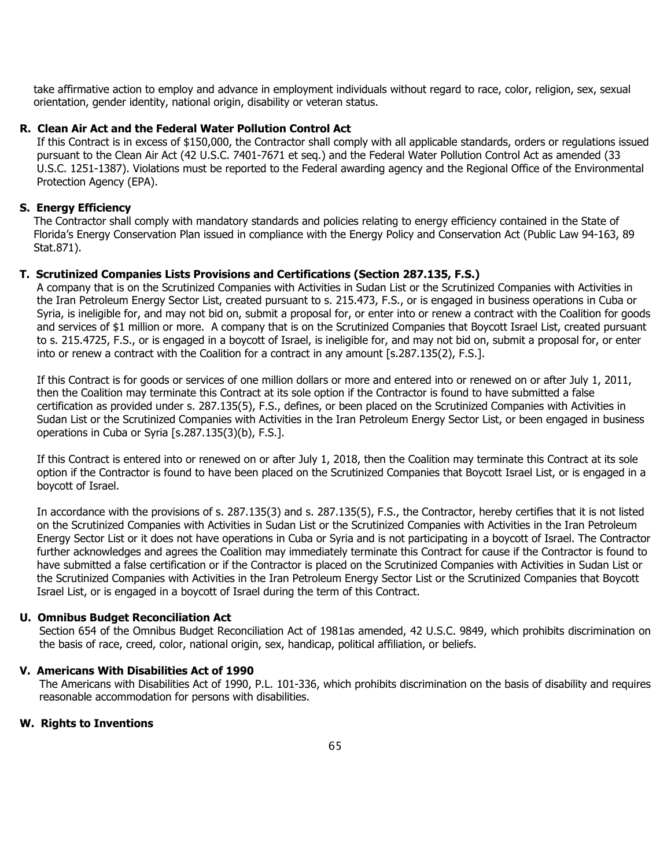take affirmative action to employ and advance in employment individuals without regard to race, color, religion, sex, sexual orientation, gender identity, national origin, disability or veteran status.

#### **R. Clean Air Act and the Federal Water Pollution Control Act**

If this Contract is in excess of \$150,000, the Contractor shall comply with all applicable standards, orders or regulations issued pursuant to the Clean Air Act (42 U.S.C. 7401-7671 et seq.) and the Federal Water Pollution Control Act as amended (33 U.S.C. 1251-1387). Violations must be reported to the Federal awarding agency and the Regional Office of the Environmental Protection Agency (EPA).

#### **S. Energy Efficiency**

The Contractor shall comply with mandatory standards and policies relating to energy efficiency contained in the State of Florida's Energy Conservation Plan issued in compliance with the Energy Policy and Conservation Act (Public Law 94-163, 89 Stat.871).

#### **T. Scrutinized Companies Lists Provisions and Certifications (Section 287.135, F.S.)**

A company that is on the Scrutinized Companies with Activities in Sudan List or the Scrutinized Companies with Activities in the Iran Petroleum Energy Sector List, created pursuant to s. 215.473, F.S., or is engaged in business operations in Cuba or Syria, is ineligible for, and may not bid on, submit a proposal for, or enter into or renew a contract with the Coalition for goods and services of \$1 million or more. A company that is on the Scrutinized Companies that Boycott Israel List, created pursuant to s. 215.4725, F.S., or is engaged in a boycott of Israel, is ineligible for, and may not bid on, submit a proposal for, or enter into or renew a contract with the Coalition for a contract in any amount [s.287.135(2), F.S.].

If this Contract is for goods or services of one million dollars or more and entered into or renewed on or after July 1, 2011, then the Coalition may terminate this Contract at its sole option if the Contractor is found to have submitted a false certification as provided under s. 287.135(5), F.S., defines, or been placed on the Scrutinized Companies with Activities in Sudan List or the Scrutinized Companies with Activities in the Iran Petroleum Energy Sector List, or been engaged in business operations in Cuba or Syria [s.287.135(3)(b), F.S.].

If this Contract is entered into or renewed on or after July 1, 2018, then the Coalition may terminate this Contract at its sole option if the Contractor is found to have been placed on the Scrutinized Companies that Boycott Israel List, or is engaged in a boycott of Israel.

In accordance with the provisions of s. 287.135(3) and s. 287.135(5), F.S., the Contractor, hereby certifies that it is not listed on the Scrutinized Companies with Activities in Sudan List or the Scrutinized Companies with Activities in the Iran Petroleum Energy Sector List or it does not have operations in Cuba or Syria and is not participating in a boycott of Israel. The Contractor further acknowledges and agrees the Coalition may immediately terminate this Contract for cause if the Contractor is found to have submitted a false certification or if the Contractor is placed on the Scrutinized Companies with Activities in Sudan List or the Scrutinized Companies with Activities in the Iran Petroleum Energy Sector List or the Scrutinized Companies that Boycott Israel List, or is engaged in a boycott of Israel during the term of this Contract.

#### **U. Omnibus Budget Reconciliation Act**

Section 654 of the Omnibus Budget Reconciliation Act of 1981as amended, 42 U.S.C. 9849, which prohibits discrimination on the basis of race, creed, color, national origin, sex, handicap, political affiliation, or beliefs.

#### **V. Americans With Disabilities Act of 1990**

The Americans with Disabilities Act of 1990, P.L. 101-336, which prohibits discrimination on the basis of disability and requires reasonable accommodation for persons with disabilities.

#### **W. Rights to Inventions**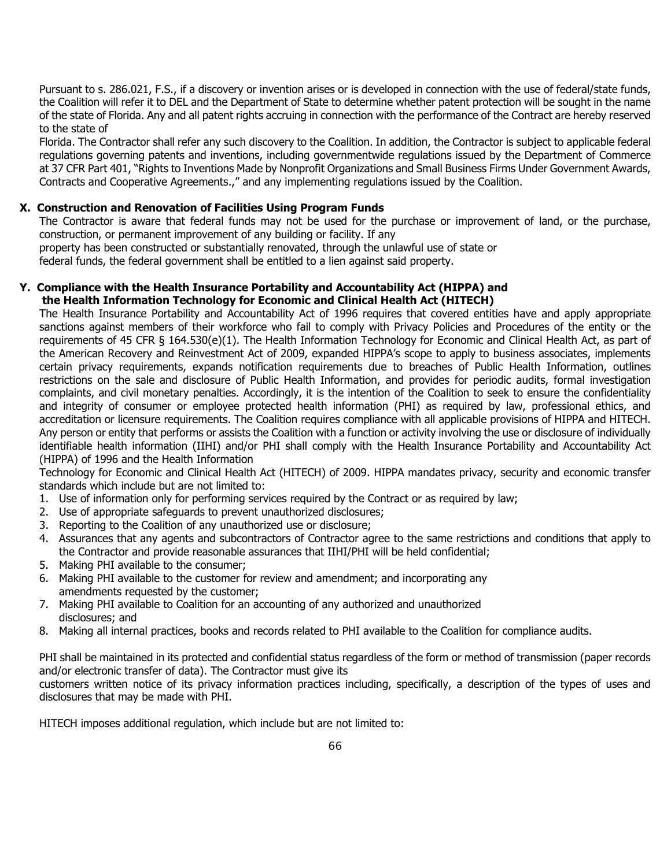Pursuant to s. 286.021, F.S., if a discovery or invention arises or is developed in connection with the use of federal/state funds, the Coalition will refer it to DEL and the Department of State to determine whether patent protection will be sought in the name of the state of Florida. Any and all patent rights accruing in connection with the performance of the Contract are hereby reserved to the state of

Florida. The Contractor shall refer any such discovery to the Coalition. In addition, the Contractor is subject to applicable federal regulations governing patents and inventions, including governmentwide regulations issued by the Department of Commerce at 37 CFR Part 401, "Rights to Inventions Made by Nonprofit Organizations and Small Business Firms Under Government Awards, Contracts and Cooperative Agreements.," and any implementing regulations issued by the Coalition.

#### **X. Construction and Renovation of Facilities Using Program Funds**

The Contractor is aware that federal funds may not be used for the purchase or improvement of land, or the purchase, construction, or permanent improvement of any building or facility. If any

property has been constructed or substantially renovated, through the unlawful use of state or

federal funds, the federal government shall be entitled to a lien against said property.

#### **Y. Compliance with the Health Insurance Portability and Accountability Act (HIPPA) and the Health Information Technology for Economic and Clinical Health Act (HITECH)**

The Health Insurance Portability and Accountability Act of 1996 requires that covered entities have and apply appropriate sanctions against members of their workforce who fail to comply with Privacy Policies and Procedures of the entity or the requirements of 45 CFR § 164.530(e)(1). The Health Information Technology for Economic and Clinical Health Act, as part of the American Recovery and Reinvestment Act of 2009, expanded HIPPA's scope to apply to business associates, implements certain privacy requirements, expands notification requirements due to breaches of Public Health Information, outlines restrictions on the sale and disclosure of Public Health Information, and provides for periodic audits, formal investigation complaints, and civil monetary penalties. Accordingly, it is the intention of the Coalition to seek to ensure the confidentiality and integrity of consumer or employee protected health information (PHI) as required by law, professional ethics, and accreditation or licensure requirements. The Coalition requires compliance with all applicable provisions of HIPPA and HITECH. Any person or entity that performs or assists the Coalition with a function or activity involving the use or disclosure of individually identifiable health information (IIHI) and/or PHI shall comply with the Health Insurance Portability and Accountability Act (HIPPA) of 1996 and the Health Information

Technology for Economic and Clinical Health Act (HITECH) of 2009. HIPPA mandates privacy, security and economic transfer standards which include but are not limited to:

- 1. Use of information only for performing services required by the Contract or as required by law;
- 2. Use of appropriate safeguards to prevent unauthorized disclosures;
- 3. Reporting to the Coalition of any unauthorized use or disclosure;
- 4. Assurances that any agents and subcontractors of Contractor agree to the same restrictions and conditions that apply to the Contractor and provide reasonable assurances that IIHI/PHI will be held confidential;
- 5. Making PHI available to the consumer;
- 6. Making PHI available to the customer for review and amendment; and incorporating any amendments requested by the customer;
- 7. Making PHI available to Coalition for an accounting of any authorized and unauthorized disclosures; and
- 8. Making all internal practices, books and records related to PHI available to the Coalition for compliance audits.

PHI shall be maintained in its protected and confidential status regardless of the form or method of transmission (paper records and/or electronic transfer of data). The Contractor must give its

customers written notice of its privacy information practices including, specifically, a description of the types of uses and disclosures that may be made with PHI.

HITECH imposes additional regulation, which include but are not limited to: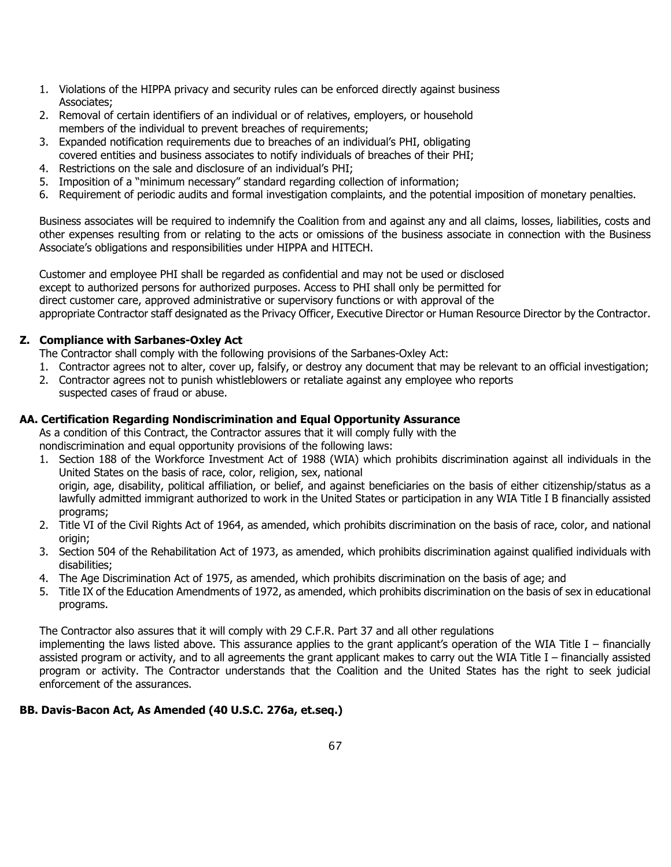- 1. Violations of the HIPPA privacy and security rules can be enforced directly against business Associates;
- 2. Removal of certain identifiers of an individual or of relatives, employers, or household members of the individual to prevent breaches of requirements;
- 3. Expanded notification requirements due to breaches of an individual's PHI, obligating covered entities and business associates to notify individuals of breaches of their PHI;
- 4. Restrictions on the sale and disclosure of an individual's PHI;
- 5. Imposition of a "minimum necessary" standard regarding collection of information;
- 6. Requirement of periodic audits and formal investigation complaints, and the potential imposition of monetary penalties.

Business associates will be required to indemnify the Coalition from and against any and all claims, losses, liabilities, costs and other expenses resulting from or relating to the acts or omissions of the business associate in connection with the Business Associate's obligations and responsibilities under HIPPA and HITECH.

Customer and employee PHI shall be regarded as confidential and may not be used or disclosed except to authorized persons for authorized purposes. Access to PHI shall only be permitted for direct customer care, approved administrative or supervisory functions or with approval of the appropriate Contractor staff designated as the Privacy Officer, Executive Director or Human Resource Director by the Contractor.

#### **Z. Compliance with Sarbanes-Oxley Act**

- The Contractor shall comply with the following provisions of the Sarbanes-Oxley Act:
- 1. Contractor agrees not to alter, cover up, falsify, or destroy any document that may be relevant to an official investigation;
- 2. Contractor agrees not to punish whistleblowers or retaliate against any employee who reports suspected cases of fraud or abuse.

#### **AA. Certification Regarding Nondiscrimination and Equal Opportunity Assurance**

As a condition of this Contract, the Contractor assures that it will comply fully with the

nondiscrimination and equal opportunity provisions of the following laws:

- 1. Section 188 of the Workforce Investment Act of 1988 (WIA) which prohibits discrimination against all individuals in the United States on the basis of race, color, religion, sex, national origin, age, disability, political affiliation, or belief, and against beneficiaries on the basis of either citizenship/status as a lawfully admitted immigrant authorized to work in the United States or participation in any WIA Title I B financially assisted programs;
- 2. Title VI of the Civil Rights Act of 1964, as amended, which prohibits discrimination on the basis of race, color, and national origin;
- 3. Section 504 of the Rehabilitation Act of 1973, as amended, which prohibits discrimination against qualified individuals with disabilities;
- 4. The Age Discrimination Act of 1975, as amended, which prohibits discrimination on the basis of age; and
- 5. Title IX of the Education Amendments of 1972, as amended, which prohibits discrimination on the basis of sex in educational programs.

The Contractor also assures that it will comply with 29 C.F.R. Part 37 and all other regulations

implementing the laws listed above. This assurance applies to the grant applicant's operation of the WIA Title I – financially assisted program or activity, and to all agreements the grant applicant makes to carry out the WIA Title I – financially assisted program or activity. The Contractor understands that the Coalition and the United States has the right to seek judicial enforcement of the assurances.

#### **BB. Davis-Bacon Act, As Amended (40 U.S.C. 276a, et.seq.)**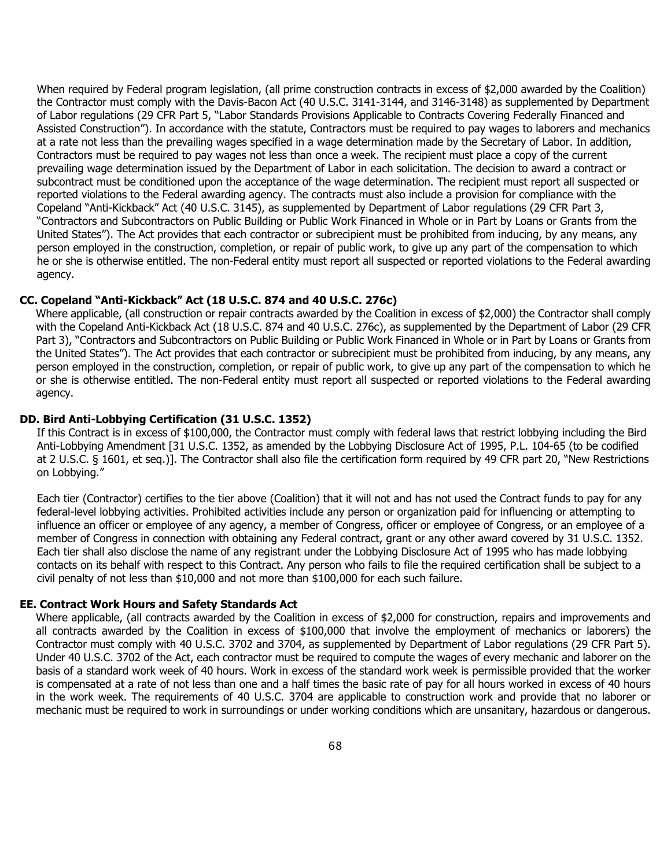When required by Federal program legislation, (all prime construction contracts in excess of \$2,000 awarded by the Coalition) the Contractor must comply with the Davis-Bacon Act (40 U.S.C. 3141-3144, and 3146-3148) as supplemented by Department of Labor regulations (29 CFR Part 5, "Labor Standards Provisions Applicable to Contracts Covering Federally Financed and Assisted Construction"). In accordance with the statute, Contractors must be required to pay wages to laborers and mechanics at a rate not less than the prevailing wages specified in a wage determination made by the Secretary of Labor. In addition, Contractors must be required to pay wages not less than once a week. The recipient must place a copy of the current prevailing wage determination issued by the Department of Labor in each solicitation. The decision to award a contract or subcontract must be conditioned upon the acceptance of the wage determination. The recipient must report all suspected or reported violations to the Federal awarding agency. The contracts must also include a provision for compliance with the Copeland "Anti-Kickback" Act (40 U.S.C. 3145), as supplemented by Department of Labor regulations (29 CFR Part 3, "Contractors and Subcontractors on Public Building or Public Work Financed in Whole or in Part by Loans or Grants from the United States"). The Act provides that each contractor or subrecipient must be prohibited from inducing, by any means, any person employed in the construction, completion, or repair of public work, to give up any part of the compensation to which he or she is otherwise entitled. The non-Federal entity must report all suspected or reported violations to the Federal awarding agency.

#### **CC. Copeland "Anti-Kickback" Act (18 U.S.C. 874 and 40 U.S.C. 276c)**

Where applicable, (all construction or repair contracts awarded by the Coalition in excess of \$2,000) the Contractor shall comply with the Copeland Anti-Kickback Act (18 U.S.C. 874 and 40 U.S.C. 276c), as supplemented by the Department of Labor (29 CFR Part 3), "Contractors and Subcontractors on Public Building or Public Work Financed in Whole or in Part by Loans or Grants from the United States"). The Act provides that each contractor or subrecipient must be prohibited from inducing, by any means, any person employed in the construction, completion, or repair of public work, to give up any part of the compensation to which he or she is otherwise entitled. The non-Federal entity must report all suspected or reported violations to the Federal awarding agency.

#### **DD. Bird Anti-Lobbying Certification (31 U.S.C. 1352)**

If this Contract is in excess of \$100,000, the Contractor must comply with federal laws that restrict lobbying including the Bird Anti-Lobbying Amendment [31 U.S.C. 1352, as amended by the Lobbying Disclosure Act of 1995, P.L. 104-65 (to be codified at 2 U.S.C. § 1601, et seq.)]. The Contractor shall also file the certification form required by 49 CFR part 20, "New Restrictions on Lobbying."

Each tier (Contractor) certifies to the tier above (Coalition) that it will not and has not used the Contract funds to pay for any federal-level lobbying activities. Prohibited activities include any person or organization paid for influencing or attempting to influence an officer or employee of any agency, a member of Congress, officer or employee of Congress, or an employee of a member of Congress in connection with obtaining any Federal contract, grant or any other award covered by 31 U.S.C. 1352. Each tier shall also disclose the name of any registrant under the Lobbying Disclosure Act of 1995 who has made lobbying contacts on its behalf with respect to this Contract. Any person who fails to file the required certification shall be subject to a civil penalty of not less than \$10,000 and not more than \$100,000 for each such failure.

#### **EE. Contract Work Hours and Safety Standards Act**

Where applicable, (all contracts awarded by the Coalition in excess of \$2,000 for construction, repairs and improvements and all contracts awarded by the Coalition in excess of \$100,000 that involve the employment of mechanics or laborers) the Contractor must comply with 40 U.S.C. 3702 and 3704, as supplemented by Department of Labor regulations (29 CFR Part 5). Under 40 U.S.C. 3702 of the Act, each contractor must be required to compute the wages of every mechanic and laborer on the basis of a standard work week of 40 hours. Work in excess of the standard work week is permissible provided that the worker is compensated at a rate of not less than one and a half times the basic rate of pay for all hours worked in excess of 40 hours in the work week. The requirements of 40 U.S.C. 3704 are applicable to construction work and provide that no laborer or mechanic must be required to work in surroundings or under working conditions which are unsanitary, hazardous or dangerous.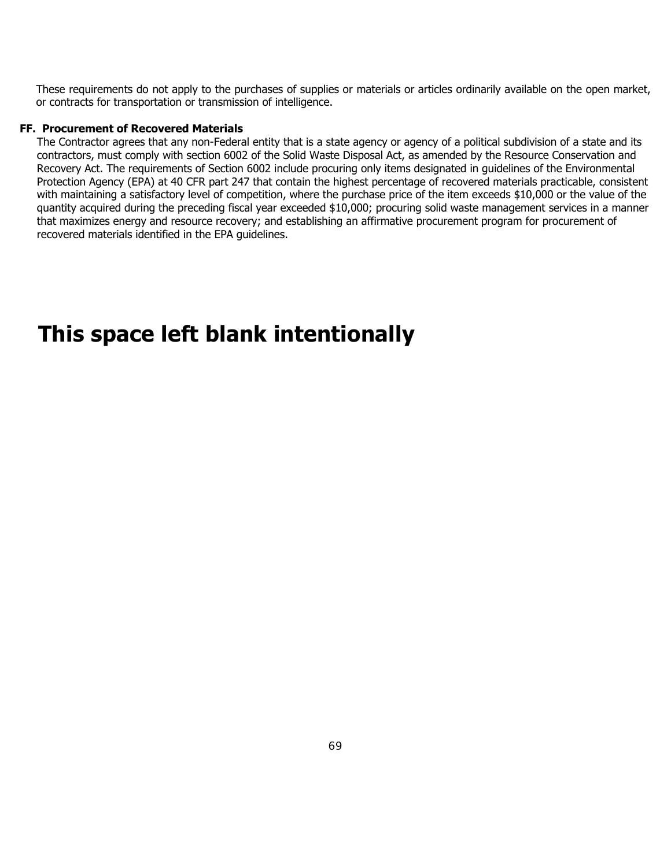These requirements do not apply to the purchases of supplies or materials or articles ordinarily available on the open market, or contracts for transportation or transmission of intelligence.

#### **FF. Procurement of Recovered Materials**

The Contractor agrees that any non-Federal entity that is a state agency or agency of a political subdivision of a state and its contractors, must comply with section 6002 of the Solid Waste Disposal Act, as amended by the Resource Conservation and Recovery Act. The requirements of Section 6002 include procuring only items designated in guidelines of the Environmental Protection Agency (EPA) at 40 CFR part 247 that contain the highest percentage of recovered materials practicable, consistent with maintaining a satisfactory level of competition, where the purchase price of the item exceeds \$10,000 or the value of the quantity acquired during the preceding fiscal year exceeded \$10,000; procuring solid waste management services in a manner that maximizes energy and resource recovery; and establishing an affirmative procurement program for procurement of recovered materials identified in the EPA guidelines.

# **This space left blank intentionally**